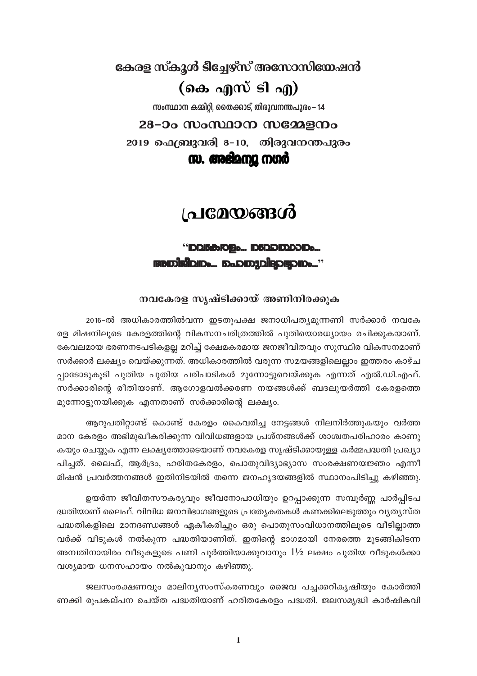കേരള സ്കൂൾ ടീച്ചേഴ്സ് അസോസിയേഷൻ (കെ എസ് ടി എ)

സംസ്ഥാന കമ്മിറ്റി, തൈക്കാട്, തിരുവനന്തപുരം – 14

### 28-ാം സംസ്ഥാന സമ്മേളനം

2019 ഫെബ്രുവരി 8-10, തിരുവനന്തപുരം

സ. അഭിമന്യൂ നഗർ

# <u>പ്രമേയങ്ങൾ</u>

# "DDI5tB:TOBD... ID5DDIDDDIDD... **FIBIDISIDID**... DADIDAD**IR**DIDIDD..."

### നവകേരള സൃഷ്ടിക്കായ് അണിനിരക്കുക

2016-ൽ അധികാരത്തിൽവന്ന ഇടതുപക്ഷ ജനാധിപത്യമുന്നണി സർക്കാർ നവകേ രള മിഷനിലൂടെ കേരളത്തിന്റെ വികസനചരിത്രത്തിൽ പുതിയൊരധ്യായം രചിക്കുകയാണ്. കേവലമായ ഭരണനടപടികളല്ല മറിച്ച് ക്ഷേമകരമായ ജനജീവിതവും സുസ്ഥിര വികസനമാണ് സർക്കാർ ലക്ഷ്യം വെയ്ക്കുന്നത്. അധികാരത്തിൽ വരുന്ന സമയങ്ങളിലെല്ലാം ഇത്തരം കാഴ്ച പ്പാടോടുകുടി പുതിയ പുതിയ പരിപാടികൾ മുന്നോട്ടുവെയ്ക്കുക എന്നത് എൽ.ഡി.എഫ്. സർക്കാരിന്റെ രീതിയാണ്. ആഗോളവൽക്കരണ നയങ്ങൾക്ക് ബദലുയർത്തി കേരളത്തെ മുന്നോട്ടുനയിക്കുക എന്നതാണ് സർക്കാരിന്റെ ലക്ഷ്യം.

ആറുപതിറ്റാണ്ട് കൊണ്ട് കേരളം കൈവരിച്ച നേട്ടങ്ങൾ നിലനിർത്തുകയും വർത്ത മാന കേരളം അഭിമുഖീകരിക്കുന്ന വിവിധങ്ങളായ പ്രശ്നങ്ങൾക്ക് ശാശ്വതപരിഹാരം കാണു കയും ചെയ്യുക എന്ന ലക്ഷ്യത്തോടെയാണ് നവകേരള സൃഷ്ടിക്കായുള്ള കർമ്മപദ്ധതി പ്രഖ്യാ പിച്ചത്. ലൈഫ്, ആർദ്രം, ഹരിതകേരളം, പൊതുവിദ്യാഭ്യാസ സംരക്ഷണയജ്ഞം എന്നീ മിഷൻ പ്രവർത്തനങ്ങൾ ഇതിനിടയിൽ തന്നെ ജനഹൃദയങ്ങളിൽ സ്ഥാനംപിടിച്ചു കഴിഞ്ഞു.

ഉയർന്ന ജീവിതസൗകര്യവും ജീവനോപാധിയും ഉറപ്പാക്കുന്ന സമ്പൂർണ്ണ പാർപ്പിടപ ദ്ധതിയാണ് ലൈഫ്. വിവിധ ജനവിഭാഗങ്ങളുടെ പ്രത്യേകതകൾ കണക്കിലെടുത്തും വ്യത്യസ്ത പദ്ധതികളിലെ മാനദണ്ഡങ്ങൾ ഏകീകരിച്ചും ഒരു പൊതുസംവിധാനത്തിലൂടെ വീടില്ലാത്ത വർക്ക് വീടുകൾ നൽകുന്ന പദ്ധതിയാണിത്. ഇതിന്റെ ഭാഗമായി നേരത്തെ മുടങ്ങികിടന്ന അമ്പതിനായിരം വീടുകളുടെ പണി പൂർത്തിയാക്കുവാനും  $1\frac{1}{2}$  ലക്ഷം പുതിയ വീടുകൾക്കാ വശ്യമായ ധനസഹായം നൽകുവാനും കഴിഞ്ഞു.

ജലസംരക്ഷണവും മാലിന്യസംസ്കരണവും ജൈവ പച്ചക്കറികൃഷിയും കോർത്തി ണക്കി രൂപകല്പന ചെയ്ത പദ്ധതിയാണ് ഹരിതകേരളം പദ്ധതി. ജലസമൃദ്ധി കാർഷികവി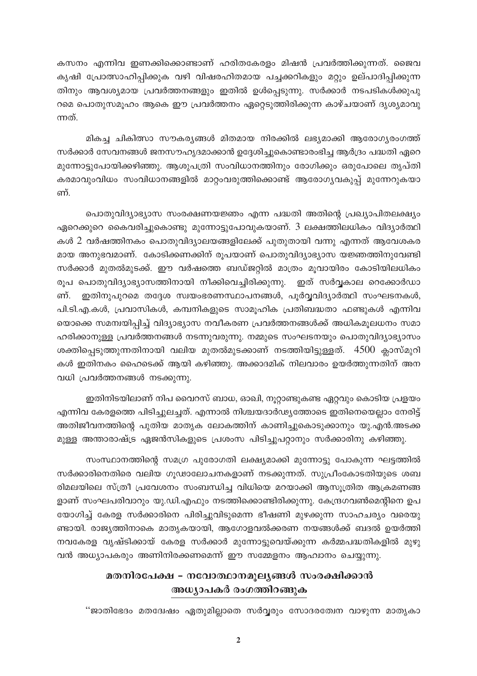കസനം എന്നിവ ഇണക്കിക്കൊണ്ടാണ് ഹരിതകേരളം മിഷൻ പ്രവർത്തിക്കുന്നത്. ജൈവ കൃഷി പ്രോത്സാഹിപ്പിക്കുക വഴി വിഷരഹിതമായ പച്ചക്കറികളും മറ്റും ഉല്പാദിപ്പിക്കുന്ന തിനും ആവശ്യമായ പ്രവർത്തനങ്ങളും ഇതിൽ ഉൾപ്പെടുന്നു. സർക്കാർ നടപടികൾക്കുപു റമെ പൊതുസമൂഹം ആകെ ഈ പ്രവർത്തനം ഏറ്റെടുത്തിരിക്കുന്ന കാഴ്ചയാണ് ദൃശ്യമാവു ന്നത്.

മികച്ച ചികിത്സാ സൗകര്യങ്ങൾ മിതമായ നിരക്കിൽ ലഭ്യമാക്കി ആരോഗ്യരംഗത്ത് സർക്കാർ സേവനങ്ങൾ ജനസൗഹൃദമാക്കാൻ ഉദ്ദേശിച്ചുകൊണ്ടാരംഭിച്ച ആർദ്രം പദ്ധതി ഏറെ മുന്നോട്ടുപോയിക്കഴിഞ്ഞു. ആശുപത്രി സംവിധാനത്തിനും രോഗിക്കും ഒരുപോലെ തൃപ്തി കരമാവുംവിധം സംവിധാനങ്ങളിൽ മാറ്റംവരുത്തിക്കൊണ്ട് ആരോഗ്യവകുപ്പ് മുന്നേറുകയാ ണ്

പൊതുവിദ്യാഭ്യാസ സംരക്ഷണയജ്ഞം എന്ന പദ്ധതി അതിന്റെ പ്രഖ്യാപിതലക്ഷ്യം ഏറെക്കുറെ കൈവരിച്ചുകൊണ്ടു മുന്നോട്ടുപോവുകയാണ്. 3 ലക്ഷത്തിലധികം വിദ്യാർത്ഥി കൾ 2 വർഷത്തിനകം പൊതുവിദ്യാലയങ്ങളിലേക്ക് പുതുതായി വന്നു എന്നത് ആവേശകര മായ അനുഭവമാണ്. കോടിക്കണക്കിന് രൂപയാണ് പൊതുവിദ്യാഭ്യാസ യജ്ഞത്തിനുവേണ്ടി സർക്കാർ മുതൽമുടക്ക്. ഈ വർഷത്തെ ബഡ്ജറ്റിൽ മാത്രം മൂവായിരം കോടിയിലധികം രൂപ പൊതുവിദ്യാഭ്യാസത്തിനായി നീക്കിവെച്ചിരിക്കുന്നു. ഇത് സർവ്വകാല റെക്കോർഡാ ഇതിനുപുറമെ തദ്ദേശ സ്വയംഭരണസ്ഥാപനങ്ങൾ, പൂർവ്വവിദ്യാർത്ഥി സംഘടനകൾ, ണ്. പി.ടി.എ.കൾ, പ്രവാസികൾ, കമ്പനികളുടെ സാമൂഹിക പ്രതിബദ്ധതാ ഫണ്ടുകൾ എന്നിവ യൊക്കെ സമന്വയിപ്പിച്ച് വിദ്യാഭ്യാസ നവീകരണ പ്രവർത്തനങ്ങൾക്ക് അധികമൂലധനം സമാ ഹരിക്കാനുള്ള പ്രവർത്തനങ്ങൾ നടന്നുവരുന്നു. നമ്മുടെ സംഘടനയും പൊതുവിദ്യാഭ്യാസം ശക്തിപ്പെടുത്തുന്നതിനായി വലിയ മുതൽമുടക്കാണ് നടത്തിയിട്ടുള്ളത്. 4500 ക്ലാസ്മുറി കൾ ഇതിനകം ഹൈടെക്ക് ആയി കഴിഞ്ഞു. അക്കാദമിക് നിലവാരം ഉയർത്തുന്നതിന് അന വധി പ്രവർത്തനങ്ങൾ നടക്കുന്നു.

ഇതിനിടയിലാണ് നിപ വൈറസ് ബാധ, ഓഖി, നൂറ്റാണ്ടുകണ്ട ഏറ്റവും കൊടിയ പ്രളയം എന്നിവ കേരളത്തെ പിടിച്ചുലച്ചത്. എന്നാൽ നിശ്ചയദാർഢ്യത്തോടെ ഇതിനെയെല്ലാം നേരിട്ട് അതിജീവനത്തിന്റെ പുതിയ മാതൃക ലോകത്തിന് കാണിച്ചുകൊടുക്കാനും യു.എൻ.അടക്ക മുള്ള അന്താരാഷ്ട്ര ഏജൻസികളുടെ പ്രശംസ പിടിച്ചുപറ്റാനും സർക്കാരിനു കഴിഞ്ഞു.

സംസ്ഥാനത്തിന്റെ സമഗ്ര പുരോഗതി ലക്ഷ്യമാക്കി മുന്നോട്ടു പോകുന്ന ഘട്ടത്തിൽ സർക്കാരിനെതിരെ വലിയ ഗൂഢാലോചനകളാണ് നടക്കുന്നത്. സുപ്രീംകോടതിയുടെ ശബ രിമലയിലെ സ്ത്രീ പ്രവേശനം സംബന്ധിച്ച വിധിയെ മറയാക്കി ആസുത്രിത ആക്രമണങ്ങ ളാണ് സംഘപരിവാറും യു.ഡി.എഫും നടത്തിക്കൊണ്ടിരിക്കുന്നു. കേന്ദ്രഗവൺമെന്റിനെ ഉപ യോഗിച്ച് കേരള സർക്കാരിനെ പിരിച്ചുവിടുമെന്ന ഭീഷണി മുഴക്കുന്ന സാഹചര്യം വരെയു ണ്ടായി. രാജ്യത്തിനാകെ മാതൃകയായി, ആഗോളവൽക്കരണ നയങ്ങൾക്ക് ബദൽ ഉയർത്തി നവകേരള വൃഷ്ടിക്കായ് കേരള സർക്കാർ മുന്നോട്ടുവെയ്ക്കുന്ന കർമ്മപദ്ധതികളിൽ മുഴു വൻ അധ്യാപകരും അണിനിരക്കണമെന്ന് ഈ സമ്മേളനം ആഹ്വാനം ചെയ്യുന്നു.

### മതനിരപേക്ഷ - നവോത്ഥാനമുല്യങ്ങൾ സംരക്ഷിക്കാൻ അധ്യാപകർ രംഗത്തിറങ്ങുക

''ജാതിഭേദം മതദ്വേഷം ഏതുമില്ലാതെ സർവ്വരും സോദരത്വേന വാഴുന്ന മാതൃകാ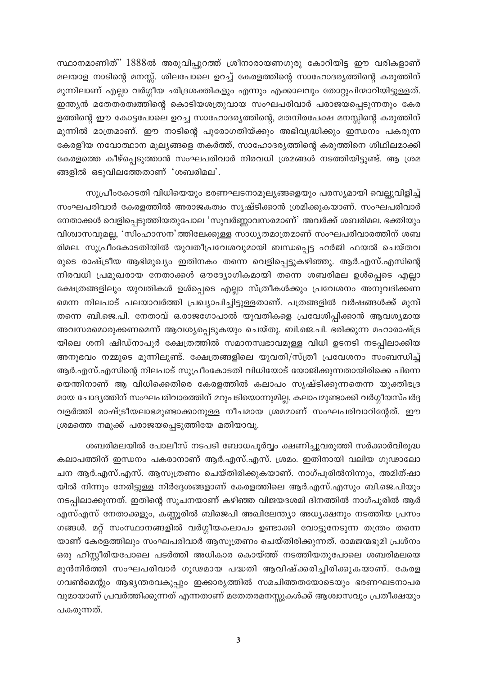സ്ഥാനമാണിത്'' 1888ൽ അരുവിപ്പുറത്ത് ശ്രീനാരായണഗുരു കോറിയിട്ട ഈ വരികളാണ് മലയാള നാടിന്റെ മനസ്സ്. ശിലപോലെ ഉറച്ച് കേരളത്തിന്റെ സാഹോദര്യത്തിന്റെ കരുത്തിന് മുന്നിലാണ് എല്ലാ വർഗ്ഗീയ ഛിദ്രശക്തികളും എന്നും എക്കാലവും തോറ്റുപിന്മാറിയിട്ടുള്ളത്. ഇന്ത്യൻ മതേതരത്വത്തിന്റെ കൊടിയശത്രുവായ സംഘപരിവാർ പരാജയപ്പെടുന്നതും കേര ളത്തിന്റെ ഈ കോട്ടപോലെ ഉറച്ച സാഹോദര്യത്തിന്റെ, മതനിരപേക്ഷ മനസ്സിന്റെ കരുത്തിന് മുന്നിൽ മാത്രമാണ്. ഈ നാടിന്റെ പുരോഗതിയ്ക്കും അഭിവൃദ്ധിക്കും ഇന്ധനം പകരുന്ന കേരളീയ നവോത്ഥാന മൂല്യങ്ങളെ തകർത്ത്, സാഹോദര്യത്തിന്റെ കരുത്തിനെ ശിഥിലമാക്കി കേരളത്തെ കീഴ്പ്പെടുത്താൻ സംഘപരിവാർ നിരവധി ശ്രമങ്ങൾ നടത്തിയിട്ടുണ്ട്. ആ ശ്രമ ങ്ങളിൽ ഒടുവിലത്തേതാണ് 'ശബരിമല'.

സുപ്രീംകോടതി വിധിയെയും ഭരണഘടനാമൂല്യങ്ങളെയും പരസ്യമായി വെല്ലുവിളിച്ച് സംഘപരിവാർ കേരളത്തിൽ അരാജകത്വം സൃഷ്ടിക്കാൻ ശ്രമിക്കുകയാണ്. സംഘപരിവാർ നേതാക്കൾ വെളിപ്പെടുത്തിയതുപോല 'സുവർണ്ണാവസരമാണ്' അവർക്ക് ശബരിമല. ഭക്തിയും വിശ്വാസവുമല്ല, 'സിംഹാസന'ത്തിലേക്കുള്ള സാധ്യതമാത്രമാണ് സംഘപരിവാരത്തിന് ശബ രിമല. സുപ്രീംകോടതിയിൽ യുവതീപ്രവേശവുമായി ബന്ധപ്പെട്ട ഹർജി ഫയൽ ചെയ്തവ രുടെ രാഷ്ട്രീയ ആഭിമുഖ്യം ഇതിനകം തന്നെ വെളിപ്പെട്ടുകഴിഞ്ഞു. ആർ.എസ്.എസിന്റെ നിരവധി പ്രമുഖരായ നേതാക്കൾ ഔദ്യോഗികമായി തന്നെ ശബരിമല ഉൾപ്പെടെ എല്ലാ ക്ഷേത്രങ്ങളിലും യുവതികൾ ഉൾപ്പെടെ എല്ലാ സ്ത്രീകൾക്കും പ്രവേശനം അനുവദിക്കണ മെന്ന നിലപാട് പലയാവർത്തി പ്രഖ്യാപിച്ചിട്ടുള്ളതാണ്. പത്രങ്ങളിൽ വർഷങ്ങൾക്ക് മുമ്പ് തന്നെ ബി.ജെ.പി. നേതാവ് ഒ.രാജഗോപാൽ യുവതികളെ പ്രവേശിപ്പിക്കാൻ ആവശ്യമായ അവസരമൊരുക്കണമെന്ന് ആവശ്യപ്പെടുകയും ചെയ്തു. ബി.ജെ.പി. ഭരിക്കുന്ന മഹാരാഷ്ട്ര യിലെ ശനി ഷിഡ്നാപൂർ ക്ഷേത്രത്തിൽ സമാനസ്വഭാവമുള്ള വിധി ഉടനടി നടപ്പിലാക്കിയ അനുഭവം നമ്മുടെ മുന്നിലുണ്ട്. ക്ഷേത്രങ്ങളിലെ യുവതി/സ്ത്രീ പ്രവേശനം സംബന്ധിച്ച് ആർ.എസ്.എസിന്റെ നിലപാട് സുപ്രീംകോടതി വിധിയോട് യോജിക്കുന്നതായിരിക്കെ പിന്നെ യെന്തിനാണ് ആ വിധിക്കെതിരെ കേരളത്തിൽ കലാപം സൃഷ്ടിക്കുന്നതെന്ന യുക്തിഭദ്ര മായ ചോദ്യത്തിന് സംഘപരിവാരത്തിന് മറുപടിയൊന്നുമില്ല. കലാപമുണ്ടാക്കി വർഗ്ഗീയസ്പർദ്ദ വളർത്തി രാഷ്ട്രീയലാഭമുണ്ടാക്കാനുള്ള നീചമായ ശ്രമമാണ് സംഘപരിവാറിന്റേത്. ഈ ശ്രമത്തെ നമുക്ക് പരാജയപ്പെടുത്തിയേ മതിയാവൂ.

ശബരിമലയിൽ പോലീസ് നടപടി ബോധപൂർവ്വം ക്ഷണിച്ചുവരുത്തി സർക്കാർവിരുദ്ധ കലാപത്തിന് ഇന്ധനം പകരാനാണ് ആർ.എസ്.എസ്. ശ്രമം. ഇതിനായി വലിയ ഗൂഢാലോ ചന ആർ.എസ്.എസ്. ആസൂത്രണം ചെയ്തിരിക്കുകയാണ്. നാഗ്പൂരിൽനിന്നും, അമിത്ഷാ യിൽ നിന്നും നേരിട്ടുള്ള നിർദ്ദേശങ്ങളാണ് കേരളത്തിലെ ആർ.എസ്.എസും ബി.ജെ.പിയും നടപ്പിലാക്കുന്നത്. ഇതിന്റെ സൂചനയാണ് കഴിഞ്ഞ വിജയദശമി ദിനത്തിൽ നാഗ്പൂരിൽ ആർ എസ്എസ് നേതാക്കളും, കണ്ണൂരിൽ ബിജെപി അഖിലേന്ത്യാ അധ്യക്ഷനും നടത്തിയ പ്രസം ഗങ്ങൾ. മറ്റ് സംസ്ഥാനങ്ങളിൽ വർഗ്ഗീയകലാപം ഉണ്ടാക്കി വോട്ടുനേടുന്ന തന്ത്രം തന്നെ യാണ് കേരളത്തിലും സംഘപരിവാർ ആസൂത്രണം ചെയ്തിരിക്കുന്നത്. രാമജന്മഭൂമി പ്രശ്നം ഒരു ഹിസ്റ്റീരിയപോലെ പടർത്തി അധികാര കൊയ്ത്ത് നടത്തിയതുപോലെ ശബരിമലയെ മുൻനിർത്തി സംഘപരിവാർ ഗൂഢമായ പദ്ധതി ആവിഷ്ക്കരിച്ചിരിക്കുകയാണ്. കേരള ഗവൺമെന്റും ആഭ്യന്തരവകുപ്പും ഇക്കാര്യത്തിൽ സമചിത്തതയോടെയും ഭരണഘടനാപര വുമായാണ് പ്രവർത്തിക്കുന്നത് എന്നതാണ് മതേതരമനസ്സുകൾക്ക് ആശ്വാസവും പ്രതീക്ഷയും പകരുന്നത്.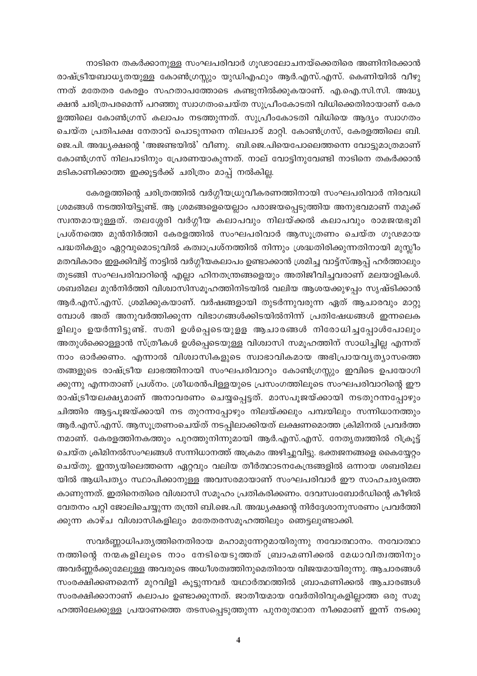നാടിനെ തകർക്കാനുള്ള സംഘപരിവാർ ഗൂഢാലോചനയ്ക്കെതിരെ അണിനിരക്കാൻ രാഷ്ട്രീയബാധ്യതയുള്ള കോൺഗ്രസ്സും യുഡിഎഫും ആർ.എസ്.എസ്. കെണിയിൽ വീഴു ന്നത് മതേതര കേരളം സഹതാപത്തോടെ കണ്ടുനിൽക്കുകയാണ്. എ.ഐ.സി.സി. അദ്ധ്യ ക്ഷൻ ചരിത്രപരമെന്ന് പറഞ്ഞു സ്വാഗതംചെയ്ത സുപ്രീംകോടതി വിധിക്കെതിരായാണ് കേര ളത്തിലെ കോൺഗ്രസ് കലാപം നടത്തുന്നത്. സുപ്രീംകോടതി വിധിയെ ആദ്യം സ്വാഗതം ചെയ്ത പ്രതിപക്ഷ നേതാവ് പൊടുന്നനെ നിലപാട് മാറ്റി. കോൺഗ്രസ്, കേരളത്തിലെ ബി. ജെ.പി. അദ്ധ്യക്ഷന്റെ 'അജണ്ടയിൽ' വീണു. ബി.ജെ.പിയെപോലെത്തന്നെ വോട്ടുമാത്രമാണ് കോൺഗ്രസ് നിലപാടിനും പ്രേരണയാകുന്നത്. നാല് വോട്ടിനുവേണ്ടി നാടിനെ തകർക്കാൻ മടികാണിക്കാത്ത ഇക്കൂട്ടർക്ക് ചരിത്രം മാപ്പ് നൽകില്ല.

കേരളത്തിന്റെ ചരിത്രത്തിൽ വർഗ്ഗീയധ്രുവീകരണത്തിനായി സംഘപരിവാർ നിരവധി ശ്രമങ്ങൾ നടത്തിയിട്ടുണ്ട്. ആ ശ്രമങ്ങളെയെല്ലാം പരാജയപ്പെടുത്തിയ അനുഭവമാണ് നമുക്ക് സ്വന്തമായുള്ളത്. തലശ്ശേരി വർഗ്ഗീയ കലാപവും നിലയ്ക്കൽ കലാപവും രാമജന്മഭൂമി പ്രശ്നത്തെ മുൻനിർത്തി കേരളത്തിൽ സംഘപരിവാർ ആസൂത്രണം ചെയ്ത ഗൂഢമായ പദ്ധതികളും ഏറ്റവുമൊടുവിൽ കത്വാപ്രശ്നത്തിൽ നിന്നും ശ്രദ്ധതിരിക്കുന്നതിനായി മുസ്ലീം മതവികാരം ഇളക്കിവിട്ട് നാട്ടിൽ വർഗ്ഗീയകലാപം ഉണ്ടാക്കാൻ ശ്രമിച്ച വാട്ട്സ്ആപ്പ് ഹർത്താലും തുടങ്ങി സംഘപരിവാറിന്റെ എല്ലാ ഹിനതന്ത്രങ്ങളെയും അതിജീവിച്ചവരാണ് മലയാളികൾ. ശബരിമല മുൻനിർത്തി വിശ്വാസിസമൂഹത്തിനിടയിൽ വലിയ ആശയക്കുഴപ്പം സൃഷ്ടിക്കാൻ ആർ.എസ്.എസ്. ശ്രമിക്കുകയാണ്. വർഷങ്ങളായി തുടർന്നുവരുന്ന ഏത് ആചാരവും മാറ്റു മ്പോൾ അത് അനുവർത്തിക്കുന്ന വിഭാഗങ്ങൾക്കിടയിൽനിന്ന് പ്രതിഷേധങ്ങൾ ഇന്നലെക ളിലും ഉയർന്നിട്ടുണ്ട്. സതി ഉൾപ്പെടെയുളള ആചാരങ്ങൾ നിരോധിച്ചപ്പോൾപോലും അതുൾക്കൊള്ളാൻ സ്ത്രീകൾ ഉൾപ്പെടെയുള്ള വിശ്വാസി സമൂഹത്തിന് സാധിച്ചില്ല എന്നത് നാം ഓർക്കണം. എന്നാൽ വിശ്വാസികളുടെ സ്വാഭാവികമായ അഭിപ്രായവൃത്യാസത്തെ തങ്ങളുടെ രാഷ്ട്രീയ ലാഭത്തിനായി സംഘപരിവാറും കോൺഗ്രസ്സും ഇവിടെ ഉപയോഗി ക്കുന്നു എന്നതാണ് പ്രശ്നം. ശ്രീധരൻപിള്ളയുടെ പ്രസംഗത്തിലൂടെ സംഘപരിവാറിന്റെ ഈ രാഷ്ട്രീയലക്ഷ്യമാണ് അനാവരണം ചെയ്യപ്പെട്ടത്. മാസപൂജയ്ക്കായി നടതുറന്നപ്പോഴും ചിത്തിര ആട്ടപൂജയ്ക്കായി നട തുറന്നപ്പോഴും നിലയ്ക്കലും പമ്പയിലും സന്നിധാനത്തും ആർ.എസ്.എസ്. ആസൂത്രണംചെയ്ത് നടപ്പിലാക്കിയത് ലക്ഷണമൊത്ത ക്രിമിനൽ പ്രവർത്ത നമാണ്. കേരളത്തിനകത്തും പുറത്തുനിന്നുമായി ആർ.എസ്.എസ്. നേതൃത്വത്തിൽ റിക്രൂട്ട് ചെയ്ത ക്രിമിനൽസംഘങ്ങൾ സന്നിധാനത്ത് അക്രമം അഴിച്ചുവിട്ടു. ഭക്തജനങ്ങളെ കൈയ്യേറ്റം ചെയ്തു. ഇന്ത്യയിലെത്തന്നെ ഏറ്റവും വലിയ തീർത്ഥാടനകേന്ദ്രങ്ങളിൽ ഒന്നായ ശബരിമല യിൽ ആധിപത്യം സ്ഥാപിക്കാനുള്ള അവസരമായാണ് സംഘപരിവാർ ഈ സാഹചര്യത്തെ കാണുന്നത്. ഇതിനെതിരെ വിശ്വാസി സമൂഹം പ്രതികരിക്കണം. ദേവസ്വംബോർഡിന്റെ കീഴിൽ വേതനം പറ്റി ജോലിചെയ്യുന്ന തന്ത്രി ബി.ജെ.പി. അദ്ധ്യക്ഷന്റെ നിർദ്ദേശാനുസരണം പ്രവർത്തി ക്കുന്ന കാഴ്ച വിശ്വാസികളിലും മതേതരസമൂഹത്തിലും ഞെട്ടലുണ്ടാക്കി.

സവർണ്ണാധിപതൃത്തിനെതിരായ മഹാമുന്നേറ്റമായിരുന്നു നവോത്ഥാനം. നവോത്ഥാ നത്തിന്റെ നന്മകളിലൂടെ നാം നേടിയെടുത്തത് ബ്രാഹ്മണിക്കൽ മേധാവിത്വത്തിനും അവർണ്ണർക്കുമേലുള്ള അവരുടെ അധീശത്വത്തിനുമെതിരായ വിജയമായിരുന്നു. ആചാരങ്ങൾ സംരക്ഷിക്കണമെന്ന് മുറവിളി കൂട്ടുന്നവർ യഥാർത്ഥത്തിൽ ബ്രാഹ്മണിക്കൽ ആചാരങ്ങൾ സംരക്ഷിക്കാനാണ് കലാപം ഉണ്ടാക്കുന്നത്. ജാതീയമായ വേർതിരിവുകളില്ലാത്ത ഒരു സമൂ ഹത്തിലേക്കുള്ള പ്രയാണത്തെ തടസപ്പെടുത്തുന്ന പുനരുത്ഥാന നീക്കമാണ് ഇന്ന് നടക്കു

 $\overline{\mathbf{4}}$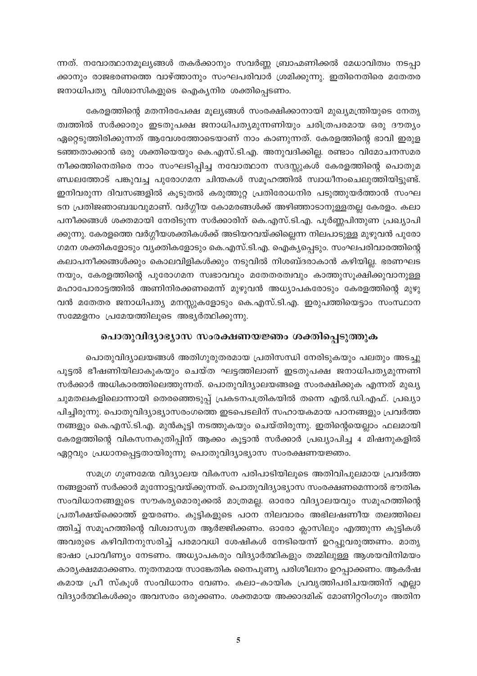ന്നത്. നവോത്ഥാനമൂല്യങ്ങൾ തകർക്കാനും സവർണ്ണ ബ്രാഹ്മണിക്കൽ മേധാവിത്വം നടപ്പാ ക്കാനും രാജഭരണത്തെ വാഴ്ത്താനും സംഘപരിവാർ ശ്രമിക്കുന്നു. ഇതിനെതിരെ മതേതര ജനാധിപത്യ വിശ്വാസികളുടെ ഐക്യനിര ശക്തിപ്പെടണം.

കേരളത്തിന്റെ മതനിരപേക്ഷ മൂല്യങ്ങൾ സംരക്ഷിക്കാനായി മുഖ്യമന്ത്രിയുടെ നേതൃ ത്വത്തിൽ സർക്കാരും ഇടതുപക്ഷ ജനാധിപത്യമുന്നണിയും ചരിത്രപരമായ ഒരു ദൗത്യം ഏറ്റെടുത്തിരിക്കുന്നത് ആവേശത്തോടെയാണ് നാം കാണുന്നത്. കേരളത്തിന്റെ ഭാവി ഇരുള ടഞ്ഞതാക്കാൻ ഒരു ശക്തിയെയും കെ.എസ്.ടി.എ. അനുവദിക്കില്ല. രണ്ടാം വിമോചനസമര നീക്കത്തിനെതിരെ നാം സംഘടിപ്പിച്ച നവോത്ഥാന സദസ്സുകൾ കേരളത്തിന്റെ പൊതുമ ണ്ഡലത്തോട് പങ്കുവച്ച പുരോഗമന ചിന്തകൾ സമൂഹത്തിൽ സ്വാധീനംചെലുത്തിയിട്ടുണ്ട്. ഇനിവരുന്ന ദിവസങ്ങളിൽ കൂടുതൽ കരുത്തുറ്റ പ്രതിരോധനിര പടുത്തുയർത്താൻ സംഘ ടന പ്രതിജഞാബദ്ധവുമാണ്. വർഗ്ഗീയ കോമരങ്ങൾക്ക് അഴിഞ്ഞാടാനുള്ളതല്ല കേരളം. കലാ പനീക്കങ്ങൾ ശക്തമായി നേരിടുന്ന സർക്കാരിന് കെ.എസ്.ടി.എ. പൂർണ്ണപിന്തുണ പ്രഖ്യാപി ക്കുന്നു. കേരളത്തെ വർഗ്ഗീയശക്തികൾക്ക് അടിയറവയ്ക്കില്ലെന്ന നിലപാടുള്ള മുഴുവൻ പുരോ ഗമന ശക്തികളോടും വ്യക്തികളോടും കെ.എസ്.ടി.എ. ഐകൃപ്പെടും. സംഘപരിവാരത്തിന്റെ കലാപനീക്കങ്ങൾക്കും കൊലവിളികൾക്കും നടുവിൽ നിശബ്ദരാകാൻ കഴിയില്ല. ഭരണഘട നയും, കേരളത്തിന്റെ പുരോഗമന സ്വഭാവവും മതേതരത്വവും കാത്തുസൂക്ഷിക്കുവാനുള്ള മഹാപോരാട്ടത്തിൽ അണിനിരക്കണമെന്ന് മുഴുവൻ അധ്യാപകരോടും കേരളത്തിന്റെ മുഴു വൻ മതേതര ജനാധിപത്യ മനസ്സുകളോടും കെ.എസ്.ടി.എ. ഇരുപത്തിയെട്ടാം സംസ്ഥാന സമ്മേളനം പ്രമേയത്തിലൂടെ അഭ്യർത്ഥിക്കുന്നു.

#### പൊതുവിദ്യാഭ്യാസ സംരക്ഷണയജ്ഞം ശക്തിപ്പെടുത്തുക

പൊതുവിദ്യാലയങ്ങൾ അതിഗുരുതരമായ പ്രതിസന്ധി നേരിടുകയും പലതും അടച്ചു പൂട്ടൽ ഭീഷണിയിലാകുകയും ചെയ്ത ഘട്ടത്തിലാണ് ഇടതുപക്ഷ ജനാധിപത്യമുന്നണി സർക്കാർ അധികാരത്തിലെത്തുന്നത്. പൊതുവിദ്യാലയങ്ങളെ സംരക്ഷിക്കുക എന്നത് മുഖ്യ ചുമതലകളിലൊന്നായി തെരഞ്ഞെടുപ്പ് പ്രകടനപത്രികയിൽ തന്നെ എൽ.ഡി.എഫ്. പ്രഖ്യാ പിച്ചിരുന്നു. പൊതുവിദ്യാഭ്യാസരംഗത്തെ ഇടപെടലിന് സഹായകമായ പഠനങ്ങളും പ്രവർത്ത നങ്ങളും കെ.എസ്.ടി.എ. മുൻകൂട്ടി നടത്തുകയും ചെയ്തിരുന്നു. ഇതിന്റെയെല്ലാം ഫലമായി കേരളത്തിന്റെ വികസനകുതിപ്പിന് ആക്കം കൂട്ടാൻ സർക്കാർ പ്രഖ്യാപിച്ച 4 മിഷനുകളിൽ ഏറ്റവും പ്രധാനപ്പെട്ടതായിരുന്നു പൊതുവിദ്യാഭ്യാസ സംരക്ഷണയജ്ഞം.

സമഗ്ര ഗുണമേന്മ വിദ്യാലയ വികസന പരിപാടിയിലൂടെ അതിവിപുലമായ പ്രവർത്ത നങ്ങളാണ് സർക്കാർ മുന്നോട്ടുവയ്ക്കുന്നത്. പൊതുവിദ്യാഭ്യാസ സംരക്ഷണമെന്നാൽ ഭൗതിക സംവിധാനങ്ങളുടെ സൗകര്യമൊരുക്കൽ മാത്രമല്ല. ഓരോ വിദ്യാലയവും സമൂഹത്തിന്റെ പ്രതീക്ഷയ്ക്കൊത്ത് ഉയരണം. കുട്ടികളുടെ പഠന നിലവാരം അഭിലഷണീയ തലത്തിലെ ത്തിച്ച് സമൂഹത്തിന്റെ വിശ്വാസ്യത ആർജ്ജിക്കണം. ഓരോ ക്ലാസിലും എത്തുന്ന കുട്ടികൾ അവരുടെ കഴിവിനനുസരിച്ച് പരമാവധി ശേഷികൾ നേടിയെന്ന് ഉറപ്പുവരുത്തണം. മാതൃ ഭാഷാ പ്രാവീണ്യം നേടണം. അധ്യാപകരും വിദ്യാർത്ഥികളും തമ്മിലുള്ള ആശയവിനിമയം കാര്യക്ഷമമാക്കണം. നൂതനമായ സാങ്കേതിക നൈപുണ്യ പരിശീലനം ഉറപ്പാക്കണം. ആകർഷ കമായ പ്രീ സ്കൂൾ സംവിധാനം വേണം. കലാ-കായിക പ്രവൃത്തിപരിചയത്തിന് എല്ലാ വിദ്യാർത്ഥികൾക്കും അവസരം ഒരുക്കണം. ശക്തമായ അക്കാദമിക് മോണിറ്ററിംഗും അതിന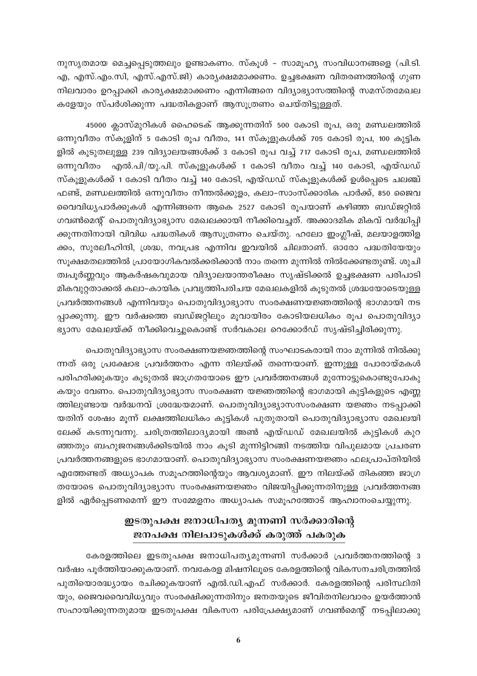്നുസൃതമായ മെച്ചപ്പെടുത്തലും ഉണ്ടാകണം. സ്കൂൾ - സാമൂഹ്യ സംവിധാനങ്ങളെ (പി.ടി. എ, എസ്.എം.സി, എസ്.എസ്.ജി) കാര്യക്ഷമമാക്കണം. ഉച്ചഭക്ഷണ വിതരണത്തിന്റെ ഗുണ നിലവാരം ഉറപ്പാക്കി കാര്യക്ഷമമാക്കണം എന്നിങ്ങനെ വിദ്യാഭ്യാസത്തിന്റെ സമസ്തമേഖല കളേയും സ്പർശിക്കുന്ന പദ്ധതികളാണ് ആസൂത്രണം ചെയ്തിട്ടുള്ളത്.

45000 ക്ലാസ്മുറികൾ ഹൈടെക് ആക്കുന്നതിന് 500 കോടി രൂപ, ഒരു മണ്ഡലത്തിൽ ഒന്നുവീതം സ്കൂളിന് 5 കോടി രൂപ വീതം, 141 സ്കൂളുകൾക്ക് 705 കോടി രൂപ, 100 കുട്ടിക ളിൽ കൂടുതലുള്ള 239 വിദ്യാലയങ്ങൾക്ക് 3 കോടി രൂപ വച്ച് 717 കോടി രൂപ, മണ്ഡലത്തിൽ ഒന്നുവീതം എൽ.പി/യു.പി. സ്കൂളുകൾക്ക് 1 കോടി വീതം വച്ച് 140 കോടി, എയ്ഡഡ് സ്കൂളുകൾക്ക് 1 കോടി വീതം വച്ച് 140 കോടി, എയ്ഡഡ് സ്കൂളുകൾക്ക് ഉൾപ്പെടെ ചലഞ്ച് ഫണ്ട്, മണ്ഡലത്തിൽ ഒന്നുവീതം നീന്തൽക്കുളം, കലാ–സാംസ്ക്കാരിക പാർക്ക്, 850 ജൈവ വൈവിധ്യപാർക്കുകൾ എന്നിങ്ങനെ ആകെ 2527 കോടി രൂപയാണ് കഴിഞ്ഞ ബഡ്ജറ്റിൽ ഗവൺമെന്റ് പൊതുവിദ്യാഭ്യാസ മേഖലക്കായി നീക്കിവെച്ചത്. അക്കാദമിക മികവ് വർദ്ധിപ്പി ക്കുന്നതിനായി വിവിധ പദ്ധതികൾ ആസൂത്രണം ചെയ്തു. ഹലോ ഇംഗ്ലീഷ്, മലയാളത്തിള ക്കം, സുരലീഹിന്ദി, ശ്രദ്ധ, നവപ്രഭ എന്നിവ ഇവയിൽ ചിലതാണ്. ഓരോ പദ്ധതിയേയും സുക്ഷമതലത്തിൽ പ്രായോഗികവൽക്കരിക്കാൻ നാം തന്നെ മുന്നിൽ നിൽക്കേണ്ടതുണ്ട്. ശുചി ത്വപൂർണ്ണവും ആകർഷകവുമായ വിദ്യാലയാന്തരീക്ഷം സൃഷ്ടിക്കൽ ഉച്ചഭക്ഷണ പരിപാടി മികവുറ്റതാക്കൽ കലാ-കായിക പ്രവൃത്തിപരിചയ മേഖലകളിൽ കൂടുതൽ ശ്രദ്ധയോടെയുള്ള പ്രവർത്തനങ്ങൾ എന്നിവയും പൊതുവിദ്യാഭ്യാസ സംരക്ഷണയജ്ഞത്തിന്റെ ഭാഗമായി നട പ്പാക്കുന്നു. ഈ വർഷത്തെ ബഡ്ജറ്റിലും മൂവായിരം കോടിയലധികം രൂപ പൊതുവിദ്യാ ഭ്യാസ മേഖലയ്ക്ക് നീക്കിവെച്ചുകൊണ്ട് സർവകാല റെക്കോർഡ് സൃഷ്ടിച്ചിരിക്കുന്നു.

പൊതുവിദ്യാഭ്യാസ സംരക്ഷണയജ്ഞത്തിന്റെ സംഘാടകരായി നാം മുന്നിൽ നിൽക്കു ന്നത് ഒരു പ്രക്ഷോഭ പ്രവർത്തനം എന്ന നിലയ്ക്ക് തന്നെയാണ്. ഇന്നുള്ള പോരായ്മകൾ പരിഹരിക്കുകയും കൂടുതൽ ജാഗ്രതയോടെ ഈ പ്രവർത്തനങ്ങൾ മുന്നോട്ടുകൊണ്ടുപോകു കയും വേണം. പൊതുവിദ്യാഭ്യാസ സംരക്ഷണ യജ്ഞത്തിന്റെ ഭാഗമായി കുട്ടികളുടെ എണ്ണ ത്തിലുണ്ടായ വർദ്ധനവ് ശ്രദ്ധേയമാണ്. പൊതുവിദ്യാഭ്യാസസംരക്ഷണ യജ്ഞം നടപ്പാക്കി യതിന് ശേഷം മൂന്ന് ലക്ഷത്തിലധികം കുട്ടികൾ പുതുതായി പൊതുവിദ്യാഭ്യാസ മേഖലയി ലേക്ക് കടന്നുവന്നു. ചരിത്രത്തിലാദ്യമായി അൺ എയ്ഡഡ് മേഖലയിൽ കുട്ടികൾ കുറ ഞ്ഞതും ബഹുജനങ്ങൾക്കിടയിൽ നാം കൂടി മുന്നിട്ടിറങ്ങി നടത്തിയ വിപുലമായ പ്രചരണ പ്രവർത്തനങ്ങളുടെ ഭാഗമായാണ്. പൊതുവിദ്യാഭ്യാസ സംരക്ഷണയജ്ഞം ഫലപ്രാപ്തിയിൽ എത്തേണ്ടത് അധ്യാപക സമൂഹത്തിന്റെയും ആവശ്യമാണ്. ഈ നിലയ്ക്ക് തികഞ്ഞ ജാഗ്ര തയോടെ പൊതുവിദ്യാഭ്യാസ സംരക്ഷണയജ്ഞം വിജയിപ്പിക്കുന്നതിനുള്ള പ്രവർത്തനങ്ങ ളിൽ ഏർപ്പെടണമെന്ന് ഈ സമ്മേളനം അധ്യാപക സമൂഹത്തോട് ആഹ്വാനംചെയ്യുന്നു.

# ഇടതുപക്ഷ ജനാധിപത്യ മുന്നണി സർക്കാരിന്റെ ജനപക്ഷ നിലപാടുകൾക്ക് കരുത്ത് പകരുക

കേരളത്തിലെ ഇടതുപക്ഷ ജനാധിപത്യമുന്നണി സർക്കാർ പ്രവർത്തനത്തിന്റെ 3 വർഷം പൂർത്തിയാക്കുകയാണ്. നവകേരള മിഷനിലൂടെ കേരളത്തിന്റെ വികസനചരിത്രത്തിൽ പുതിയൊരദ്ധ്യായം രചിക്കുകയാണ് എൽ.ഡി.എഫ് സർക്കാർ. കേരളത്തിന്റെ പരിസ്ഥിതി യും, ജൈവവൈവിധ്യവും സംരക്ഷിക്കുന്നതിനും ജനതയുടെ ജീവിതനിലവാരം ഉയർത്താൻ സഹായിക്കുന്നതുമായ ഇടതുപക്ഷ വികസന പരിപ്രേക്ഷ്യമാണ് ഗവൺമെന്റ് നടപ്പിലാക്കു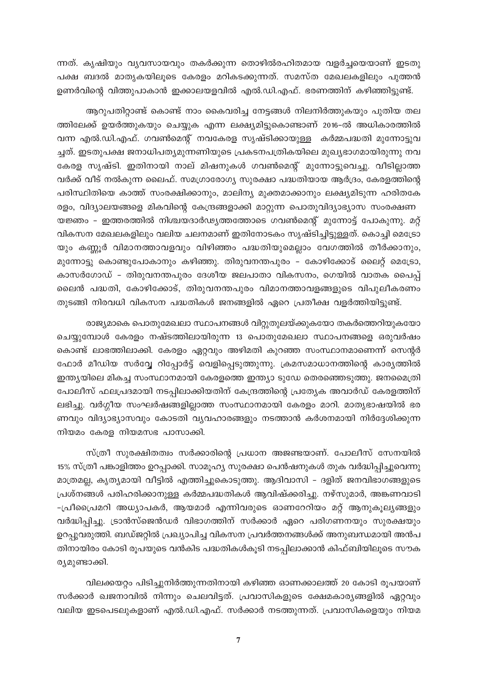ന്നത്. കൃഷിയും വ്യവസായവും തകർക്കുന്ന തൊഴിൽരഹിതമായ വളർച്ചയെയാണ് ഇടതു പക്ഷ ബദൽ മാതൃകയിലൂടെ കേരളം മറികടക്കുന്നത്. സമസ്ത മേഖലകളിലും പുത്തൻ ഉണർവിന്റെ വിത്തുപാകാൻ ഇക്കാലയളവിൽ എൽ.ഡി.എഫ്. ഭരണത്തിന് കഴിഞ്ഞിട്ടുണ്ട്.

ആറുപതിറ്റാണ്ട് കൊണ്ട് നാം കൈവരിച്ച നേട്ടങ്ങൾ നിലനിർത്തുകയും പുതിയ തല ത്തിലേക്ക് ഉയർത്തുകയും ചെയ്യുക എന്ന ലക്ഷ്യമിട്ടുകൊണ്ടാണ് 2016-ൽ അധികാരത്തിൽ വന്ന എൽ.ഡി.എഫ്. ഗവൺമെന്റ് നവകേരള സൃഷ്ടിക്കായുള്ള കർമ്മപദ്ധതി മുന്നോട്ടുവ ച്ചത്. ഇടതുപക്ഷ ജനാധിപത്യമുന്നണിയുടെ പ്രകടനപത്രികയിലെ മുഖ്യഭാഗമായിരുന്നു നവ കേരള സൃഷ്ടി. ഇതിനായി നാല് മിഷനുകൾ ഗവൺമെന്റ് മുന്നോട്ടുവെച്ചു. വീടില്ലാത്ത വർക്ക് വീട് നൽകുന്ന ലൈഫ്. സമഗ്രാരോഗ്യ സുരക്ഷാ പദ്ധതിയായ ആർദ്രം, കേരളത്തിന്റെ പരിസ്ഥിതിയെ കാത്ത് സംരക്ഷിക്കാനും, മാലിന്യ മുക്തമാക്കാനും ലക്ഷ്യമിടുന്ന ഹരിതകേ

രളം, വിദ്യാലയങ്ങളെ മികവിന്റെ കേന്ദ്രങ്ങളാക്കി മാറ്റുന്ന പൊതുവിദ്യാഭ്യാസ സംരക്ഷണ യജ്ഞം - ഇത്തരത്തിൽ നിശ്ചയദാർഢ്യത്തത്തോടെ ഗവൺമെന്റ് മുന്നോട്ട് പോകുന്നു. മറ്റ് വികസന മേഖലകളിലും വലിയ ചലനമാണ് ഇതിനോടകം സൃഷ്ടിച്ചിട്ടുള്ളത്. കൊച്ചി മെട്രോ യും കണ്ണൂർ വിമാനത്താവളവും വിഴിഞ്ഞം പദ്ധതിയുമെല്ലാം വേഗത്തിൽ തീർക്കാനും, മുന്നോട്ടു കൊണ്ടുപോകാനും കഴിഞ്ഞു. തിരുവനന്തപുരം – കോഴിക്കോട് ലൈറ്റ് മെട്രോ, കാസർഗോഡ് – തിരുവനന്തപുരം ദേശീയ ജലപാതാ വികസനം, ഗെയിൽ വാതക പൈപ്പ് ലൈൻ പദ്ധതി, കോഴിക്കോട്, തിരുവനന്തപുരം വിമാനത്താവളങ്ങളുടെ വിപുലീകരണം തുടങ്ങി നിരവധി വികസന പദ്ധതികൾ ജനങ്ങളിൽ ഏറെ പ്രതീക്ഷ വളർത്തിയിട്ടുണ്ട്.

രാജ്യമാകെ പൊതുമേഖലാ സ്ഥാപനങ്ങൾ വിറ്റുതുലയ്ക്കുകയോ തകർത്തെറിയുകയോ ചെയ്യുമ്പോൾ കേരളം നഷ്ടത്തിലായിരുന്ന 13 പൊതുമേഖലാ സ്ഥാപനങ്ങളെ ഒരുവർഷം കൊണ്ട് ലാഭത്തിലാക്കി. കേരളം ഏറ്റവും അഴിമതി കുറഞ്ഞ സംസ്ഥാനമാണെന്ന് സെന്റർ ഫോർ മീഡിയ സർവ്വേ റിപ്പോർട്ട് വെളിപ്പെടുത്തുന്നു. ക്രമസമാധാനത്തിന്റെ കാര്യത്തിൽ ഇന്ത്യയിലെ മികച്ച സംസ്ഥാനമായി കേരളത്തെ ഇന്ത്യാ ടുഡേ തെരഞ്ഞെടുത്തു. ജനമൈത്രി പോലീസ് ഫലപ്രദമായി നടപ്പിലാക്കിയതിന് കേന്ദ്രത്തിന്റെ പ്രത്യേക അവാർഡ് കേരളത്തിന് ലഭിച്ചു. വർഗ്ഗീയ സംഘർഷങ്ങളില്ലാത്ത സംസ്ഥാനമായി കേരളം മാറി. മാതൃഭാഷയിൽ ഭര ണവും വിദ്യാഭ്യാസവും കോടതി വ്യവഹാരങ്ങളും നടത്താൻ കർശനമായി നിർദ്ദേശിക്കുന്ന നിയമം കേരള നിയമസഭ പാസാക്കി.

സ്ത്രീ സുരക്ഷിതത്വം സർക്കാരിന്റെ പ്രധാന അജണ്ടയാണ്. പോലീസ് സേനയിൽ 15% സ്ത്രീ പങ്കാളിത്തം ഉറപ്പാക്കി. സാമൂഹ്യ സുരക്ഷാ പെൻഷനുകൾ തുക വർദ്ധിപ്പിച്ചുവെന്നു മാത്രമല്ല, കൃത്യമായി വീട്ടിൽ എത്തിച്ചുകൊടുത്തു. ആദിവാസി - ദളിത് ജനവിഭാഗങ്ങളുടെ പ്രശ്നങ്ങൾ പരിഹരിക്കാനുള്ള കർമ്മപദ്ധതികൾ ആവിഷ്ക്കരിച്ചു. നഴ്സുമാർ, അങ്കണവാടി -പ്രീപ്രൈമറി അധ്യാപകർ, ആയമാർ എന്നിവരുടെ ഓണറേറിയം മറ്റ് ആനുകൂല്യങ്ങളും വർദ്ധിപ്പിച്ചു. ട്രാൻസ്ജെൻഡർ വിഭാഗത്തിന് സർക്കാർ ഏറെ പരിഗണനയും സുരക്ഷയും ഉറപ്പുവരുത്തി. ബഡ്ജറ്റിൽ പ്രഖ്യാപിച്ച വികസന പ്രവർത്തനങ്ങൾക്ക് അനുബന്ധമായി അൻപ തിനായിരം കോടി രൂപയുടെ വൻകിട പദ്ധതികൾകൂടി നടപ്പിലാക്കാൻ കിഫ്ബിയിലൂടെ സൗക രുമുണ്ടാക്കി.

വിലക്കയറ്റം പിടിച്ചുനിർത്തുന്നതിനായി കഴിഞ്ഞ ഓണക്കാലത്ത് 20 കോടി രൂപയാണ് സർക്കാർ ഖജനാവിൽ നിന്നും ചെലവിട്ടത്. പ്രവാസികളുടെ ക്ഷേമകാര്യങ്ങളിൽ ഏറ്റവും വലിയ ഇടപെടലുകളാണ് എൽ.ഡി.എഫ്. സർക്കാർ നടത്തുന്നത്. പ്രവാസികളെയും നിയമ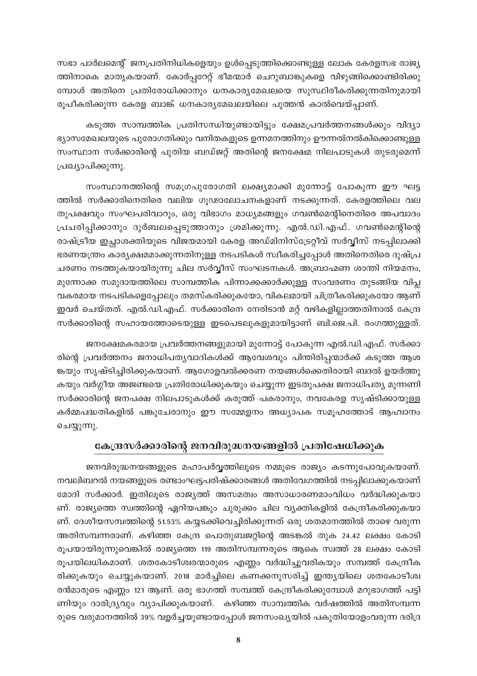സഭാ പാർലമെന്റ് ജനപ്രതിനിധികളെയും ഉൾപ്പെടുത്തിക്കൊണ്ടുള്ള ലോക കേരളസഭ രാജ്യ ത്തിനാകെ മാതൃകയാണ്. കോർപ്പറേറ്റ് ഭീമന്മാർ ചെറുബാങ്കുകളെ വിഴുങ്ങിക്കൊണ്ടിരിക്കു മ്പോൾ അതിനെ പ്രതിരോധിക്കാനും ധനകാര്യമേഖലയെ സുസ്ഥിരീകരിക്കുന്നതിനുമായി രൂപീകരിക്കുന്ന കേരള ബാങ്ക് ധനകാര്യമേഖലയിലെ പുത്തൻ കാൽവെയ്പ്പാണ്.

കടുത്ത സാമ്പത്തിക പ്രതിസന്ധിയുണ്ടായിട്ടും ക്ഷേമപ്രവർത്തനങ്ങൾക്കും വിദ്യാ ഭ്യാസമേഖലയുടെ പുരോഗതിക്കും വനിതകളുടെ ഉന്നമനത്തിനും ഊന്നൽനൽകിക്കൊണ്ടുള്ള സംസ്ഥാന സർക്കാരിന്റെ പുതിയ ബഡ്ജറ്റ് അതിന്റെ ജനക്ഷേമ നിലപാടുകൾ തുടരുമെന്ന് പ്രഖ്യാപിക്കുന്നു.

സംസ്ഥാനത്തിന്റെ സമഗ്രപുരോഗതി ലക്ഷ്യമാക്കി മുന്നോട്ട് പോകുന്ന ഈ ഘട്ട ത്തിൽ സർക്കാരിനെതിരെ വലിയ ഗുഢാലോചനകളാണ് നടക്കുന്നത്. കേരളത്തിലെ വല തുപക്ഷവും സംഘപരിവാറും, ഒരു വിഭാഗം മാധ്യമങ്ങളും ഗവൺമെന്റിനെതിരെ അപവാദം പ്രചരിപ്പിക്കാനും ദുർബലപ്പെടുത്താനും ശ്രമിക്കുന്നു. എൽ.ഡി.എഫ്. ഗവൺമെന്റിന്റെ രാഷ്ട്രീയ ഇച്ചാശക്തിയുടെ വിജയമായി കേരള അഡ്മിനിസ്ട്രേറ്റീവ് സർവ്വീസ് നടപ്പിലാക്കി ഭരണയന്ത്രം കാര്യക്ഷമമാക്കുന്നതിനുള്ള നടപടികൾ സ്വീകരിച്ചപ്പോൾ അതിനെതിരെ ദുഷ്പ്ര ചരണം നടത്തുകയായിരുന്നു ചില സർവ്വീസ് സംഘടനകൾ. അബ്രാഹ്മണ ശാന്തി നിയമനം, മുന്നോക്ക സമുദായത്തിലെ സാമ്പത്തിക പിന്നാക്കക്കാർക്കുള്ള സംവരണം തുടങ്ങിയ വിപ്ല വകരമായ നടപടികളെപ്പോലും തമസ്കരിക്കുകയോ, വികലമായി ചിത്രീകരിക്കുകയോ ആണ് ഇവർ ചെയ്തത്. എൽ.ഡി.എഫ്. സർക്കാരിനെ നേരിടാൻ മറ്റ് വഴികളില്ലാത്തതിനാൽ കേന്ദ്ര സർക്കാരിന്റെ സഹായത്തോടെയുള്ള ഇടപെടലുകളുമായിട്ടാണ് ബി.ജെ.പി. രംഗത്തുള്ളത്.

ജനക്ഷേമകരമായ പ്രവർത്തനങ്ങളുമായി മുന്നോട്ട് പോകുന്ന എൽ.ഡി.എഫ്. സർക്കാ രിന്റെ പ്രവർത്തനം ജനാധിപത്യവാദികൾക്ക് ആവേശവും പിന്തിരിപ്പന്മാർക്ക് കടുത്ത ആശ ങ്കയും സൃഷ്ടിച്ചിരിക്കുകയാണ്. ആഗോളവൽക്കരണ നയങ്ങൾക്കെതിരായി ബദൽ ഉയർത്തു കയും വർഗ്ഗീയ അജണ്ടയെ പ്രതിരോധിക്കുകയും ചെയ്യുന്ന ഇടതുപക്ഷ ജനാധിപത്യ മുന്നണി സർക്കാരിന്റെ ജനപക്ഷ നിലപാടുകൾക്ക് കരുത്ത് പകരാനും, നവകേരള സൃഷ്ടിക്കായുള്ള കർമ്മപദ്ധതികളിൽ പങ്കുചേരാനും ഈ സമ്മേളനം അധ്യാപക സമൂഹത്തോട് ആഹ്വാനം ചെയ്യുന്നു.

#### കേന്ദ്രസർക്കാരിന്റെ ജനവിരുദ്ധനയങ്ങളിൽ പ്രതിഷേധിക്കുക

ജനവിരുദ്ധനയങ്ങളുടെ മഹാപർവ്വത്തിലൂടെ നമ്മുടെ രാജ്യം കടന്നുപോവുകയാണ്. നവലിബറൽ നയങ്ങളുടെ രണ്ടാംഘട്ടപരിഷ്ക്കാരങ്ങൾ അതിവേഗത്തിൽ നടപ്പിലാക്കുകയാണ് മോദി സർക്കാർ. ഇതിലൂടെ രാജ്യത്ത് അസമത്വം അസാധാരണമാംവിധം വർദ്ധിക്കുകയാ ണ്. രാജ്യത്തെ സ്വത്തിന്റെ ഏറിയപങ്കും ചുരുക്കം ചില വ്യക്തികളിൽ കേന്ദ്രീകരിക്കുകയാ ണ്. ദേശീയസമ്പത്തിന്റെ 51.53% കയ്യടക്കിവെച്ചിരിക്കുന്നത് ഒരു ശതമാനത്തിൽ താഴെ വരുന്ന അതിസമ്പന്നരാണ്. കഴിഞ്ഞ കേന്ദ്ര പൊതുബജറ്റിന്റെ അടങ്കൽ തുക 24.42 ലക്ഷം കോടി രൂപയായിരുന്നുവെങ്കിൽ രാജ്യത്തെ 119 അതിസമ്പന്നരുടെ ആകെ സ്വത്ത് 28 ലക്ഷം കോടി രൂപയിലധികമാണ്. ശതകോടീശ്വരന്മാരുടെ എണ്ണം വർദ്ധിച്ചുവരികയും സമ്പത്ത് കേന്ദ്രീക രിക്കുകയും ചെയ്യുകയാണ്. 2018 മാർച്ചിലെ കണക്കനുസരിച്ച് ഇന്ത്യയിലെ ശതകോടീശ്വ രൻമാരുടെ എണ്ണം 121 ആണ്. ഒരു ഭാഗത്ത് സമ്പത്ത് കേന്ദ്രീകരിക്കുമ്പോൾ മറുഭാഗത്ത് പട്ടി ണിയും ദാരിദ്ര്യവും വ്യാപിക്കുകയാണ്. കഴിഞ്ഞ സാമ്പത്തിക വർഷത്തിൽ അതിസമ്പന്ന രുടെ വരുമാനത്തിൽ 39% വളർച്ചയുണ്ടായപ്പോൾ ജനസംഖ്യയിൽ പകുതിയോളംവരുന്ന ദരിദ്ര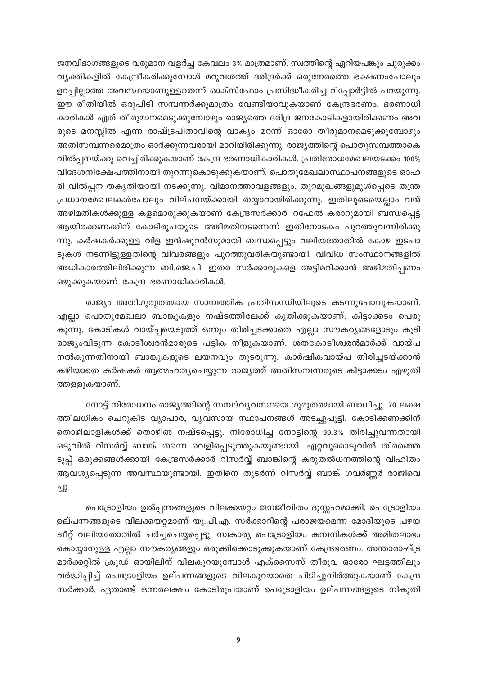ജനവിഭാഗങ്ങളുടെ വരുമാന വളർച്ച കേവലം 3% മാത്രമാണ്. സ്വത്തിന്റെ ഏറിയപങ്കും ചുരുക്കം വ്യക്തികളിൽ കേന്ദ്രീകരിക്കുമ്പോൾ മറുവശത്ത് ദരിദ്രർക്ക് ഒരുനേരത്തെ ഭക്ഷണംപോലും ഉറപ്പില്ലാത്ത അവസ്ഥയാണുള്ളതെന്ന് ഓക്സ്ഫോം പ്രസിദ്ധീകരിച്ച റിപ്പോർട്ടിൽ പറയുന്നു. ഈ രീതിയിൽ ഒരുപിടി സമ്പന്നർക്കുമാത്രം വേണ്ടിയാവുകയാണ് കേന്ദ്രഭരണം. ഭരണാധി കാരികൾ ഏത് തീരുമാനമെടുക്കുമ്പോഴും രാജ്യത്തെ ദരിദ്ര ജനകോടികളായിരിക്കണം അവ രുടെ മനസ്സിൽ എന്ന രാഷ്ട്രപിതാവിന്റെ വാക്യം മറന്ന് ഓരോ തീരുമാനമെടുക്കുമ്പോഴും അതിസമ്പന്നരെമാത്രം ഓർക്കുന്നവരായി മാറിയിരിക്കുന്നു. രാജ്യത്തിന്റെ പൊതുസമ്പത്താകെ വിൽപ്പനയ്ക്കു വെച്ചിരിക്കുകയാണ് കേന്ദ്ര ഭരണാധികാരികൾ. പ്രതിരോധമേഖലയടക്കം 100% വിദേശനിക്ഷേപത്തിനായി തുറന്നുകൊടുക്കുകയാണ്. പൊതുമേഖലാസ്ഥാപനങ്ങളുടെ ഓഹ രി വിൽപ്പന തകൃതിയായി നടക്കുന്നു. വിമാനത്താവളങ്ങളും, തുറമുഖങ്ങളുമുൾപ്പെടെ തന്ത്ര പ്രധാനമേഖലകൾപോലും വില്പനയ്ക്കായി തയ്യാറായിരിക്കുന്നു. ഇതിലൂടെയെല്ലാം വൻ അഴിമതികൾക്കുള്ള കളമൊരുക്കുകയാണ് കേന്ദ്രസർക്കാർ. റഫേൽ കരാറുമായി ബന്ധപ്പെട്ട് ആയിരക്കണക്കിന് കോടിരൂപയുടെ അഴിമതിനടന്നെന്ന് ഇതിനോടകം പുറത്തുവന്നിരിക്കു ന്നു. കർഷകർക്കുള്ള വിള ഇൻഷൂറൻസുമായി ബന്ധപ്പെട്ടും വലിയതോതിൽ കോഴ ഇടപാ ടുകൾ നടന്നിട്ടുള്ളതിന്റെ വിവരങ്ങളും പുറത്തുവരികയുണ്ടായി. വിവിധ സംസ്ഥാനങ്ങളിൽ അധികാരത്തിലിരിക്കുന്ന ബി.ജെ.പി. ഇതര സർക്കാരുകളെ അട്ടിമറിക്കാൻ അഴിമതിപ്പണം ഒഴുക്കുകയാണ് കേന്ദ്ര ഭരണാധികാരികൾ.

രാജ്യം അതിഗുരുതരമായ സാമ്പത്തിക പ്രതിസന്ധിയിലൂടെ കടന്നുപോവുകയാണ്. എല്ലാ പൊതുമേഖലാ ബാങ്കുകളും നഷ്ടത്തിലേക്ക് കുതിക്കുകയാണ്. കിട്ടാക്കടം പെരു കുന്നു. കോടികൾ വായ്പ്പയെടുത്ത് ഒന്നും തിരിച്ചടക്കാതെ എല്ലാ സൗകര്യങ്ങളോടും കൂടി രാജ്യംവിടുന്ന കോടീശ്വരൻമാരുടെ പട്ടിക നീളുകയാണ്. ശതകോടീശ്വരൻമാർക്ക് വായ്പ നൽകുന്നതിനായി ബാങ്കുകളുടെ ലയനവും തുടരുന്നു. കാർഷികവായ്പ തിരിച്ചടയ്ക്കാൻ കഴിയാതെ കർഷകർ ആത്മഹത്യചെയ്യുന്ന രാജ്യത്ത് അതിസമ്പന്നരുടെ കിട്ടാക്കടം എഴുതി ത്തള്ളുകയാണ്.

നോട്ട് നിരോധനം രാജ്യത്തിന്റെ സമ്പദ്വ്യവസ്ഥയെ ഗുരുതരമായി ബാധിച്ചു. 70 ലക്ഷ ത്തിലധികം ചെറുകിട വ്യാപാര, വ്യവസായ സ്ഥാപനങ്ങൾ അടച്ചുപൂട്ടി. കോടിക്കണക്കിന് തൊഴിലാളികൾക്ക് തൊഴിൽ നഷ്ടപ്പെട്ടു. നിരോധിച്ച നോട്ടിന്റെ 99.3% തിരിച്ചുവന്നതായി ഒടുവിൽ റിസർവ്വ് ബാങ്ക് തന്നെ വെളിപ്പെടുത്തുകയുണ്ടായി. ഏറ്റവുമൊടുവിൽ തിരഞ്ഞെ ടുപ്പ് ഒരുക്കങ്ങൾക്കായി കേന്ദ്രസർക്കാർ റിസർവ്വ് ബാങ്കിന്റെ കരുതൽധനത്തിന്റെ വിഹിതം ആവശ്യപ്പെടുന്ന അവസ്ഥയുണ്ടായി. ഇതിനെ തുടർന്ന് റിസർവ്വ് ബാങ്ക് ഗവർണ്ണർ രാജിവെ ച്ചു.

പെട്രോളിയം ഉൽപ്പന്നങ്ങളുടെ വിലക്കയറ്റം ജനജീവിതം ദുസ്സഹമാക്കി. പെട്രോളിയം ഉല്പന്നങ്ങളുടെ വിലക്കയറ്റമാണ് യു.പി.എ. സർക്കാറിന്റെ പരാജയമെന്ന മോദിയുടെ പഴയ ട്വീറ്റ് വലിയതോതിൽ ചർച്ചചെയ്യപ്പെട്ടു. സ്വകാര്യ പെട്രോളിയം കമ്പനികൾക്ക് അമിതലാഭം കൊയ്യാനുള്ള എല്ലാ സൗകര്യങ്ങളും ഒരുക്കിക്കൊടുക്കുകയാണ് കേന്ദ്രഭരണം. അന്താരാഷ്ട്ര മാർക്കറ്റിൽ ക്രൂഡ് ഓയിലിന് വിലകുറയുമ്പോൾ എക്സൈസ് തീരുവ ഓരോ ഘട്ടത്തിലും വർദ്ധിപ്പിച്ച് പെട്രോളിയം ഉല്പന്നങ്ങളുടെ വിലകുറയാതെ പിടിച്ചുനിർത്തുകയാണ് കേന്ദ്ര സർക്കാർ. ഏതാണ്ട് ഒന്നരലക്ഷം കോടിരൂപയാണ് പെട്രോളിയം ഉല്പന്നങ്ങളുടെ നികുതി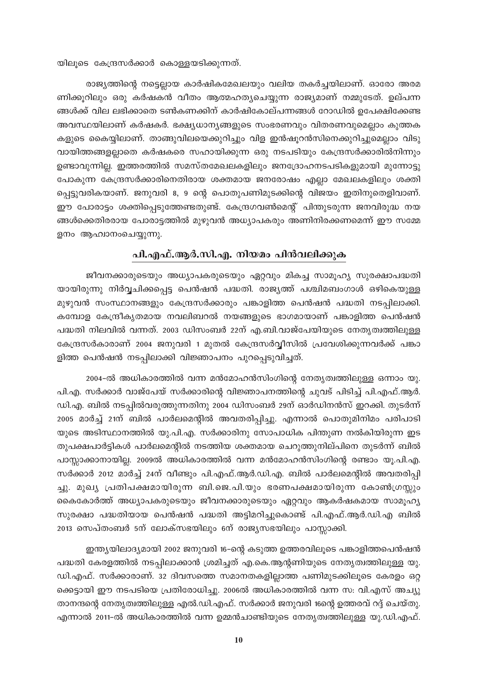യിലൂടെ കേന്ദ്രസർക്കാർ കൊള്ളയടിക്കുന്നത്.

രാജ്യത്തിന്റെ നട്ടെല്ലായ കാർഷികമേഖലയും വലിയ തകർച്ചയിലാണ്. ഓരോ അരമ ണിക്കൂറിലും ഒരു കർഷകൻ വീതം ആത്മഹത്യചെയ്യുന്ന രാജ്യമാണ് നമ്മുടേത്. ഉല്പന്ന ങ്ങൾക്ക് വില ലഭിക്കാതെ ടൺകണക്കിന് കാർഷികോല്പന്നങ്ങൾ റോഡിൽ ഉപേക്ഷിക്കേണ്ട അവസ്ഥയിലാണ് കർഷകർ. ഭക്ഷ്യധാന്യങ്ങളുടെ സംഭരണവും വിതരണവുമെല്ലാം കുത്തക കളുടെ കൈയ്യിലാണ്. താങ്ങുവിലയെക്കുറിച്ചും വിള ഇൻഷൂറൻസിനെക്കുറിച്ചുമെല്ലാം വിടു വായിത്തങ്ങളല്ലാതെ കർഷകരെ സഹായിക്കുന്ന ഒരു നടപടിയും കേന്ദ്രസർക്കാരിൽനിന്നും ഉണ്ടാവുന്നില്ല. ഇത്തരത്തിൽ സമസ്തമേഖലകളിലും ജനദ്രോഹനടപടികളുമായി മുന്നോട്ടു പോകുന്ന കേന്ദ്രസർക്കാരിനെതിരായ ശക്തമായ ജനരോഷം എല്ലാ മേഖലകളിലും ശക്തി പ്പെട്ടുവരികയാണ്. ജനുവരി 8, 9 ന്റെ പൊതുപണിമുടക്കിന്റെ വിജയം ഇതിനുതെളിവാണ്. ഈ പോരാട്ടം ശക്തിപ്പെടുത്തേണ്ടതുണ്ട്. കേന്ദ്രഗവൺമെന്റ് പിന്തുടരുന്ന ജനവിരുദ്ധ നയ ങ്ങൾക്കെതിരരായ പോരാട്ടത്തിൽ മുഴുവൻ അധ്യാപകരും അണിനിരക്കണമെന്ന് ഈ സമ്മേ ളനം ആഹ്വാനംചെയ്യുന്നു.

#### പി.എഫ്.ആർ.സി.എ. നിയമം പിൻവലിക്കുക

ജീവനക്കാരുടെയും അധ്യാപകരുടെയും ഏറ്റവും മികച്ച സാമൂഹ്യ സുരക്ഷാപദ്ധതി യായിരുന്നു നിർവ്വചിക്കപ്പെട്ട പെൻഷൻ പദ്ധതി. രാജ്യത്ത് പശ്ചിമബംഗാൾ ഒഴികെയുള്ള മുഴുവൻ സംസ്ഥാനങ്ങളും കേന്ദ്രസർക്കാരും പങ്കാളിത്ത പെൻഷൻ പദ്ധതി നടപ്പിലാക്കി. കമ്പോള കേന്ദ്രീകൃതമായ നവലിബറൽ നയങ്ങളുടെ ഭാഗമായാണ് പങ്കാളിത്ത പെൻഷൻ പദ്ധതി നിലവിൽ വന്നത്. 2003 ഡിസംബർ 22ന് എ.ബി.വാജ്പേയിയുടെ നേതൃത്വത്തിലുള്ള കേന്ദ്രസർകാരാണ് 2004 ജനുവരി 1 മുതൽ കേന്ദ്രസർവ്വീസിൽ പ്രവേശിക്കുന്നവർക്ക് പങ്കാ ളിത്ത പെൻഷൻ നടപ്പിലാക്കി വിജ്ഞാപനം പുറപ്പെടുവിച്ചത്.

2004-ൽ അധികാരത്തിൽ വന്ന മൻമോഹൻസിംഗിന്റെ നേതൃത്വത്തിലുള്ള ഒന്നാം യു. പി.എ. സർക്കാർ വാജ്പേയ് സർക്കാരിന്റെ വിജ്ഞാപനത്തിന്റെ ചുവട് പിടിച്ച് പി.എഫ്.ആർ. ഡി.എ. ബിൽ നടപ്പിൽവരുത്തുന്നതിനു 2004 ഡിസംബർ 29ന് ഓർഡിനൻസ് ഇറക്കി. തുടർന്ന് 2005 മാർച്ച് 21ന് ബിൽ പാർലമെന്റിൽ അവതരിപ്പിച്ചു. എന്നാൽ പൊതുമിനിമം പരിപാടി യുടെ അടിസ്ഥാനത്തിൽ യു.പി.എ. സർക്കാരിനു സോപാധിക പിന്തുണ നൽകിയിരുന്ന ഇട തുപക്ഷപാർട്ടികൾ പാർലമെന്റിൽ നടത്തിയ ശക്തമായ ചെറുത്തുനില്പിനെ തുടർന്ന് ബിൽ പാസ്സാക്കാനായില്ല. 2009ൽ അധികാരത്തിൽ വന്ന മൻമോഹൻസിംഗിന്റെ രണ്ടാം യൂ.പി.എ. സർക്കാർ 2012 മാർച്ച് 24ന് വീണ്ടും പി.എഫ്.ആർ.ഡി.എ. ബിൽ പാർലമെന്റിൽ അവതരിപ്പി ച്ചു. മുഖ്യ പ്രതിപക്ഷമായിരുന്ന ബി.ജെ.പി.യും ഭരണപക്ഷമായിരുന്ന കോൺഗ്രസ്സും കൈകോർത്ത് അധ്യാപകരുടെയും ജീവനക്കാരുടെയും ഏറ്റവും ആകർഷകമായ സാമൂഹ്യ സുരക്ഷാ പദ്ധതിയായ പെൻഷൻ പദ്ധതി അട്ടിമറിച്ചുകൊണ്ട് പി.എഫ്.ആർ.ഡി.എ ബിൽ 2013 സെപ്തംബർ 5ന് ലോക്സഭയിലും 6ന് രാജ്യസഭയിലും പാസ്സാക്കി.

ഇന്ത്യയിലാദ്യമായി 2002 ജനുവരി 16–ന്റെ കടുത്ത ഉത്തരവിലൂടെ പങ്കാളിത്തപെൻഷൻ പദ്ധതി കേരളത്തിൽ നടപ്പിലാക്കാൻ ശ്രമിച്ചത് എ.കെ.ആന്റണിയുടെ നേതൃത്വത്തിലുള്ള യു. ഡി.എഫ്. സർക്കാരാണ്. 32 ദിവസത്തെ സമാനതകളില്ലാത്ത പണിമുടക്കിലൂടെ കേരളം ഒറ്റ ക്കെട്ടായി ഈ നടപടിയെ പ്രതിരോധിച്ചു. 2006ൽ അധികാരത്തിൽ വന്ന സ: വി.എസ് അച്യു താനന്ദന്റെ നേതൃത്വത്തിലുള്ള എൽ.ഡി.എഫ്. സർക്കാർ ജനുവരി 16ന്റെ ഉത്തരവ് റദ്ദ് ചെയ്തു. എന്നാൽ 2011-ൽ അധികാരത്തിൽ വന്ന ഉമ്മൻചാണ്ടിയുടെ നേതൃത്വത്തിലുള്ള യു.ഡി.എഫ്.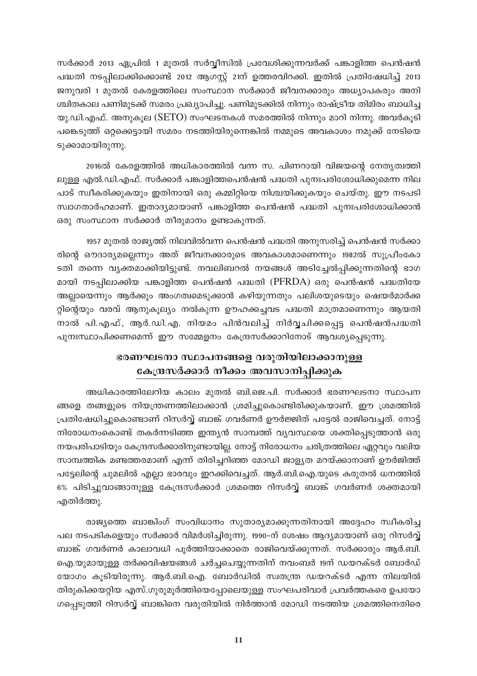സർക്കാർ 2013 ഏപ്രിൽ 1 മുതൽ സർവ്വീസിൽ പ്രവേശിക്കുന്നവർക്ക് പങ്കാളിത്ത പെൻഷൻ പദ്ധതി നടപ്പിലാക്കിക്കൊണ്ട് 2012 ആഗസ്റ്റ് 21ന് ഉത്തരവിറക്കി. ഇതിൽ പ്രതിഷേധിച്ച് 2013 ജനുവരി 1 മുതൽ കേരളത്തിലെ സംസ്ഥാന സർക്കാർ ജീവനക്കാരും അധ്യാപകരും അനി ശ്ചിതകാല പണിമുടക്ക് സമരം പ്രഖ്യാപിച്ചു. പണിമുടക്കിൽ നിന്നും രാഷ്ട്രീയ തിമിരം ബാധിച്ച യു.ഡി.എഫ്. അനുകൂല ( $\rm SETO$ ) സംഘടനകൾ സമരത്തിൽ നിന്നും മാറി നിന്നു. അവർകൂടി പങ്കെടുത്ത് ഒറ്റക്കെട്ടായി സമരം നടത്തിയിരുന്നെങ്കിൽ നമ്മുടെ അവകാശം നമുക്ക് നേടിയെ ടുക്കാമായിരുന്നു.

2016ൽ കേരളത്തിൽ അധികാരത്തിൽ വന്ന സ. പിണറായി വിജയന്റെ നേതൃത്വത്തി ലുള്ള എൽ.ഡി.എഫ്. സർക്കാർ പങ്കാളിത്തപെൻഷൻ പദ്ധതി പുനഃപരിശോധിക്കുമെന്ന നില പാട് സ്വീകരിക്കുകയും ഇതിനായി ഒരു കമ്മിറ്റിയെ നിശ്ചയിക്കുകയും ചെയ്തു. ഈ നടപടി സ്വാഗതാർഹമാണ്. ഇതാദ്യമായാണ് പങ്കാളിത്ത പെൻഷൻ പദ്ധതി പുനഃപരിശോധിക്കാൻ ഒരു സംസ്ഥാന സർക്കാർ തീരുമാനം ഉണ്ടാകുന്നത്.

1957 മുതൽ രാജൃത്ത് നിലവിൽവന്ന പെൻഷൻ പദ്ധതി അനുസരിച്ച് പെൻഷൻ സർക്കാ രിന്റെ ഔദാര്യമല്ലെന്നും അത് ജീവനക്കാരുടെ അവകാശമാണെന്നും 1982ൽ സുപ്രീംകോ ടതി തന്നെ വൃക്തമാക്കിയിട്ടുണ്ട്. നവലിബറൽ നയങ്ങൾ അടിച്ചേൽപ്പിക്കുന്നതിന്റെ ഭാഗ മായി നടപ്പിലാക്കിയ പങ്കാളിത്ത പെൻഷൻ പദ്ധതി (PFRDA) ഒരു പെൻഷൻ പദ്ധതിയേ അല്ലായെന്നും ആർക്കും അംഗത്വമെടുക്കാൻ കഴിയുന്നതും പലിശയുടെയും ഷെയർമാർക്ക റ്റിന്റെയും വരവ് ആനുകൂല്യം നൽകുന്ന ഊഹക്കച്ചവട പദ്ധതി മാത്രമാണെന്നും ആയതി നാൽ പി.എഫ്, ആർ.ഡി.എ. നിയമം പിൻവലിച്ച് നിർവ്വചിക്കപ്പെട്ട പെൻഷൻപദ്ധതി പുനഃസ്ഥാപിക്കണമെന്ന് ഈ സമ്മേളനം കേന്ദ്രസർക്കാറിനോട് ആവശ്യപ്പെടുന്നു.

# ഭരണഘടനാ സ്ഥാപനങ്ങളെ വരുതിയിലാക്കാനുള്ള €കαങസർക്കാർ നീക്കം അവസാനിപ്പിക്കുക

അധികാരത്തിലേറിയ കാലം മുതൽ ബി.ജെ.പി. സർക്കാർ ഭരണഘടനാ സ്ഥാപന ങ്ങളെ തങ്ങളുടെ നിയന്ത്രണത്തിലാക്കാൻ ശ്രമിച്ചുകൊണ്ടിരിക്കുകയാണ്. ഈ ശ്രമത്തിൽ (പതിഷേധിച്ചുകൊണ്ടാണ് റിസർവ്വ് ബാങ്ക് ഗവർണർ ഊർജ്ജിത് പട്ടേൽ രാജിവെച്ചത്. നോട്ട്  $\Omega$ നിരോധനംകൊണ്ട് തകർന്നടിഞ്ഞ ഇന്ത്യൻ സാമ്പത്ത് വ്യവസ്ഥയെ ശക്തിപ്പെടുത്താൻ ഒരു നയപരിപാടിയും കേന്ദ്രസർക്കാരിനുണ്ടായില്ല. നോട്ട് നിരോധനം ചരിത്രത്തിലെ ഏറ്റവും വലിയ സാമ്പത്തിക മണ്ടത്തരമാണ് എന്ന് തിരിച്ചറിഞ്ഞ മോഡി ജാളൃത മറയ്ക്കാനാണ് ഊർജിത്ത് പട്ടേലിന്റെ ചുമലിൽ എല്ലാ ഭാരവും ഇറക്കിവെച്ചത്. ആർ.ബി.ഐ.യുടെ കരുതൽ ധനത്തിൽ 6% പിടിച്ചുവാങ്ങാനുള്ള കേന്ദ്രസർക്കാർ ശ്രമത്തെ റിസർവ്വ് ബാങ്ക് ഗവർണർ ശക്തമായി എതിർത്തു.

രാജ്യത്തെ ബാങ്കിംഗ് സംവിധാനം സുതാര്യമാക്കുന്നതിനായി അദ്ദേഹം സ്വീകരിച്ച പല നടപടികളെയും സർക്കാർ വിമർശിച്ചിരുന്നു. 1990-ന് ശേഷം ആദൃമായാണ് ഒരു റിസർവ്മ് ബാങ്ക് ഗവർണർ കാലാവധി പൂർത്തിയാക്കാതെ രാജിവെയ്ക്കുന്നത്. സർക്കാരും ആർ.ബി. ഐ.യുമായുള്ള തർക്കവിഷയങ്ങൾ ചർച്ചചെയ്യുന്നതിന് നവംബർ 19ന് ഡയറക്ടർ ബോർഡ് യോഗം കൂടിയിരുന്നു. ആർ.ബി.ഐ. ബോർഡിൽ സ്വതന്ത്ര ഡയറക്ടർ എന്ന നിലയിൽ തിരുകിക്കയറ്റിയ എസ്.ഗുരുമൂർത്തിയെപ്പോലെയുള്ള സംഘപരിവാർ പ്രവർത്തകരെ ഉപയോ ഗപ്പെടുത്തി റിസർവ്വ് ബാങ്കിനെ വരുതിയിൽ നിർത്താൻ മോഡി നടത്തിയ ശ്രമത്തിനെതിരെ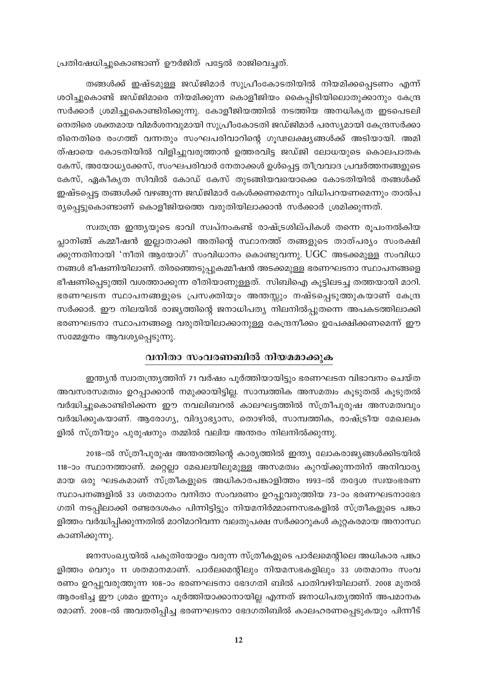പ്രതിഷേധിച്ചുകൊണ്ടാണ് ഊർജിത് പട്ടേൽ രാജിവെച്ചത്.

തങ്ങൾക്ക് ഇഷ്ടമുള്ള ജഡ്ജിമാർ സുപ്രീംകോടതിയിൽ നിയമിക്കപ്പെടണം എന്ന് ശഠിച്ചുകൊണ്ട് ജഡ്ജിമാരെ നിയമിക്കുന്ന കൊളീജിയം കൈപ്പിടിയിലൊതുക്കാനും കേന്ദ്ര സർക്കാർ ശ്രമിച്ചുകൊണ്ടിരിക്കുന്നു. കോളീജിയത്തിൽ നടത്തിയ അനധികൃത ഇടപെടലി നെതിരെ ശക്തമായ വിമർശനവുമായി സുപ്രീംകോടതി ജഡ്ജിമാർ പരസ്യമായി കേന്ദ്രസർക്കാ രിനെതിരെ രംഗത്ത് വന്നതും സംഘപരിവാറിന്റെ ഗൂഢലക്ഷ്യങ്ങൾക്ക് അടിയായി. അമി ത്ഷായെ കോടതിയിൽ വിളിച്ചുവരുത്താൻ ഉത്തരവിട്ട ജഡ്ജി ലോധയുടെ കൊലപാതക കേസ്, അയോധ്യക്കേസ്, സംഘപരിവാർ നേതാക്കൾ ഉൾപ്പെട്ട തീവ്രവാദ പ്രവർത്തനങ്ങളുടെ കേസ്, ഏകീകൃത സിവിൽ കോഡ് കേസ് തുടങ്ങിയവയൊക്കെ കോടതിയിൽ തങ്ങൾക്ക് ഇഷ്ടപ്പെട്ട തങ്ങൾക്ക് വഴങ്ങുന്ന ജഡ്ജിമാർ കേൾക്കണമെന്നും വിധിപറയണമെന്നും താൽപ ര്യപ്പെട്ടുകൊണ്ടാണ് കൊളീജിയത്തെ വരുതിയിലാക്കാൻ സർക്കാർ ശ്രമിക്കുന്നത്.

സ്വതന്ത്ര ഇന്ത്യയുടെ ഭാവി സ്വപ്നംകണ്ട് രാഷ്ട്രശില്പികൾ തന്നെ രൂപംനൽകിയ പ്ലാനിങ്ങ് കമ്മീഷൻ ഇല്ലാതാക്കി അതിന്റെ സ്ഥാനത്ത് തങ്ങളുടെ താത്പര്യം സംരക്ഷി ക്കുന്നതിനായി 'നീതി ആയോഗ്' സംവിധാനം കൊണ്ടുവന്നു. UGC അടക്കമുള്ള സംവിധാ നങ്ങൾ ഭീഷണിയിലാണ്. തിരഞ്ഞെടുപ്പുകമ്മീഷൻ അടക്കമുള്ള ഭരണഘടനാ സ്ഥാപനങ്ങളെ ഭീഷണിപ്പെടുത്തി വശത്താക്കുന്ന രീതിയാണുള്ളത്. സിബിഐ കൂട്ടിലടച്ച തത്തയായി മാറി. ഭരണഘടന സ്ഥാപനങ്ങളുടെ പ്രസക്തിയും അന്തസ്സും നഷ്ടപ്പെടുത്തുകയാണ് കേന്ദ്ര സർക്കാർ. ഈ നിലയിൽ രാജ്യത്തിന്റെ ജനാധിപത്യ നിലനിൽപ്പുതന്നെ അപകടത്തിലാക്കി ഭരണഘടനാ സ്ഥാപനങ്ങളെ വരുതിയിലാക്കാനുള്ള കേന്ദ്രനീക്കം ഉപേക്ഷിക്കണമെന്ന് ഈ സമ്മേളനം ആവശ്യപ്പെടുന്നു.

#### വനിതാ സംവരണബിൽ നിയമമാക്കുക

ഇന്ത്യൻ സ്വാതന്ത്ര്യത്തിന് 71 വർഷം പൂർത്തിയായിട്ടും ഭരണഘടന വിഭാവനം ചെയ്ത അവസരസമത്വം ഉറപ്പാക്കാൻ നമുക്കായിട്ടില്ല. സാമ്പത്തിക അസമത്വം കൂടുതൽ കൂടുതൽ വർദ്ധിച്ചുകൊണ്ടിരിക്കന്ന ഈ നവലിബറൽ കാലഘട്ടത്തിൽ സ്ത്രീപുരുഷ അസമത്വവും വർദ്ധിക്കുകയാണ്. ആരോഗ്യ, വിദ്യാഭ്യാസ, തൊഴിൽ, സാമ്പത്തിക, രാഷ്ട്രീയ മേഖലക ളിൽ സ്ത്രീയും പുരുഷനും തമ്മിൽ വലിയ അന്തരം നിലനിൽക്കുന്നു.

2018-ൽ സ്ത്രീപുരുഷ അന്തരത്തിന്റെ കാര്യത്തിൽ ഇന്ത്യ ലോകരാജ്യങ്ങൾക്കിടയിൽ 118-ാം സ്ഥാനത്താണ്. മറ്റെല്ലാ മേഖലയിലുമുള്ള അസമത്വം കുറയ്ക്കുന്നതിന് അനിവാര്യ മായ ഒരു ഘടകമാണ് സ്ത്രീകളുടെ അധികാരപങ്കാളിത്തം 1993-ൽ തദ്ദേശ സ്വയംഭരണ സ്ഥാപനങ്ങളിൽ 33 ശതമാനം വനിതാ സംവരണം ഉറപ്പുവരുത്തിയ 73–ാം ഭരണഘടനാഭേദ ഗതി നടപ്പിലാക്കി രണ്ടരദശകം പിന്നിട്ടിട്ടും നിയമനിർമ്മാണസഭകളിൽ സ്ത്രീകളുടെ പങ്കാ ളിത്തം വർദ്ധിപ്പിക്കുന്നതിൽ മാറിമാറിവന്ന വലതുപക്ഷ സർക്കാറുകൾ കുറ്റകരമായ അനാസ്ഥ കാണിക്കുന്നു.

ജനസംഖ്യയിൽ പകുതിയോളം വരുന്ന സ്ത്രീകളുടെ പാർലമെന്റിലെ അധികാര പങ്കാ ളിത്തം വെറും 11 ശതമാനമാണ്. പാർലമെന്റിലും നിയമസഭകളിലും 33 ശതമാനം സംവ രണം ഉറപ്പുവരുത്തുന്ന 108–ാം ഭരണഘടനാ ഭേദഗതി ബിൽ പാതിവഴിയിലാണ്. 2008 മുതൽ ആരംഭിച്ച ഈ ശ്രമം ഇന്നും പൂർത്തിയാക്കാനായില്ല എന്നത് ജനാധിപത്യത്തിന് അപമാനക രമാണ്. 2008-ൽ അവതരിപ്പിച്ച ഭരണഘടനാ ഭേദഗതിബിൽ കാലഹരണപ്പെടുകയും പിന്നീട്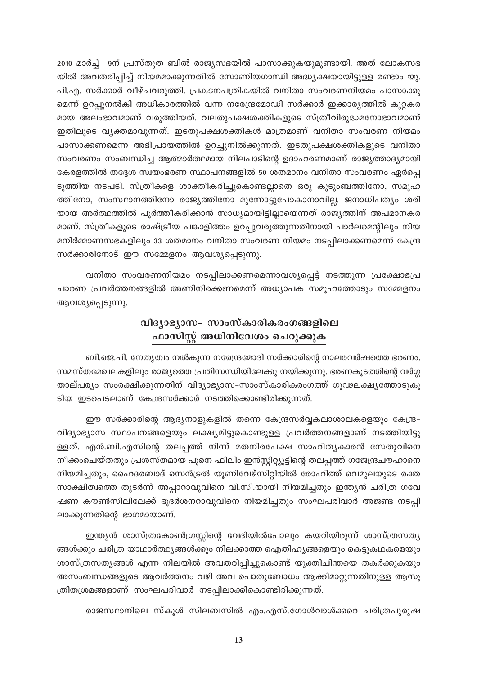2010 മാർച്ച് 9ന് പ്രസ്തുത ബിൽ രാജ്യസഭയിൽ പാസാക്കുകയുമുണ്ടായി. അത് ലോകസഭ യിൽ അവതരിപ്പിച്ച് നിയമമാക്കുന്നതിൽ സോണിയഗാന്ധി അദ്ധ്യക്ഷയായിട്ടുള്ള രണ്ടാം യു. പി.എ. സർക്കാർ വീഴ്ചവരുത്തി. പ്രകടനപത്രികയിൽ വനിതാ സംവരണനിയമം പാസാക്കു മെന്ന് ഉറപ്പുനൽകി അധികാരത്തിൽ വന്ന നരേന്ദ്രമോഡി സർക്കാർ ഇക്കാര്യത്തിൽ കുറ്റകര മായ അലംഭാവമാണ് വരുത്തിയത്. വലതുപക്ഷശക്തികളുടെ സ്ത്രീവിരുദ്ധമനോഭാവമാണ് ഇതിലൂടെ വ്യക്തമാവുന്നത്. ഇടതുപക്ഷശക്തികൾ മാത്രമാണ് വനിതാ സംവരണ നിയമം പാസാക്കണമെന്ന അഭിപ്രായത്തിൽ ഉറച്ചുനിൽക്കുന്നത്. ഇടതുപക്ഷശക്തികളുടെ വനിതാ സംവരണം സംബന്ധിച്ച ആത്മാർത്ഥമായ നിലപാടിന്റെ ഉദാഹരണമാണ് രാജ്യത്താദ്യമായി കേരളത്തിൽ തദ്ദേശ സ്വയംഭരണ സ്ഥാപനങ്ങളിൽ 50 ശതമാനം വനിതാ സംവരണം ഏർപ്പെ ടുത്തിയ നടപടി. സ്ത്രീകളെ ശാക്തീകരിച്ചുകൊണ്ടല്ലാതെ ഒരു കുടുംബത്തിനോ, സമൂഹ ത്തിനോ, സംസ്ഥാനത്തിനോ രാജ്യത്തിനോ മുന്നോട്ടുപോകാനാവില്ല. ജനാധിപത്യം ശരി യായ അർത്ഥത്തിൽ പൂർത്തീകരിക്കാൻ സാധ്യമായിട്ടില്ലായെന്നത് രാജ്യത്തിന് അപമാനകര മാണ്. സ്ത്രീകളുടെ രാഷ്ട്രീയ പങ്കാളിത്തം ഉറപ്പുവരുത്തുന്നതിനായി പാർലമെന്റിലും നിയ മനിർമ്മാണസഭകളിലും 33 ശതമാനം വനിതാ സംവരണ നിയമം നടപ്പിലാക്കണമെന്ന് കേന്ദ്ര സർക്കാരിനോട് ഈ സമ്മേളനം ആവശ്യപ്പെടുന്നു.

വനിതാ സംവരണനിയമം നടപ്പിലാക്കണമെന്നാവശ്യപ്പെട്ട് നടത്തുന്ന പ്രക്ഷോഭപ്ര ചാരണ പ്രവർത്തനങ്ങളിൽ അണിനിരക്കണമെന്ന് അധ്യാപക സമൂഹത്തോടും സമ്മേളനം ആവശ്യപ്പെടുന്നു.

# വിദ്യാഭ്യാസ– സാംസ്കാരികരംഗങ്ങളിലെ ഫാസിസ്റ്റ് അധിനിവേശം ചെറുക്കുക

ബി.ജെ.പി. നേതൃത്വം നൽകുന്ന നരേന്ദ്രമോദി സർക്കാരിന്റെ നാലരവർഷത്തെ ഭരണം, സമസ്തമേഖലകളിലും രാജ്യത്തെ പ്രതിസന്ധിയിലേക്കു നയിക്കുന്നു. ഭരണകൂടത്തിന്റെ വർഗ്ഗ താല്പര്യം സംരക്ഷിക്കുന്നതിന് വിദ്യാഭ്യാസ–സാംസ്കാരികരംഗത്ത് ഗൂഢലക്ഷ്യത്തോടുകൂ ടിയ ഇടപെടലാണ് കേന്ദ്രസർക്കാർ നടത്തിക്കൊണ്ടിരിക്കുന്നത്.

ഈ സർക്കാരിന്റെ ആദ്യനാളുകളിൽ തന്നെ കേന്ദ്രസർവ്വകലാശാലകളെയും കേന്ദ്ര-വിദ്യാഭ്യാസ സ്ഥാപനങ്ങളെയും ലക്ഷ്യമിട്ടുകൊണ്ടുള്ള പ്രവർത്തനങ്ങളാണ് നടത്തിയിട്ടു ള്ളത്. എൻ.ബി.എസിന്റെ തലപ്പത്ത് നിന്ന് മതനിരപേക്ഷ സാഹിത്യകാരൻ സേതുവിനെ നീക്കംചെയ്തതും പ്രശസ്തമായ പൂനെ ഫിലിം ഇൻസ്റ്റിറ്റ്യൂട്ടിന്റെ തലപ്പത്ത് ഗജേന്ദ്രചൗഹാനെ നിയമിച്ചതും, ഹൈദരബാദ് സെൻട്രൽ യൂണിവേഴ്സിറ്റിയിൽ രോഹിത്ത് വെമുലയുടെ രക്ത സാക്ഷിത്വത്തെ തുടർന്ന് അപ്പാറാവുവിനെ വി.സി.യായി നിയമിച്ചതും ഇന്ത്യൻ ചരിത്ര ഗവേ ഷണ കൗൺസിലിലേക്ക് ഭൂദർശനറാവുവിനെ നിയമിച്ചതും സംഘപരിവാർ അജണ്ട നടപ്പി ലാക്കുന്നതിന്റെ ഭാഗമായാണ്.

ഇന്ത്യൻ ശാസ്ത്രകോൺഗ്രസ്സിന്റെ വേദിയിൽപോലും കയറിയിരുന്ന് ശാസ്ത്രസത്യ ങ്ങൾക്കും ചരിത്ര യാഥാർത്ഥ്യങ്ങൾക്കും നിലക്കാത്ത ഐതിഹ്യങ്ങളെയും കെട്ടുകഥകളെയും ശാസ്ത്രസത്യങ്ങൾ എന്ന നിലയിൽ അവതരിപ്പിച്ചുകൊണ്ട് യുക്തിചിന്തയെ തകർക്കുകയും അസംബന്ധങ്ങളുടെ ആവർത്തനം വഴി അവ പൊതുബോധം ആക്കിമാറ്റുന്നതിനുള്ള ആസൂ ത്രിതശ്രമങ്ങളാണ് സംഘപരിവാർ നടപ്പിലാക്കികൊണ്ടിരിക്കുന്നത്.

രാജസ്ഥാനിലെ സ്കൂൾ സിലബസിൽ എം.എസ്.ഗോൾവാൾക്കറെ ചരിത്രപുരുഷ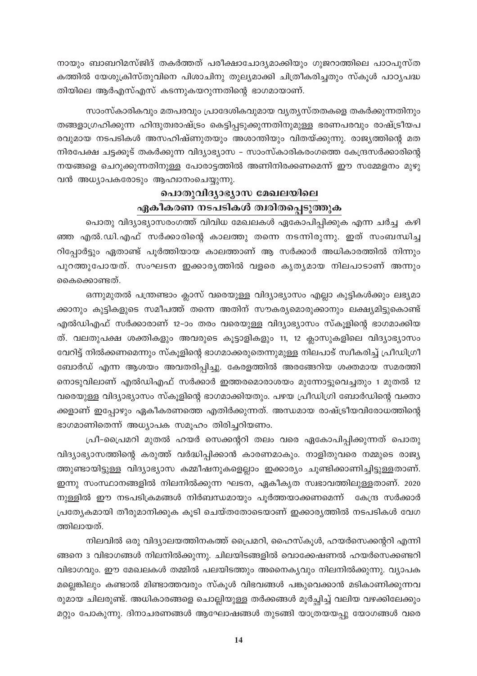നായും ബാബറിമസ്ജിദ് തകർത്തത് പരീക്ഷാചോദ്യമാക്കിയും ഗുജറാത്തിലെ പാഠപുസ്ത കത്തിൽ യേശുക്രിസ്തുവിനെ പിശാചിനു തുല്യമാക്കി ചിത്രീകരിച്ചതും സ്കൂൾ പാഠ്യപദ്ധ തിയിലെ ആർഎസ്എസ് കടന്നുകയറുന്നതിന്റെ ഭാഗമായാണ്.

സാംസ്കാരികവും മതപരവും പ്രാദേശികവുമായ വ്യത്യസ്തതകളെ തകർക്കുന്നതിനും തങ്ങളാഗ്രഹിക്കുന്ന ഹിന്ദുത്വരാഷ്ട്രം കെട്ടിപ്പടുക്കുന്നതിനുമുള്ള ഭരണപരവും രാഷ്ട്രീയപ രവുമായ നടപടികൾ അസഹിഷ്ണുതയും അശാന്തിയും വിതയ്ക്കുന്നു. രാജ്യത്തിന്റെ മത നിരപേക്ഷ ചട്ടക്കൂട് തകർക്കുന്ന വിദ്യാഭ്യാസ – സാംസ്കാരികരംഗത്തെ കേന്ദ്രസർക്കാരിന്റെ നയങ്ങളെ ചെറുക്കുന്നതിനുള്ള പോരാട്ടത്തിൽ അണിനിരക്കണമെന്ന് ഈ സമ്മേളനം മുഴു വൻ അധ്യാപകരോടും ആഹ്വാനംചെയ്യുന്നു.

# പൊതുവിദ്യാഭ്യാസ മേഖലയിലെ ഏകീകരണ നടപടികൾ ത്വരിതപ്പെടുത്തുക

പൊതു വിദ്യാഭ്യാസരംഗത്ത് വിവിധ മേഖലകൾ ഏകോപിപ്പിക്കുക എന്ന ചർച്ച കഴി ഞ്ഞ എൽ.ഡി.എഫ് സർക്കാരിന്റെ കാലത്തു തന്നെ നടന്നിരുന്നു. ഇത് സംബന്ധിച്ച റിപ്പോർട്ടും ഏതാണ്ട് പൂർത്തിയായ കാലത്താണ് ആ സർക്കാർ അധികാരത്തിൽ നിന്നും പുറത്തുപോയത്. സംഘടന ഇക്കാരൃത്തിൽ വളരെ കൃതൃമായ നിലപാടാണ് അന്നും കൈക്കൊണ്ടത്.

ഒന്നുമുതൽ പന്ത്രണ്ടാം ക്ലാസ് വരെയുള്ള വിദ്യാഭ്യാസം എല്ലാ കുട്ടികൾക്കും ലഭ്യമാ ക്കാനും കുട്ടികളുടെ സമീപത്ത് തന്നെ അതിന് സൗകര്യമൊരുക്കാനും ലക്ഷ്യമിട്ടുകൊണ്ട് എൽഡിഎഫ് സർക്കാരാണ് 12–ാം തരം വരെയുള്ള വിദ്യാഭ്യാസം സ്കൂളിന്റെ ഭാഗമാക്കിയ ത്. വലതുപക്ഷ ശക്തികളും അവരുടെ കൂട്ടാളികളും 11, 12 ക്ലാസുകളിലെ വിദ്യാഭ്യാസം വേറിട്ട് നിൽക്കണമെന്നും സ്കൂളിന്റെ ഭാഗമാക്കരുതെന്നുമുള്ള നിലപാട് സ്വീകരിച്ച് പ്രീഡിഗ്രീ ബോർഡ് എന്ന ആശയം അവതരിപ്പിച്ചു. കേരളത്തിൽ അരങ്ങേറിയ ശക്തമായ സമരത്തി നൊടുവിലാണ് എൽഡിഎഫ് സർക്കാർ ഇത്തരമൊരാശയം മുന്നോട്ടുവെച്ചതും 1 മുതൽ 12 വരെയുള്ള വിദ്യാഭ്യാസം സ്കൂളിന്റെ ഭാഗമാക്കിയതും. പഴയ പ്രീഡിഗ്രി ബോർഡിന്റെ വക്താ ക്കളാണ് ഇപ്പോഴും ഏകീകരണത്തെ എതിർക്കുന്നത്. അന്ധമായ രാഷ്ട്രീയവിരോധത്തിന്റെ ഭാഗമാണിതെന്ന് അധ്യാപക സമൂഹം തിരിച്ചറിയണം.

പ്രീ-പ്രൈമറി മുതൽ ഹയർ സെക്കന്ററി തലം വരെ ഏകോപിപ്പിക്കുന്നത് പൊതു വിദ്യാഭ്യാസത്തിന്റെ കരുത്ത് വർദ്ധിപ്പിക്കാൻ കാരണമാകും. നാളിതുവരെ നമ്മുടെ രാജ്യ ത്തുണ്ടായിട്ടുള്ള വിദ്യാഭ്യാസ കമ്മീഷനുകളെല്ലാം ഇക്കാര്യം ചൂണ്ടിക്കാണിച്ചിട്ടുള്ളതാണ്. ഇന്നു സംസ്ഥാനങ്ങളിൽ നിലനിൽക്കുന്ന ഘടന, ഏകീകൃത സ്വഭാവത്തിലുള്ളതാണ്. 2020 നുള്ളിൽ ഈ നടപടിക്രമങ്ങൾ നിർബന്ധമായും പൂർത്തയാക്കണമെന്ന് കേന്ദ്ര സർക്കാർ പ്രത്യേകമായി തീരുമാനിക്കുക കൂടി ചെയ്തതോടെയാണ് ഇക്കാര്യത്തിൽ നടപടികൾ വേഗ ത്തിലായത്.

നിലവിൽ ഒരു വിദ്യാലയത്തിനകത്ത് പ്രൈമറി, ഹൈസ്കൂൾ, ഹയർസെക്കന്ററി എന്നി ങ്ങനെ 3 വിഭാഗങ്ങൾ നിലനിൽക്കുന്നു. ചിലയിടങ്ങളിൽ വൊക്കേഷണൽ ഹയർസെക്കണ്ടറി വിഭാഗവും. ഈ മേഖലകൾ തമ്മിൽ പലയിടത്തും അനൈകൃവും നിലനിൽക്കുന്നു. വ്യാപക മല്ലെങ്കിലും കണ്ടാൽ മിണ്ടാത്തവരും സ്കൂൾ വിഭവങ്ങൾ പങ്കുവെക്കാൻ മടികാണിക്കുന്നവ രുമായ ചിലരുണ്ട്. അധികാരങ്ങളെ ചൊല്ലിയുള്ള തർക്കങ്ങൾ മൂർച്ഛിച്ച് വലിയ വഴക്കിലേക്കും മറ്റും പോകുന്നു. ദിനാചരണങ്ങൾ ആഘോഷങ്ങൾ തുടങ്ങി യാത്രയയപ്പു യോഗങ്ങൾ വരെ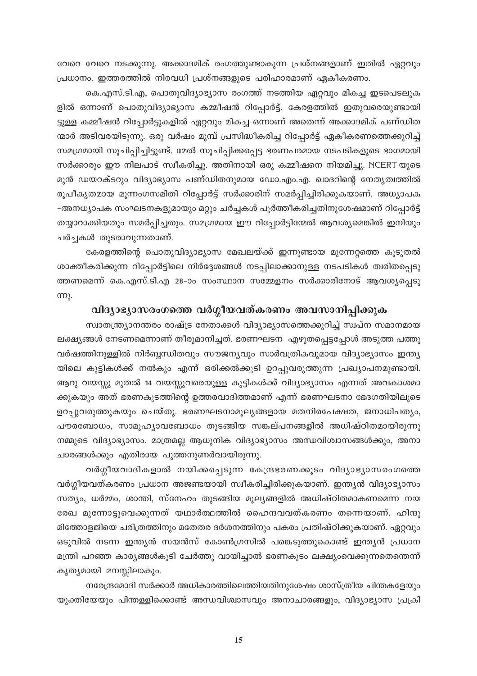വേറെ വേറെ നടക്കുന്നു. അക്കാദമിക് രംഗത്തുണ്ടാകുന്ന പ്രശ്നങ്ങളാണ് ഇതിൽ ഏറ്റവും പ്രധാനം. ഇത്തരത്തിൽ നിരവധി പ്രശ്നങ്ങളുടെ പരിഹാരമാണ് ഏകീകരണം.

കെ.എസ്.ടി.എ, പൊതുവിദ്യാഭ്യാസ രംഗത്ത് നടത്തിയ ഏറ്റവും മികച്ച ഇടപെടലുക ളിൽ ഒന്നാണ് പൊതുവിദ്യാഭ്യാസ കമ്മീഷൻ റിപ്പോർട്ട്. കേരളത്തിൽ ഇതുവരെയുണ്ടായി ട്ടുള്ള കമ്മീഷൻ റിപ്പോർട്ടുകളിൽ ഏറ്റവും മികച്ച ഒന്നാണ് അതെന്ന് അക്കാദമിക് പണ്ഡിത ന്മാർ അടിവരയിടുന്നു. ഒരു വർഷം മുമ്പ് പ്രസിദ്ധീകരിച്ച റിപ്പോർട്ട് ഏകീകരണത്തെക്കുറിച്ച് സമഗ്രമായി സൂചിപ്പിച്ചിട്ടുണ്ട്. മേൽ സൂചിപ്പിക്കപ്പെട്ട ഭരണപരമായ നടപടികളുടെ ഭാഗമായി സർക്കാരും ഈ നിലപാട് സ്വീകരിച്ചു. അതിനായി ഒരു കമ്മീഷനെ നിയമിച്ചു. NCERT യുടെ മുൻ ഡയറക്ടറും വിദ്യാഭ്യാസ പണ്ഡിതനുമായ ഡോ.എം.എ. ഖാദറിന്റെ നേതൃത്വത്തിൽ രൂപീകൃതമായ മൂന്നംഗസമിതി റിപ്പോർട്ട് സർക്കാരിന് സമർപ്പിച്ചിരിക്കുകയാണ്. അധ്യാപക -അനധ്യാപക സംഘടനകളുമായും മറ്റും ചർച്ചകൾ പൂർത്തീകരിച്ചതിനുശേഷമാണ് റിപ്പോർട്ട് തയ്യാറാക്കിയതും സമർപ്പിച്ചതും. സമഗ്രമായ ഈ റിപ്പോർട്ടിന്മേൽ ആവശ്യമെങ്കിൽ ഇനിയും ചർച്ചകൾ തുടരാവുന്നതാണ്.

കേരളത്തിന്റെ പൊതുവിദ്യാഭ്യാസ മേഖലയ്ക്ക് ഇന്നുണ്ടായ മുന്നേറ്റത്തെ കൂടുതൽ ശാക്തീകരിക്കുന്ന റിപ്പോർട്ടിലെ നിർദ്ദേശങ്ങൾ നടപ്പിലാക്കാനുള്ള നടപടികൾ ത്വരിതപ്പെടു ത്തണമെന്ന് കെ.എസ്.ടി.എ 28–ാം സംസ്ഥാന സമ്മേളനം സർക്കാരിനോട് ആവശ്യപ്പെടു  $π$ ).

### വിദ്യാഭ്യാസരംഗത്തെ വർഗ്ഗീയവത്കരണം അവസാനിപ്പിക്കുക

സ്വാതന്ത്ര്യാനന്തരം രാഷ്ട്ര നേതാക്കൾ വിദ്യാഭ്യാസത്തെക്കുറിച്ച് സ്ഥ്ന സമാനമായ ലക്ഷ്യങ്ങൾ നേടണമെന്നാണ് തീരുമാനിച്ചത്. ഭരണഘടന എഴുതപ്പെട്ടപ്പോൾ അടുത്ത പത്തു വർഷത്തിനുള്ളിൽ നിർബ്ബന്ധിതവും സൗജന്യവും സാർവത്രികവുമായ വിദ്യാഭ്യാസം ഇന്ത്യ യിലെ കുട്ടികൾക്ക് നൽകും എന്ന് ഒരിക്കൽക്കൂടി ഉറപ്പുവരുത്തുന്ന പ്രഖ്യാപനമുണ്ടായി. ആറു വയസ്സു മുതൽ 14 വയസ്സുവരെയുള്ള കുട്ടികൾക്ക് വിദ്യാഭ്യാസം എന്നത് അവകാശമാ ക്കുകയും അത് ഭരണകൂടത്തിന്റെ ഉത്തരവാദിത്തമാണ് എന്ന് ഭരണഘടനാ ഭേദഗതിയിലൂടെ ഉറപ്പുവരുത്തുകയും ചെയ്തു. ഭരണഘടനാമൂല്യങ്ങളായ മതനിരപേക്ഷത, ജനാധിപത്യം, പൗരബോധം, സാമൂഹ്യാവബോധം തുടങ്ങിയ സങ്കല്പനങ്ങളിൽ അധിഷ്ഠിതമായിരുന്നു നമ്മുടെ വിദ്യാഭ്യാസം. മാത്രമല്ല ആധുനിക വിദ്യാഭ്യാസം അന്ധവിശ്വാസങ്ങൾക്കും, അനാ ചാരങ്ങൾക്കും എതിരായ പുത്തനുണർവായിരുന്നു.

വർഗ്ഗീയവാദികളാൽ നയിക്കപ്പെടുന്ന കേന്ദ്രഭരണക്കൂടം വിദ്യാഭ്യാസരംഗത്തെ വർഗ്ഗീയവത്കരണം പ്രധാന അജണ്ടയായി സ്വീകരിച്ചിരിക്കുകയാണ്. ഇന്ത്യൻ വിദ്യാഭ്യാസം സത്യം, ധർമ്മം, ശാന്തി, സ്നേഹം തുടങ്ങിയ മൂല്യങ്ങളിൽ അധിഷ്ഠിതമാകണമെന്ന നയ രേഖ മുന്നോട്ടുവെക്കുന്നത് യഥാർത്ഥത്തിൽ ഹൈന്ദവവത്കരണം തന്നെയാണ്. ഹിന്ദു മിത്തോളജിയെ ചരിത്രത്തിനും മതേതര ദർശനത്തിനും പകരം പ്രതിഷ്ഠിക്കുകയാണ്. ഏറ്റവും ഒടുവിൽ നടന്ന ഇന്ത്യൻ സയൻസ് കോൺഗ്രസിൽ പങ്കെടുത്തുകൊണ്ട് ഇന്ത്യൻ പ്രധാന മന്ത്രി പറഞ്ഞ കാര്യങ്ങൾകൂടി ചേർത്തു വായിച്ചാൽ ഭരണകൂടം ലക്ഷ്യംവെക്കുന്നതെന്തെന്ന് കൃത്യമായി മനസ്സിലാകും.

നരേന്ദ്രമോദി സർക്കാർ അധികാരത്തിലെത്തിയതിനുശേഷം ശാസ്ത്രീയ ചിന്തകളേയും യുക്തിയേയും പിന്തള്ളിക്കൊണ്ട് അന്ധവിശ്വാസവും അനാചാരങ്ങളും, വിദ്യാഭ്യാസ പ്രക്രി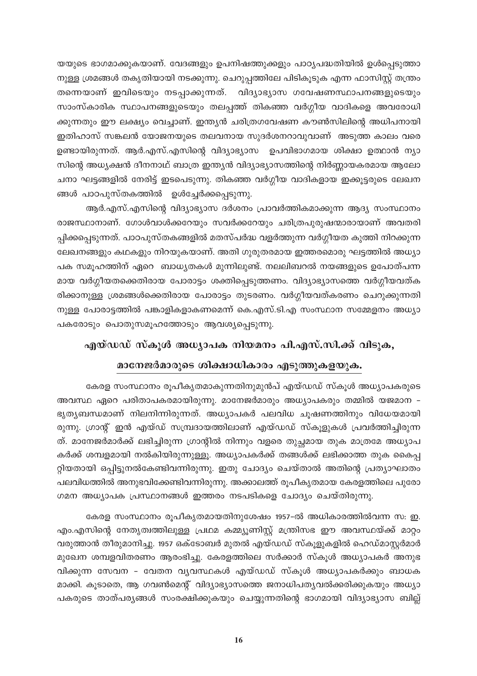യയുടെ ഭാഗമാക്കുകയാണ്. വേദങ്ങളും ഉപനിഷത്തുക്കളും പാഠൃപദ്ധതിയിൽ ഉൾപ്പെടുത്താ നുള്ള ശ്രമങ്ങൾ തകൃതിയായി നടക്കുന്നു. ചെറുപ്പത്തിലേ പിടികൂടുക എന്ന ഫാസിസ്റ്റ് തന്ത്രം തന്നെയാണ് ഇവിടെയും നടപ്പാക്കുന്നത്. വിദ്യാഭ്യാസ ഗവേഷണസ്ഥാപനങ്ങളുടെയും സാംസ്കാരിക സ്ഥാപനങ്ങളുടെയും തലപ്പത്ത് തികഞ്ഞ വർഗ്ഗീയ വാദികളെ അവരോധി ക്കുന്നതും ഈ ലക്ഷ്യം വെച്ചാണ്. ഇന്ത്യൻ ചരിത്രഗവേഷണ കൗൺസിലിന്റെ അധിപനായി ഇതിഹാസ് സങ്കലൻ യോജനയുടെ തലവനായ സുദർശനറാവുവാണ് അടുത്ത കാലം വരെ ഉണ്ടായിരുന്നത്. ആർ.എസ്.എസിന്റെ വിദ്യാഭ്യാസ ഉപവിഭാഗമായ ശിക്ഷാ ഉത്ഥാൻ ന്യാ സിന്റെ അധ്യക്ഷൻ ദീനനാഥ് ബാത്ര ഇന്ത്യൻ വിദ്യാഭ്യാസത്തിന്റെ നിർണ്ണായകരമായ ആലോ ചനാ ഘട്ടങ്ങളിൽ നേരിട്ട് ഇടപെടുന്നു. തികഞ്ഞ വർഗ്ഗീയ വാദികളായ ഇക്കൂട്ടരുടെ ലേഖന ങ്ങൾ പാഠപുസ്തകത്തിൽ ഉൾച്ചേർക്കപ്പെടുന്നു.

ആർ.എസ്.എസിന്റെ വിദ്യാഭ്യാസ ദർശനം പ്രാവർത്തികമാക്കുന്ന ആദ്യ സംസ്ഥാനം രാജസ്ഥാനാണ്. ഗോൾവാൾക്കറേയും സവർക്കറേയും ചരിത്രപുരുഷന്മാരായാണ് അവതരി പ്പിക്കപ്പെടുന്നത്. പാഠപുസ്തകങ്ങളിൽ മതസ്പർദ്ധ വളർത്തുന്ന വർഗ്ഗീയത കുത്തി നിറക്കുന്ന ലേഖനങ്ങളും കഥകളും നിറയുകയാണ്. അതി ഗുരുതരമായ ഇത്തരമൊരു ഘട്ടത്തിൽ അധ്യാ പക സമൂഹത്തിന് ഏറെ ബാധ്യതകൾ മുന്നിലുണ്ട്. നലലിബറൽ നയങ്ങളുടെ ഉപോത്പന്ന മായ വർഗ്ഗീയതക്കെതിരായ പോരാട്ടം ശക്തിപ്പെടുത്തണം. വിദ്യാഭ്യാസത്തെ വർഗ്ഗീയവത്ക രിക്കാനുള്ള ശ്രമങ്ങൾക്കെതിരായ പോരാട്ടം തുടരണം. വർഗ്ഗീയവത്കരണം ചെറുക്കുന്നതി നുള്ള പോരാട്ടത്തിൽ പങ്കാളികളാകണമെന്ന് കെ.എസ്.ടി.എ സംസ്ഥാന സമ്മേളനം അധ്യാ പകരോടും പൊതുസമൂഹത്തോടും ആവശ്യപ്പെടുന്നു.

### എയ്ഡഡ് സ്കൂൾ അധ്യാപക നിയമനം പി.എസ്.സി.ക്ക് വിടുക,

# മാനേജർമാരുടെ ശിക്ഷാധികാരം എടുത്തുകളയുക.

കേരള സംസ്ഥാനം രൂപീകൃതമാകുന്നതിനുമുൻപ് എയ്ഡഡ് സ്കൂൾ അധ്യാപകരുടെ അവസ്ഥ ഏറെ പരിതാപകരമായിരുന്നു. മാനേജർമാരും അധ്യാപകരും തമ്മിൽ യജമാന -ഭൃത്യബന്ധമാണ് നിലനിന്നിരുന്നത്. അധ്യാപകർ പലവിധ ചൂഷണത്തിനും വിധേയമായി രുന്നു. ഗ്രാന്റ് ഇൻ എയ്ഡ് സമ്പ്രദായത്തിലാണ് എയ്ഡഡ് സ്കൂളുകൾ പ്രവർത്തിച്ചിരുന്ന ത്. മാനേജർമാർക്ക് ലഭിച്ചിരുന്ന ഗ്രാന്റിൽ നിന്നും വളരെ തുച്ഛമായ തുക മാത്രമേ അധ്യാപ കർക്ക് ശമ്പളമായി നൽകിയിരുന്നുള്ളൂ. അധ്യാപകർക്ക് തങ്ങൾക്ക് ലഭിക്കാത്ത തുക കൈപ്പ റ്റിയതായി ഒപ്പിട്ടുനൽകേണ്ടിവന്നിരുന്നു. ഇതു ചോദ്യം ചെയ്താൽ അതിന്റെ പ്രത്യാഘാതം പലവിധത്തിൽ അനുഭവിക്കേണ്ടിവന്നിരുന്നു. അക്കാലത്ത് രൂപീകൃതമായ കേരളത്തിലെ പുരോ ഗമന അധ്യാപക പ്രസ്ഥാനങ്ങൾ ഇത്തരം നടപടികളെ ചോദ്യം ചെയ്തിരുന്നു.

കേരള സംസ്ഥാനം രൂപീകൃതമായതിനുശേഷം 1957-ൽ അധികാരത്തിൽവന്ന സ: ഇ. എം.എസിന്റെ നേതൃത്വത്തിലുള്ള പ്രഥമ കമ്മ്യൂണിസ്റ്റ് മന്ത്രിസഭ ഈ അവസ്ഥയ്ക്ക് മാറ്റം വരുത്താൻ തീരുമാനിച്ചു. 1957 ഒക്ടോബർ മുതൽ എയ്ഡഡ് സ്കൂളുകളിൽ ഹെഡ്മാസ്റ്റർമാർ മുഖേന ശമ്പളവിതരണം ആരംഭിച്ചു. കേരളത്തിലെ സർക്കാർ സ്കൂൾ അധ്യാപകർ അനുഭ വിക്കുന്ന സേവന - വേതന വ്യവസ്ഥകൾ എയ്ഡഡ് സ്കൂൾ അധ്യാപകർക്കും ബാധക മാക്കി. കൂടാതെ, ആ ഗവൺമെന്റ് വിദ്യാഭ്യാസത്തെ ജനാധിപത്യവൽക്കരിക്കുകയും അധ്യാ പകരുടെ താത്പര്യങ്ങൾ സംരക്ഷിക്കുകയും ചെയ്യുന്നതിന്റെ ഭാഗമായി വിദ്യാഭ്യാസ ബില്ല്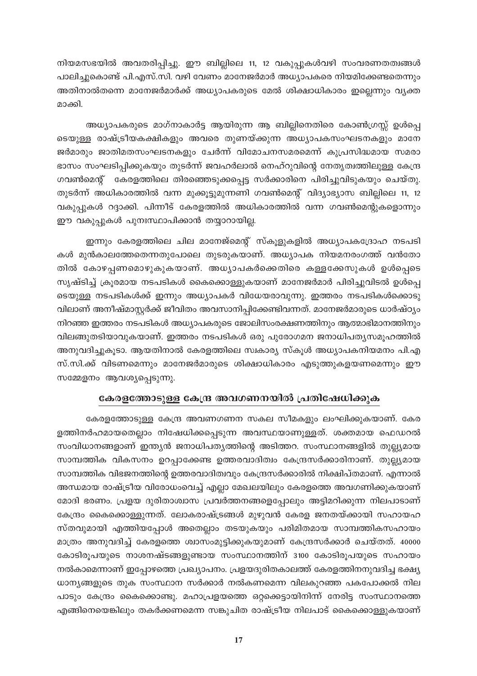നിയമസഭയിൽ അവതരിപ്പിച്ചു. ഈ ബില്ലിലെ 11, 12 വകുപ്പുകൾവഴി സംവരണതത്വങ്ങൾ പാലിച്ചുകൊണ്ട് പി.എസ്.സി. വഴി വേണം മാനേജർമാർ അധ്യാപകരെ നിയമിക്കേണ്ടതെന്നും അതിനാൽതന്നെ മാനേജർമാർക്ക് അധ്യാപകരുടെ മേൽ ശിക്ഷാധികാരം ഇല്ലെന്നും വ്യക്ത മാക്കി.

അധ്യാപകരുടെ മാഗ്നാകാർട്ട ആയിരുന്ന ആ ബില്ലിനെതിരെ കോൺഗ്രസ്സ് ഉൾപ്പെ ടെയുള്ള രാഷ്ട്രീയകക്ഷികളും അവരെ തുണയ്ക്കുന്ന അധ്യാപകസംഘടനകളും മാനേ ജർമാരും ജാതിമതസംഘടനകളും ചേർന്ന് വിമോചനസമരമെന്ന് കുപ്രസിദ്ധമായ സമരാ ഭാസം സംഘടിപ്പിക്കുകയും തുടർന്ന് ജവഹർലാൽ നെഹ്റുവിന്റെ നേതൃത്വത്തിലുള്ള കേന്ദ്ര ഗവൺമെന്റ് കേരളത്തിലെ തിരഞ്ഞെടുക്കപ്പെട്ട സർക്കാരിനെ പിരിച്ചുവിടുകയും ചെയ്തു. തുടർന്ന് അധികാരത്തിൽ വന്ന മുക്കൂട്ടുമുന്നണി ഗവൺമെന്റ് വിദ്യാഭ്യാസ ബില്ലിലെ 11, 12 വകുപ്പുകൾ റദ്ദാക്കി. പിന്നീട് കേരളത്തിൽ അധികാരത്തിൽ വന്ന ഗവൺമെന്റുകളൊന്നും ഈ വകുപ്പുകൾ പുനഃസ്ഥാപിക്കാൻ തയ്യാറായില്ല.

ഇന്നും കേരളത്തിലെ ചില മാനേജ്മെന്റ് സ്കൂളുകളിൽ അധ്യാപകദ്രോഹ നടപടി കൾ മുൻകാലത്തേതെന്നതുപോലെ തുടരുകയാണ്. അധ്യാപക നിയമനരംഗത്ത് വൻതോ തിൽ കോഴപ്പണമൊഴുകുകയാണ്. അധ്യാപകർക്കെതിരെ കള്ളക്കേസുകൾ ഉൾപ്പെടെ സൃഷ്ടിച്ച് ക്രൂരമായ നടപടികൾ കൈക്കൊള്ളുകയാണ് മാനേജർമാർ പിരിച്ചുവിടൽ ഉൾപ്പെ ടെയുള്ള നടപടികൾക്ക് ഇന്നും അധ്യാപകർ വിധേയരാവുന്നു. ഇത്തരം നടപടികൾക്കൊടു വിലാണ് അനീഷ്മാസ്റ്റർക്ക് ജീവിതം അവസാനിപ്പിക്കേണ്ടിവന്നത്. മാനേജർമാരുടെ ധാർഷ്ഠ്യം നിറഞ്ഞ ഇത്തരം നടപടികൾ അധ്യാപകരുടെ ജോലിസംരക്ഷണത്തിനും ആത്മാഭിമാനത്തിനും വിലങ്ങുതടിയാവുകയാണ്. ഇത്തരം നടപടികൾ ഒരു പുരോഗമന ജനാധിപതൃസമൂഹത്തിൽ അനുവദിച്ചുകൂടാ. ആയതിനാൽ കേരളത്തിലെ സ്ഥകാര്യ സ്കൂൾ അധ്യാപകനിയമനം പി.എ സ്.സി.ക്ക് വിടണമെന്നും മാനേജർമാരുടെ ശിക്ഷാധികാരം എടുത്തുകളയണമെന്നും ഈ സമ്മേളനം ആവശ്യപ്പെടുന്നു.

#### കേരളത്തോടുള്ള കേന്ദ്ര അവഗണനയിൽ പ്രതിഷേധിക്കുക

കേരളത്തോടുള്ള കേന്ദ്ര അവണഗണന സകല സീമകളും ലംഘിക്കുകയാണ്. കേര ളത്തിനർഹമായതെല്ലാം നിഷേധിക്കപ്പെടുന്ന അവസ്ഥയാണുള്ളത്. ശക്തമായ ഫെഡറൽ സംവിധാനങ്ങളാണ് ഇന്ത്യൻ ജനാധിപത്യത്തിന്റെ അടിത്തറ. സംസ്ഥാനങ്ങളിൽ തുല്ല്യമായ സാമ്പത്തിക വികസനം ഉറപ്പാക്കേണ്ട ഉത്തരവാദിത്വം കേന്ദ്രസർക്കാരിനാണ്. തുല്ല്യമായ സാമ്പത്തിക വിഭജനത്തിന്റെ ഉത്തരവാദിത്വവും കേന്ദ്രസർക്കാരിൽ നിക്ഷിപ്തമാണ്. എന്നാൽ അന്ധമായ രാഷ്ട്രീയ വിരോധംവെച്ച് എല്ലാ മേഖലയിലും കേരളത്തെ അവഗണിക്കുകയാണ് മോദി ഭരണം. പ്രളയ ദുരിതാശ്വാസ പ്രവർത്തനങ്ങളെപ്പോലും അട്ടിമറിക്കുന്ന നിലപാടാണ് കേന്ദ്രം കൈക്കൊള്ളുന്നത്. ലോകരാഷ്ട്രങ്ങൾ മുഴുവൻ കേരള ജനതയ്ക്കായി സഹായഹ സ്തവുമായി എത്തിയപ്പോൾ അതെല്ലാം തടയുകയും പരിമിതമായ സാമ്പത്തികസഹായം മാത്രം അനുവദിച്ച് കേരളത്തെ ശ്വാസംമുട്ടിക്കുകയുമാണ് കേന്ദ്രസർക്കാർ ചെയ്തത്. 40000 കോടിരൂപയുടെ നാശനഷ്ടങ്ങളുണ്ടായ സംസ്ഥാനത്തിന് 3100 കോടിരൂപയുടെ സഹായം നൽകാമെന്നാണ് ഇപ്പോഴത്തെ പ്രഖ്യാപനം. പ്രളയദുരിതകാലത്ത് കേരളത്തിനനുവദിച്ച ഭക്ഷ്യ ധാന്യങ്ങളുടെ തുക സംസ്ഥാന സർക്കാർ നൽകണമെന്ന വിലകുറഞ്ഞ പകപോക്കൽ നില പാടും കേന്ദ്രം കൈക്കൊണ്ടു. മഹാപ്രളയത്തെ ഒറ്റക്കെട്ടായിനിന്ന് നേരിട്ട സംസ്ഥാനത്തെ എങ്ങിനെയെങ്കിലും തകർക്കണമെന്ന സങ്കുചിത രാഷ്ട്രീയ നിലപാട് കൈക്കൊള്ളുകയാണ്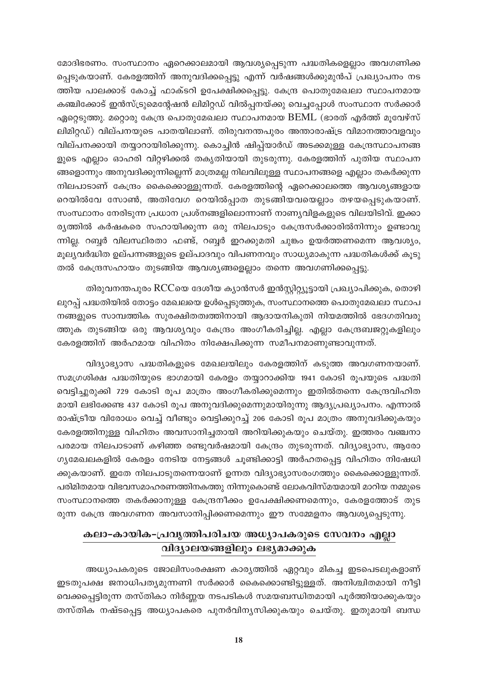മോദിഭരണം. സംസ്ഥാനം ഏറെക്കാലമായി ആവശ്യപ്പെടുന്ന പദ്ധതികളെല്ലാം അവഗണിക്ക പ്പെടുകയാണ്. കേരളത്തിന് അനുവദിക്കപ്പെട്ടു എന്ന് വർഷങ്ങൾക്കുമുൻപ് പ്രഖ്യാപനം നട ത്തിയ പാലക്കാട് കോച്ച് ഫാക്ടറി ഉപേക്ഷിക്കപ്പെട്ടു. കേന്ദ്ര പൊതുമേഖലാ സ്ഥാപനമായ കഞ്ചിക്കോട് ഇൻസ്ട്രുമെന്റേഷൻ ലിമിറ്റഡ് വിൽപ്പനയ്ക്കു വെച്ചപ്പോൾ സംസ്ഥാന സർക്കാർ ഏറ്റെടുത്തു. മറ്റൊരു കേന്ദ്ര പൊതുമേഖലാ സ്ഥാപനമായ BEML (ഭാരത് എർത്ത് മുവേഴ്സ് ലിമിറ്റഡ്) വില്പനയുടെ പാതയിലാണ്. തിരുവനന്തപുരം അന്താരാഷ്ട്ര വിമാനത്താവളവും വില്പനക്കായി തയ്യാറായിരിക്കുന്നു. കൊച്ചിൻ ഷിപ്പ്യാർഡ് അടക്കമുള്ള കേന്ദ്രസ്ഥാപനങ്ങ ളുടെ എല്ലാം ഓഹരി വിറ്റഴിക്കൽ തകൃതിയായി തുടരുന്നു. കേരളത്തിന് പുതിയ സ്ഥാപന ങ്ങളൊന്നും അനുവദിക്കുന്നില്ലെന്ന് മാത്രമല്ല നിലവിലുള്ള സ്ഥാപനങ്ങളെ എല്ലാം തകർക്കുന്ന നിലപാടാണ് കേന്ദ്രം കൈക്കൊള്ളുന്നത്. കേരളത്തിന്റെ ഏറെക്കാലത്തെ ആവശ്യങ്ങളായ റെയിൽവേ സോൺ, അതിവേഗ റെയിൽപ്പാത തുടങ്ങിയവയെല്ലാം തഴയപ്പെടുകയാണ്. സംസ്ഥാനം നേരിടുന്ന പ്രധാന പ്രശ്നങ്ങളിലൊന്നാണ് നാണ്യവിളകളുടെ വിലയിടിവ്. ഇക്കാ ര്യത്തിൽ കർഷകരെ സഹായിക്കുന്ന ഒരു നിലപാടും കേന്ദ്രസർക്കാരിൽനിന്നും ഉണ്ടാവു ന്നില്ല. റബ്ബർ വിലസ്ഥിരതാ ഫണ്ട്, റബ്ബർ ഇറക്കുമതി ചുങ്കം ഉയർത്തണമെന്ന ആവശ്യം, മൂല്യവർദ്ധിത ഉല്പന്നങ്ങളുടെ ഉല്പാദവും വിപണനവും സാധ്യമാകുന്ന പദ്ധതികൾക്ക് കൂടു തൽ കേന്ദ്രസഹായം തുടങ്ങിയ ആവശ്യങ്ങളെല്ലാം തന്നെ അവഗണിക്കപ്പെട്ടു.

തിരുവനന്തപുരം RCCയെ ദേശീയ ക്യാൻസർ ഇൻസ്റ്റിറ്റ്യൂട്ടായി പ്രഖ്യാപിക്കുക, തൊഴി ലുറപ്പ് പദ്ധതിയിൽ തോട്ടം മേഖലയെ ഉൾപ്പെടുത്തുക, സംസ്ഥാനത്തെ പൊതുമേഖലാ സ്ഥാപ നങ്ങളുടെ സാമ്പത്തിക സുരക്ഷിതത്വത്തിനായി ആദായനികുതി നിയമത്തിൽ ഭേദഗതിവരു ത്തുക തുടങ്ങിയ ഒരു ആവശ്യവും കേന്ദ്രം അംഗീകരിച്ചില്ല. എല്ലാ കേന്ദ്രബജറ്റുകളിലും കേരളത്തിന് അർഹമായ വിഹിതം നിക്ഷേപിക്കുന്ന സമീപനമാണുണ്ടാവുന്നത്.

വിദ്യാഭ്യാസ പദ്ധതികളുടെ മേഖലയിലും കേരളത്തിന് കടുത്ത അവഗണനയാണ്. സമഗ്രശിക്ഷ പദ്ധതിയുടെ ഭാഗമായി കേരളം തയ്യാറാക്കിയ 1941 കോടി രൂപയുടെ പദ്ധതി വെട്ടിച്ചുരുക്കി 729 കോടി രൂപ മാത്രം അംഗീകരിക്കുമെന്നും ഇതിൽതന്നെ കേന്ദ്രവിഹിത മായി ലഭിക്കേണ്ട 437 കോടി രൂപ അനുവദിക്കുമെന്നുമായിരുന്നു ആദ്യപ്രഖ്യാപനം. എന്നാൽ രാഷ്ട്രീയ വിരോധം വെച്ച് വീണ്ടും വെട്ടിക്കുറച്ച് 206 കോടി രൂപ മാത്രം അനുവദിക്കുകയും കേരളത്തിനുള്ള വിഹിതം അവസാനിച്ചതായി അറിയിക്കുകയും ചെയ്തു. ഇത്തരം വഞ്ചനാ പരമായ നിലപാടാണ് കഴിഞ്ഞ രണ്ടുവർഷമായി കേന്ദ്രം തുടരുന്നത്. വിദ്യാഭ്യാസ, ആരോ ഗ്യമേഖലകളിൽ കേരളം നേടിയ നേട്ടങ്ങൾ ചൂണ്ടിക്കാട്ടി അർഹതപ്പെട്ട വിഹിതം നിഷേധി ക്കുകയാണ്. ഇതേ നിലപാടുതന്നെയാണ് ഉന്നത വിദ്യാഭ്യാസരംഗത്തും കൈക്കൊള്ളുന്നത്. പരിമിതമായ വിഭവസമാഹരണത്തിനകത്തു നിന്നുകൊണ്ട് ലോകവിസ്മയമായി മാറിയ നമ്മുടെ സംസ്ഥാനത്തെ തകർക്കാനുള്ള കേന്ദ്രനീക്കം ഉപേക്ഷിക്കണമെന്നും, കേരളത്തോട് തുട രുന്ന കേന്ദ്ര അവഗണന അവസാനിപ്പിക്കണമെന്നും ഈ സമ്മേളനം ആവശ്യപ്പെടുന്നു.

### കലാ-കായിക-പ്രവൃത്തിപരിചയ അധ്യാപകരുടെ സേവനം എല്ലാ വിദ്യാലയങ്ങളിലും ലഭ്യമാക്കുക

അധ്യാപകരുടെ ജോലിസംരക്ഷണ കാര്യത്തിൽ ഏറ്റവും മികച്ച ഇടപെടലുകളാണ് ഇടതുപക്ഷ ജനാധിപത്യമുന്നണി സർക്കാർ കൈക്കൊണ്ടിട്ടുള്ളത്. അനിശ്ചിതമായി നീട്ടി വെക്കപ്പെട്ടിരുന്ന തസ്തികാ നിർണ്ണയ നടപടികൾ സമയബന്ധിതമായി പൂർത്തിയാക്കുകയും തസ്തിക നഷ്ടപ്പെട്ട അധ്യാപകരെ പുനർവിന്യസിക്കുകയും ചെയ്തു. ഇതുമായി ബന്ധ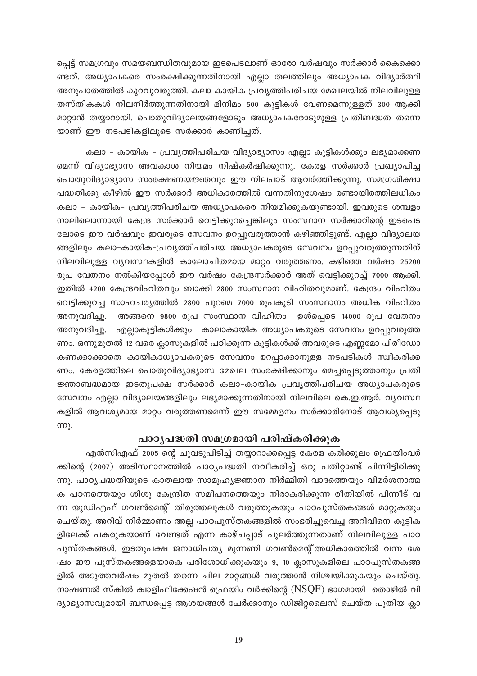പ്പെട്ട് സമഗ്രവും സമയബന്ധിതവുമായ ഇടപെടലാണ് ഓരോ വർഷവും സർക്കാർ കൈക്കൊ ണ്ടത്. അധ്യാപകരെ സംരക്ഷിക്കുന്നതിനായി എല്ലാ തലത്തിലും അധ്യാപക വിദ്യാർത്ഥി അനുപാതത്തിൽ കുറവുവരുത്തി. കലാ കായിക പ്രവൃത്തിപരിചയ മേഖലയിൽ നിലവിലുള്ള തസ്തികകൾ നിലനിർത്തുന്നതിനായി മിനിമം 500 കുട്ടികൾ വേണമെന്നുള്ളത് 300 ആക്കി മാറ്റാൻ തയ്യാറായി. പൊതുവിദ്യാലയങ്ങളോടും അധ്യാപകരോടുമുള്ള പ്രതിബദ്ധത തന്നെ യാണ് ഈ നടപടികളിലൂടെ സർക്കാർ കാണിച്ചത്.

കലാ – കായിക – പ്രവൃത്തിപരിചയ വിദ്യാഭ്യാസം എല്ലാ കുട്ടികൾക്കും ലഭ്യമാക്കണ മെന്ന് വിദ്യാഭ്യാസ അവകാശ നിയമം നിഷ്കർഷിക്കുന്നു. കേരള സർക്കാർ പ്രഖ്യാപിച്ച പൊതുവിദ്യാഭ്യാസ സംരക്ഷണയജ്ഞവും ഈ നിലപാട് ആവർത്തിക്കുന്നു. സമഗ്രശിക്ഷാ പദ്ധതിക്കു കീഴിൽ ഈ സർക്കാർ അധികാരത്തിൽ വന്നതിനുശേഷം രണ്ടായിരത്തിലധികം കലാ – കായിക– പ്രവൃത്തിപരിചയ അധ്യാപകരെ നിയമിക്കുകയുണ്ടായി. ഇവരുടെ ശമ്പളം നാലിലൊന്നായി കേന്ദ്ര സർക്കാർ വെട്ടിക്കുറച്ചെങ്കിലും സംസ്ഥാന സർക്കാറിന്റെ ഇടപെട ലോടെ ഈ വർഷവും ഇവരുടെ സേവനം ഉറപ്പുവരുത്താൻ കഴിഞ്ഞിട്ടുണ്ട്. എല്ലാ വിദ്യാലയ ങ്ങളിലും കലാ-കായിക-പ്രവൃത്തിപരിചയ അധ്യാപകരുടെ സേവനം ഉറപ്പുവരുത്തുന്നതിന് നിലവിലുള്ള വൃവസ്ഥകളിൽ കാലോചിതമായ മാറ്റം വരുത്തണം. കഴിഞ്ഞ വർഷം 25200 രൂപ വേതനം നൽകിയപ്പോൾ ഈ വർഷം കേന്ദ്രസർക്കാർ അത് വെട്ടിക്കുറച്ച് 7000 ആക്കി. ഇതിൽ 4200 കേന്ദ്രവിഹിതവും ബാക്കി 2800 സംസ്ഥാന വിഹിതവുമാണ്. കേന്ദ്രം വിഹിതം വെട്ടിക്കുറച്ച സാഹചര്യത്തിൽ 2800 പുറമെ 7000 രൂപകൂടി സംസ്ഥാനം അധിക വിഹിതം അനുവദിച്ചു. അങ്ങനെ 9800 രൂപ സംസ്ഥാന വിഹിതം ഉൾപ്പെടെ 14000 രൂപ വേതനം അനുവദിച്ചു. എല്ലാകുട്ടികൾക്കും കാലാകായിക അധ്യാപകരുടെ സേവനം ഉറപ്പുവരുത്ത ണം. ഒന്നുമുതൽ 12 വരെ ക്ലാസുകളിൽ പഠിക്കുന്ന കുട്ടികൾക്ക് അവരുടെ എണ്ണമോ പിരീഡോ കണക്കാക്കാതെ കായികാധ്യാപകരുടെ സേവനം ഉറപ്പാക്കാനുള്ള നടപടികൾ സ്വീകരിക്ക ണം. കേരളത്തിലെ പൊതുവിദ്യാഭ്യാസ മേഖല സംരക്ഷിക്കാനും മെച്ചപ്പെടുത്താനും പ്രതി ജ്ഞാബദ്ധമായ ഇടതുപക്ഷ സർക്കാർ കലാ-കായിക പ്രവൃത്തിപരിചയ അധ്യാപകരുടെ സേവനം എല്ലാ വിദ്യാലയങ്ങളിലും ലഭ്യമാക്കുന്നതിനായി നിലവിലെ കെ.ഇ.ആർ. വ്യവസ്ഥ കളിൽ ആവശ്യമായ മാറ്റം വരുത്തണമെന്ന് ഈ സമ്മേളനം സർക്കാരിനോട് ആവശ്യപ്പെടു  $π$ ).

#### പാഠൃപദ്ധതി സമഗ്രമായി പരിഷ്കരിക്കുക

എൻസിഎഫ് 2005 ന്റെ ചുവടുപിടിച്ച് തയ്യാറാക്കപ്പെട്ട കേരള കരിക്കുലം ഫ്രെയിംവർ ക്കിന്റെ (2007) അടിസ്ഥാനത്തിൽ പാഠ്യപദ്ധതി നവീകരിച്ച് ഒരു പതിറ്റാണ്ട് പിന്നിട്ടിരിക്കു ന്നു. പാഠ്യപദ്ധതിയുടെ കാതലായ സാമൂഹ്യജ്ഞാന നിർമ്മിതി വാദത്തെയും വിമർശനാത്മ ക പഠനത്തെയും ശിശു കേന്ദ്രിത സമീപനത്തെയും നിരാകരിക്കുന്ന രീതിയിൽ പിന്നീട് വ ന്ന യുഡിഎഫ് ഗവൺമെന്റ് തിരുത്തലുകൾ വരുത്തുകയും പാഠപുസ്തകങ്ങൾ മാറ്റുകയും ചെയ്തു. അറിവ് നിർമ്മാണം അല്ല പാഠപുസ്തകങ്ങളിൽ സംഭരിച്ചുവെച്ച അറിവിനെ കുട്ടിക ളിലേക്ക് പകരുകയാണ് വേണ്ടത് എന്ന കാഴ്ചപ്പാട് പുലർത്തുന്നതാണ് നിലവിലുള്ള പാഠ പുസ്തകങ്ങൾ. ഇടതുപക്ഷ ജനാധിപത്യ മുന്നണി ഗവൺമെന്റ്അധികാരത്തിൽ വന്ന ശേ ഷം ഈ പുസ്തകങ്ങളെയാകെ പരിശോധിക്കുകയും 9, 10 ക്ലാസുകളിലെ പാഠപുസ്തകങ്ങ ളിൽ അടുത്തവർഷം മുതൽ തന്നെ ചില മാറ്റങ്ങൾ വരുത്താൻ നിശ്ചയിക്കുകയും ചെയ്തു. നാഷണൽ സ്കിൽ ക്വാളിഫിക്കേഷൻ ഫ്രെയിം വർക്കിന്റെ (NSQF) ഭാഗമായി തൊഴിൽ വി ദ്യാഭ്യാസവുമായി ബന്ധപ്പെട്ട ആശയങ്ങൾ ചേർക്കാനും ഡിജിറ്റലൈസ് ചെയ്ത പുതിയ ക്ലാ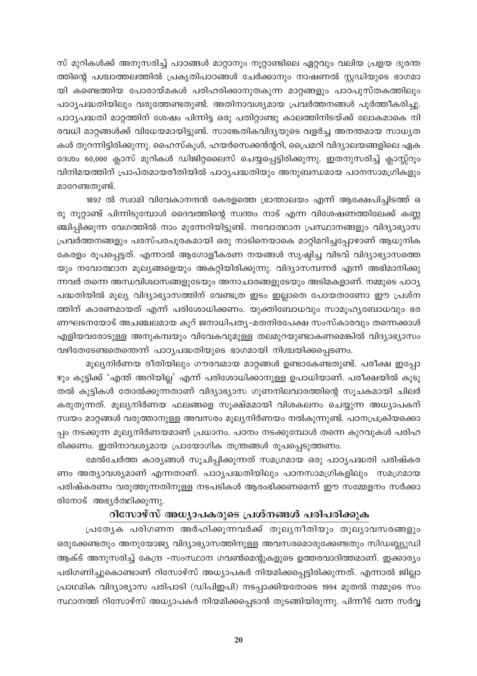സ് മുറികൾക്ക് അനുസരിച്ച് പാഠങ്ങൾ മാറ്റാനും നൂറ്റാണ്ടിലെ ഏറ്റവും വലിയ പ്രളയ ദുരന്ത ത്തിന്റെ പശ്ചാത്തലത്തിൽ പ്രകൃതിപാഠങ്ങൾ ചേർക്കാനും നാഷണൽ സ്റ്റഡിയുടെ ഭാഗമാ യി കണ്ടെത്തിയ പോരായ്മകൾ പരിഹരിക്കാനുതകുന്ന മാറ്റങ്ങളും പാഠപുസ്തകത്തിലും പാഠ്യപദ്ധതിയിലും വരുത്തേണ്ടതുണ്ട്. അതിനാവശ്യമായ പ്രവർത്തനങ്ങൾ പൂർത്തീകരിച്ചു. പാഠ്യപദ്ധതി മാറ്റത്തിന് ശേഷം പിന്നിട്ട ഒരു പതിറ്റാണ്ടു കാലത്തിനിടയ്ക്ക് ലോകമാകെ നി രവധി മാറ്റങ്ങൾക്ക് വിധേയമായിട്ടുണ്ട്. സാങ്കേതികവിദ്യയുടെ വളർച്ച അനന്തമായ സാധ്യത കൾ തുറന്നിട്ടിരിക്കുന്നു. ഹൈസ്കൂൾ, ഹയർസെക്കൻന്ററി, പ്രൈമറി വിദ്യാലയങ്ങളിലെ ഏക ദേശം 60,000 ക്ലാസ് മുറികൾ ഡിജിറ്റലൈസ് ചെയ്യപ്പെട്ടിരിക്കുന്നു. ഇതനുസരിച്ച് ക്ലാസ്സ്റൂം വിനിമയത്തിന് പ്രാപ്തമായരീതിയിൽ പാഠ്യപദ്ധതിയും അനുബന്ധമായ പഠനസാമഗ്രികളും മാറേണ്ടതുണ്ട്.

1892 ൽ സ്വാമി വിവേകാനന്ദൻ കേരളത്തെ ഭ്രാന്താലയം എന്ന് ആക്ഷേപിച്ചിടത്ത് ഒ രു നൂറ്റാണ്ട് പിന്നിടുമ്പോൾ ദൈവത്തിന്റെ സ്വന്തം നാട് എന്ന വിശേഷണത്തിലേക്ക് കണ്ണ ഞ്ചിപ്പിക്കുന്ന വേഗത്തിൽ നാം മുന്നേറിയിട്ടുണ്ട്. നവോത്ഥാന പ്രസ്ഥാനങ്ങളും വിദ്യാഭ്യാസ പ്രവർത്തനങ്ങളും പരസ്പരപൂരകമായി ഒരു നാടിനെയാകെ മാറ്റിമറിച്ചപ്പോഴാണ് ആധുനിക കേരളം രൂപപ്പെട്ടത്. എന്നാൽ ആഗോളീകരണ നയങ്ങൾ സൃഷ്ടിച്ച വിടവ് വിദ്യാഭ്യാസത്തെ യും നവോത്ഥാന മൂല്യങ്ങളെയും അകറ്റിയിരിക്കുന്നു. വിദ്യാസമ്പന്നർ എന്ന് അഭിമാനിക്കു ന്നവർ തന്നെ അന്ധവിശ്വാസങ്ങളുടേയും അനാചാരങ്ങളുടേയും അടിമകളാണ്. നമ്മുടെ പാഠ്യ പദ്ധതിയിൽ മൂല്യ വിദ്യാഭ്യാസത്തിന് വേണ്ടത്ര ഇടം ഇല്ലാതെ പോയതാണോ ഈ പ്രശ്ന ത്തിന് കാരണമായത് എന്ന് പരിശോധിക്കണം. യുക്തിബോധവും സാമൂഹ്യബോധവും ഭര ണഘടനയോട് അചഞ്ചലമായ കുറ് ജനാധിപതൃ-മതനിരപേക്ഷ സംസ്കാരവും തന്നെക്കാൾ എളിയവരോടുള്ള അനുകമ്പയും വിവേകവുമുള്ള തലമുറയുണ്ടാകണമെങ്കിൽ വിദ്യാഭ്യാസം വഴിതേടേണ്ടതെന്തെന്ന് പാഠ്യപദ്ധതിയുടെ ഭാഗമായി നിശ്ചയിക്കപ്പെടണം.

മൂല്യനിർണയ രീതിയിലും ഗൗരവമായ മാറ്റങ്ങൾ ഉണ്ടാകേണ്ടതുണ്ട്. പരീക്ഷ ഇപ്പോ ഴും കുട്ടിക്ക് 'എന്ത് അറിയില്ല' എന്ന് പരിശോധിക്കാനുള്ള ഉപാധിയാണ്. പരീക്ഷയിൽ കൂടു തൽ കുട്ടികൾ തോൽക്കുന്നതാണ് വിദ്യാഭ്യാസ ഗുണനിലവാരത്തിന്റെ സൂചകമായി ചിലർ കരുതുന്നത്. മൂല്യനിർണയ ഫലങ്ങളെ സൂക്ഷ്മമായി വിശകലനം ചെയ്യുന്ന അധ്യാപകന് സ്വയം മാറ്റങ്ങൾ വരുത്താനുള്ള അവസരം മൂല്യനിർണയം നൽകുന്നുണ്ട്. പഠനപ്രക്രിയക്കൊ പ്പം നടക്കുന്ന മൂല്യനിർണയമാണ് പ്രധാനം. പഠനം നടക്കുമ്പോൾ തന്നെ കുറവുകൾ പരിഹ രിക്കണം. ഇതിനാവശ്യമായ പ്രായോഗിക തന്ത്രങ്ങൾ രൂപപ്പെടുത്തണം.

മേൽചേർത്ത കാര്യങ്ങൾ സൂചിപ്പിക്കുന്നത് സമഗ്രമായ ഒരു പാഠ്യപദ്ധതി പരിഷ്കര ണം അത്യാവശ്യമാണ് എന്നതാണ്. പാഠ്യപദ്ധതിയിലും പഠനസാമഗ്രികളിലും സമഗ്രമായ പരിഷ്കരണം വരുത്തുന്നതിനുള്ള നടപടികൾ ആരംഭിക്കണമെന്ന് ഈ സമ്മേളനം സർക്കാ രിനോട് അഭ്യർത്ഥിക്കുന്നു.

### റിസോഴ്സ് അധ്യാപകരുടെ പ്രശ്നങ്ങൾ പരിപരിക്കുക

പ്രത്യേക പരിഗണന അർഹിക്കുന്നവർക്ക് തുലൃനീതിയും തുല്യാവസരങ്ങളും ഒരുക്കേണ്ടതും അനുയോജ്യ വിദ്യാഭ്യാസത്തിനുള്ള അവസരമൊരുക്കേണ്ടതും സിഡബ്ല്യുഡി ആക്ട് അനുസരിച്ച് കേന്ദ്ര -സംസ്ഥാന ഗവൺമെന്റുകളുടെ ഉത്തരവാദിത്തമാണ്. ഇക്കാര്യം പരിഗണിച്ചുകൊണ്ടാണ് റിസോഴ്സ് അധ്യാപകർ നിയമിക്കപ്പെട്ടിരിക്കുന്നത്. എന്നാൽ ജില്ലാ പ്രാഥമിക വിദ്യാഭ്യാസ പരിപാടി (ഡിപിഇപി) നടപ്പാക്കിയതോടെ 1994 മുതൽ നമ്മുടെ സം സ്ഥാനത്ത് റിസോഴ്സ് അധ്യാപകർ നിയമിക്കപ്പെടാൻ തുടങ്ങിയിരുന്നു. പിന്നീട് വന്ന സർവ്വ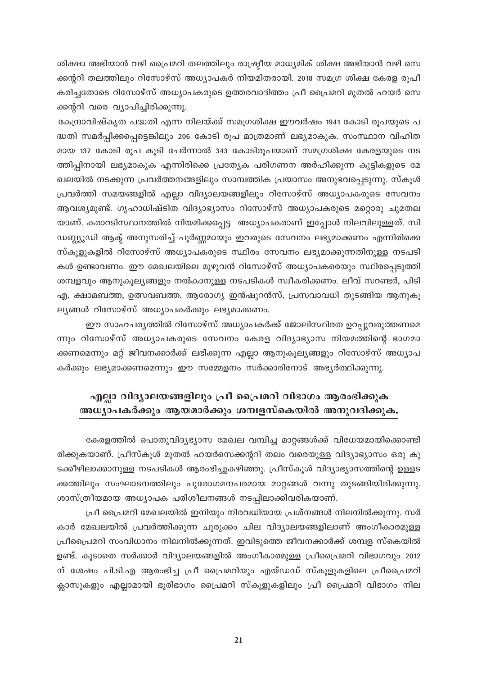ശിക്ഷാ അഭിയാൻ വഴി പ്രൈമറി തലത്തിലും രാഷ്ട്രീയ മാധ്യമിക് ശിക്ഷ അഭിയാൻ വഴി സെ ക്കന്ററി തലത്തിലും റിസോഴ്സ് അധ്യാപകർ നിയമിതരായി. 2018 സമഗ്ര ശിക്ഷ കേരള രൂപീ കരിച്ചതോടെ റിസോഴ്സ് അധ്യാപകരുടെ ഉത്തരവാദിത്തം പ്രീ പ്രൈമറി മുതൽ ഹയർ സെ ക്കന്ററി വരെ വ്യാപിച്ചിരിക്കുന്നു.

കേന്ദ്രാവിഷ്കൃത പദ്ധതി എന്ന നിലയ്ക്ക് സമഗ്രശിക്ഷ ഈവർഷം 1941 കോടി രൂപയുടെ പ ദ്ധതി സമർപ്പിക്കപ്പെട്ടെങ്കിലും 206 കോടി രൂപ മാത്രമാണ് ലഭ്യമാകുക. സംസ്ഥാന വിഹിത മായ 137 കോടി രൂപ കൂടി ചേർന്നാൽ 343 കോടിരൂപയാണ് സമഗ്രശിക്ഷ കേരളയുടെ നട ത്തിപ്പിനായി ലഭ്യമാകുക എന്നിരിക്കെ പ്രത്യേക പരിഗണന അർഹിക്കുന്ന കുട്ടികളുടെ മേ ഖലയിൽ നടക്കുന്ന പ്രവർത്തനങ്ങളിലും സാമ്പത്തിക പ്രയാസം അനുഭവപ്പെടുന്നു. സ്കൂൾ പ്രവർത്തി സമയങ്ങളിൽ എല്ലാ വിദ്യാലയങ്ങളിലും റിസോഴ്സ് അധ്യാപകരുടെ സേവനം ആവശ്യമുണ്ട്. ഗൃഹാധിഷ്ടിത വിദ്യാഭ്യാസം റിസോഴ്സ് അധ്യാപകരുടെ മറ്റൊരു ചുമതല യാണ്. കരാറടിസ്ഥാനത്തിൽ നിയമിക്കപ്പെട്ട അധ്യാപകരാണ് ഇപ്പോൾ നിലവിലുള്ളത്. സി ഡബ്ല്യുഡി ആക് അനുസരിച്ച് പൂർണ്ണമായും ഇവരുടെ സേവനം ലഭ്യമാക്കണം എന്നിരിക്കെ സ്കൂളുകളിൽ റിസോഴ്സ് അധ്യാപകരുടെ സ്ഥിരം സേവനം ലഭ്യമാക്കുന്നതിനുള്ള നടപടി കൾ ഉണ്ടാവണം. ഈ മേഖലയിലെ മുഴുവൻ റിസോഴ്സ് അധ്യാപകരെയും സ്ഥിരപ്പെടുത്തി ശമ്പളവും ആനുകൂല്യങ്ങളും നൽകാനുള്ള നടപടികൾ സ്വീകരിക്കണം. ലീവ് സറണ്ടർ, പിടി എ, ക്ഷാമബത്ത, ഉത്സവബത്ത, ആരോഗ്യ ഇൻഷുറൻസ്, പ്രസവാവധി തുടങ്ങിയ ആനുകു ലൃങ്ങൾ റിസോഴ്സ് അധ്യാപകർക്കും ലഭ്യമാക്കണം.

ഈ സാഹചര്യത്തിൽ റിസോഴ്സ് അധ്യാപകർക്ക് ജോലിസ്ഥിരത ഉറപ്പുവരുത്തണമെ ന്നും റിസോഴ്സ് അധ്യാപകരുടെ സേവനം കേരള വിദ്യാഭ്യാസ നിയമത്തിന്റെ ഭാഗമാ ക്കണമെന്നും മറ്റ് ജീവനക്കാർക്ക് ലഭിക്കുന്ന എല്ലാ ആനുകൂല്യങ്ങളും റിസോഴ്സ് അധ്യാപ കർക്കും ലഭ്യമാക്കണമെന്നും ഈ സമ്മേളനം സർക്കാരിനോട് അഭ്യർത്ഥിക്കുന്നു.

## എല്ലാ വിദ്യാലയങ്ങളിലും പ്രീ പ്രൈമറി വിഭാഗം ആരംഭിക്കുക അധ്യാപകർക്കും ആയമാർക്കും ശമ്പളസ്കെയിൽ അനുവദിക്കുക.

കേരളത്തിൽ പൊതുവിദൃഭ്യാസ മേഖല വമ്പിച്ച മാറ്റങ്ങൾക്ക് വിധേയമായിക്കൊണ്ടി രിക്കുകയാണ്. പ്രീസ്കൂൾ മുതൽ ഹയർസെക്കന്ററി തലം വരെയുള്ള വിദ്യാഭ്യാസം ഒരു കു ടക്കീഴിലാക്കാനുള്ള നടപടികൾ ആരംഭിച്ചുകഴിഞ്ഞു. പ്രീസ്കൂൾ വിദ്യാഭ്യാസത്തിന്റെ ഉള്ളട ക്കത്തിലും സംഘാടനത്തിലും പുരോഗമനപരമായ മാറ്റങ്ങൾ വന്നു തുടങ്ങിയിരിക്കുന്നു. ശാസ്ത്രീയമായ അധ്യാപക പരിശീലനങ്ങൾ നടപ്പിലാക്കിവരികയാണ്.

പ്രീ പ്രൈമറി മേഖലയിൽ ഇനിയും നിരവധിയായ പ്രശ്നങ്ങൾ നിലനിൽക്കുന്നു. സർ കാർ മേഖലയിൽ പ്രവർത്തിക്കുന്ന ചുരുക്കം ചില വിദ്യാലയങ്ങളിലാണ് അംഗീകാരമുള്ള പ്രീപ്രൈമറി സംവിധാനം നിലനിൽക്കുന്നത്. ഇവിടുത്തെ ജീവനക്കാർക്ക് ശമ്പള സ്കെയിൽ ഉണ്ട്. കൂടാതെ സർക്കാർ വിദ്യാലയങ്ങളിൽ അംഗീകാരമുള്ള പ്രീപ്രൈമറി വിഭാഗവും 2012 ന് ശേഷം പി.ടി.എ ആരംഭിച്ച പ്രീ പ്രൈമറിയും എയ്ഡഡ് സ്കൂളുകളിലെ പ്രീപ്രൈമറി ക്ലാസുകളും എല്ലാമായി ഭൂരിഭാഗം പ്രൈമറി സ്കൂളുകളിലും പ്രീ പ്രൈമറി വിഭാഗം നില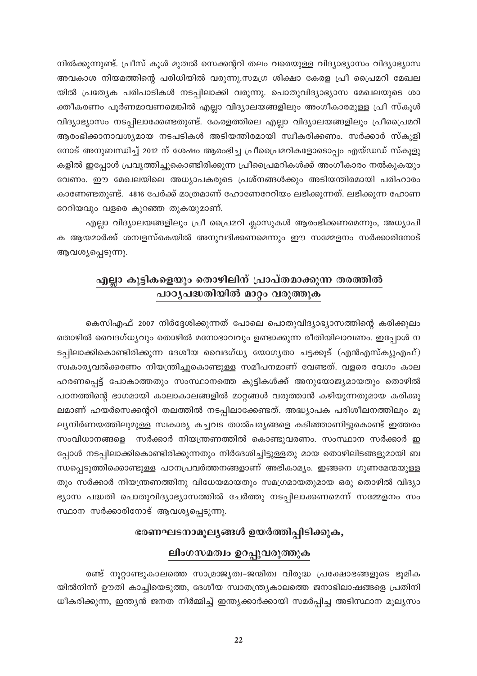നിൽക്കുന്നുണ്ട്. പ്രീസ് കൂൾ മുതൽ സെക്കന്ററി തലം വരെയുള്ള വിദ്യാഭ്യാസം വിദ്യാഭ്യാസ അവകാശ നിയമത്തിന്റെ പരിധിയിൽ വരുന്നു.സമഗ്ര ശിക്ഷാ കേരള പ്രീ പ്രൈമറി മേഖല യിൽ പ്രത്യേക പരിപാടികൾ നടപ്പിലാക്കി വരുന്നു. പൊതുവിദ്യാഭ്യാസ മേഖലയുടെ ശാ ക്തീകരണം പൂർണമാവണമെങ്കിൽ എല്ലാ വിദ്യാലയങ്ങളിലും അംഗീകാരമുള്ള പ്രീ സ്കൂൾ വിദ്യാഭ്യാസം നടപ്പിലാക്കേണ്ടതുണ്ട്. കേരളത്തിലെ എല്ലാ വിദ്യാലയങ്ങളിലും പ്രീപ്രൈമറി ആരംഭിക്കാനാവശ്യമായ നടപടികൾ അടിയന്തിരമായി സ്ഥീകരിക്കണം. സർക്കാർ സ്കൂളി നോട് അനുബന്ധിച്ച് 2012 ന് ശേഷം ആരംഭിച്ച പ്രീപ്രൈമറികളോടൊപ്പം എയ്ഡഡ് സ്കൂളു കളിൽ ഇപ്പോൾ പ്രവൃത്തിച്ചുകൊണ്ടിരിക്കുന്ന പ്രീപ്രൈമറികൾക്ക് അംഗീകാരം നൽകുകയും വേണം. ഈ മേഖലയിലെ അധ്യാപകരുടെ പ്രശ്നങ്ങൾക്കും അടിയന്തിരമായി പരിഹാരം കാണേണ്ടതുണ്ട്. 4816 പേർക്ക് മാത്രമാണ് ഹോണേറേറിയം ലഭിക്കുന്നത്. ലഭിക്കുന്ന ഹോണ റേറിയവും വളരെ കുറഞ്ഞ തുകയുമാണ്.

എല്ലാ വിദ്യാലയങ്ങളിലും പ്രീ പ്രൈമറി ക്ലാസുകൾ ആരംഭിക്കണമെന്നും, അധ്യാപി ക ആയമാർക്ക് ശമ്പളസ്കെയിൽ അനുവദിക്കണമെന്നും ഈ സമ്മേളനം സർക്കാരിനോട് ആവശ്യപ്പെടുന്നു.

# എല്ലാ കുട്ടികളെയും തൊഴിലിന് പ്രാപ്തമാക്കുന്ന തരത്തിൽ <mark>പാഠൃപദ്ധതിയിൽ മാറ്റം വ</mark>രുത്തുക

കെസിഎഫ് 2007 നിർദ്ദേശിക്കുന്നത് പോലെ പൊതുവിദ്യാഭ്യാസത്തിന്റെ കരിക്കുലം തൊഴിൽ വൈദഗ്ധ്യവും തൊഴിൽ മനോഭാവവും ഉണ്ടാക്കുന്ന രീതിയിലാവണം. ഇപ്പോൾ ന ടപ്പിലാക്കികൊണ്ടിരിക്കുന്ന ദേശീയ വൈദഗ്ധ്യ യോഗ്യതാ ചട്ടക്കൂട് (എൻഎസ്ക്യുഎഫ്) സ്വകാര്യവൽക്കരണം നിയന്ത്രിച്ചുകൊണ്ടുള്ള സമീപനമാണ് വേണ്ടത്. വളരെ വേഗം കാല ഹരണപ്പെട്ട് പോകാത്തതും സംസ്ഥാനത്തെ കുട്ടികൾക്ക് അനുയോജ്യമായതും തൊഴിൽ പഠനത്തിന്റെ ഭാഗമായി കാലാകാലങ്ങളിൽ മാറ്റങ്ങൾ വരുത്താൻ കഴിയുന്നതുമായ കരിക്കു ലമാണ് ഹയർസെക്കന്ററി തലത്തിൽ നടപ്പിലാക്കേണ്ടത്. അദ്ധ്യാപക പരിശീലനത്തിലും മൂ ല്യനിർണയത്തിലുമുള്ള സ്വകാര്യ കച്ചവട താൽപര്യങ്ങളെ കടിഞ്ഞാണിട്ടുകൊണ്ട് ഇത്തരം സംവിധാനങ്ങളെ സർക്കാർ നിയന്ത്രണത്തിൽ കൊണ്ടുവരണം. സംസ്ഥാന സർക്കാർ ഇ പ്പോൾ നടപ്പിലാക്കികൊണ്ടിരിക്കുന്നതും നിർദേശിച്ചിട്ടുള്ളതു മായ തൊഴിലിടങ്ങളുമായി ബ ന്ധപ്പെടുത്തിക്കൊണ്ടുള്ള പഠനപ്രവർത്തനങ്ങളാണ് അഭികാമ്യം. ഇങ്ങനെ ഗുണമേന്മയുള്ള തും സർക്കാർ നിയന്ത്രണത്തിനു വിധേയമായതും സമഗ്രമായതുമായ ഒരു തൊഴിൽ വിദ്യാ ഭ്യാസ പദ്ധതി പൊതുവിദ്യാഭ്യാസത്തിൽ ചേർത്തു നടപ്പിലാക്കണമെന്ന് സമ്മേളനം സം സ്ഥാന സർക്കാരിനോട് ആവശ്യപ്പെടുന്നു.

### ഭരണഘടനാമൂല്യങ്ങൾ ഉയർത്തിപ്പിടിക്കുക,

#### ലിംഗസമത്വം ഉറപ്പുവരുത്തുക

രണ്ട് നൂറ്റാണ്ടുകാലത്തെ സാമ്രാജ്യത്വ-ജന്മിത്വ വിരുദ്ധ പ്രക്ഷോഭങ്ങളുടെ ഭൂമിക യിൽനിന്ന് ഊതി കാച്ചിയെടുത്ത, ദേശീയ സ്വാതന്ത്ര്യകാലത്തെ ജനാഭിലാഷങ്ങളെ പ്രതിനി ധീകരിക്കുന്ന, ഇന്ത്യൻ ജനത നിർമ്മിച്ച് ഇന്ത്യക്കാർക്കായി സമർപ്പിച്ച അടിസ്ഥാന മൂല്യസം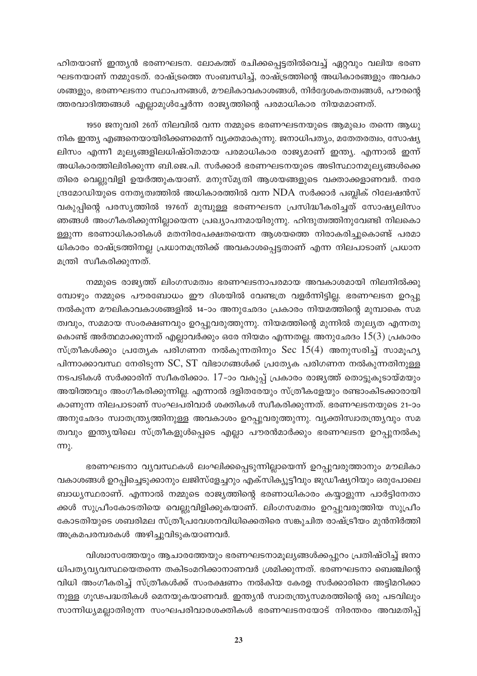ഹിതയാണ് ഇന്ത്യൻ ഭരണഘടന. ലോകത്ത് രചിക്കപ്പെട്ടതിൽവെച്ച് ഏറ്റവും വലിയ ഭരണ ഘടനയാണ് നമ്മുടേത്. രാഷ്ട്രത്തെ സംബന്ധിച്ച്, രാഷ്ട്രത്തിന്റെ അധികാരങ്ങളും അവകാ ശങ്ങളും, ഭരണഘടനാ സ്ഥാപനങ്ങൾ, മൗലികാവകാശങ്ങൾ, നിർദ്ദേശകതത്വങ്ങൾ, പൗരന്റെ ത്തരവാദിത്തങ്ങൾ എല്ലാമുൾച്ചേർന്ന രാജ്യത്തിന്റെ പരമാധികാര നിയമമാണത്.

1950 ജനുവരി 26ന് നിലവിൽ വന്ന നമ്മുടെ ഭരണഘടനയുടെ ആമുഖം തന്നെ ആധു നിക ഇന്ത്യ എങ്ങനെയായിരിക്കണമെന്ന് വ്യക്തമാകുന്നു. ജനാധിപത്യം, മതേതരത്വം, സോഷ്യ ലിസം എന്നീ മൂല്യങ്ങളിലധിഷ്ഠിതമായ പരമാധികാര രാജ്യമാണ് ഇന്ത്യ. എന്നാൽ ഇന്ന് അധികാരത്തിലിരിക്കുന്ന ബി.ജെ.പി. സർക്കാർ ഭരണഘടനയുടെ അടിസ്ഥാനമുല്യങ്ങൾക്കെ തിരെ വെല്ലുവിളി ഉയർത്തുകയാണ്. മനുസ്മൃതി ആശയങ്ങളുടെ വക്താക്കളാണവർ. നരേ ന്ദ്രമോഡിയുടെ നേതൃത്വത്തിൽ അധികാരത്തിൽ വന്ന NDA സർക്കാർ പബ്ലിക് റിലേഷൻസ് വകുപ്പിന്റെ പരസ്യത്തിൽ 1976ന് മുമ്പുള്ള ഭരണഘടന പ്രസിദ്ധീകരിച്ചത് സോഷ്യലിസം ഞങ്ങൾ അംഗീകരിക്കുന്നില്ലായെന്ന പ്രഖ്യാപനമായിരുന്നു. ഹിന്ദുത്വത്തിനുവേണ്ടി നിലകൊ ള്ളുന്ന ഭരണാധികാരികൾ മതനിരപേക്ഷതയെന്ന ആശയത്തെ നിരാകരിച്ചുകൊണ്ട് പരമാ ധികാരം രാഷ്ട്രത്തിനല്ല പ്രധാനമന്ത്രിക്ക് അവകാശപ്പെട്ടതാണ് എന്ന നിലപാടാണ് പ്രധാന മന്ത്രി സ്വീകരിക്കുന്നത്.

നമ്മുടെ രാജ്യത്ത് ലിംഗസമത്വം ഭരണഘടനാപരമായ അവകാശമായി നിലനിൽക്കു മ്പോഴും നമ്മുടെ പൗരബോധം ഈ ദിശയിൽ വേണ്ടത്ര വളർന്നിട്ടില്ല. ഭരണഘടന ഉറപ്പു നൽകുന്ന മൗലികാവകാശങ്ങളിൽ 14–ാം അനുഛേദം പ്രകാരം നിയമത്തിന്റെ മുമ്പാകെ സമ ത്വവും, സമമായ സംരക്ഷണവും ഉറപ്പുവരുത്തുന്നു. നിയമത്തിന്റെ മുന്നിൽ തുല്യത എന്നതു കൊണ്ട് അർത്ഥമാക്കുന്നത് എല്ലാവർക്കും ഒരേ നിയമം എന്നതല്ല. അനുഛേദം  $15(3)$  പ്രകാരം സ്ത്രീകൾക്കും പ്രത്യേക പരിഗണന നൽകുന്നതിനും Sec  $15(4)$  അനുസരിച്ച് സാമൂഹ്യ പിന്നാക്കാവസ്ഥ നേരിടുന്ന SC, ST വിഭാഗങ്ങൾക്ക് പ്രത്യേക പരിഗണന നൽകുന്നതിനുള്ള നടപടികൾ സർക്കാരിന് സ്വീകരിക്കാം. 17-ാം വകുപ്പ് പ്രകാരം രാജ്യത്ത് തൊട്ടുകൂടായ്മയും അയിത്തവും അംഗീകരിക്കുന്നില്ല. എന്നാൽ ദളിതരേയും സ്ത്രീകളേയും രണ്ടാംകിടക്കാരായി കാണുന്ന നിലപാടാണ് സംഘപരിവാർ ശക്തികൾ സ്വീകരിക്കുന്നത്. ഭരണഘടനയുടെ 21–ാം അനുഛേദം സ്വാതന്ത്ര്യത്തിനുള്ള അവകാശം ഉറപ്പുവരുത്തുന്നു. വ്യക്തിസ്വാതന്ത്ര്യവും സമ ത്വവും ഇന്ത്യയിലെ സ്ത്രീകളുൾപ്പെടെ എല്ലാ പൗരൻമാർക്കും ഭരണഘടന ഉറപ്പുനൽകു  $m<sub>λ</sub>$ .

ഭരണഘടനാ വ്യവസ്ഥകൾ ലംഘിക്കപ്പെടുന്നില്ലായെന്ന് ഉറപ്പുവരുത്താനും മൗലികാ വകാശങ്ങൾ ഉറപ്പിച്ചെടുക്കാനും ലജിസ്ളേച്ചറും എക്സിക്യൂട്ടീവും ജുഡീഷ്യറിയും ഒരുപോലെ ബാധ്യസ്ഥരാണ്. എന്നാൽ നമ്മുടെ രാജ്യത്തിന്റെ ഭരണാധികാരം കയ്യാളുന്ന പാർട്ടിനേതാ ക്കൾ സുപ്രീംകോടതിയെ വെല്ലുവിളിക്കുകയാണ്. ലിംഗസമത്വം ഉറപ്പുവരുത്തിയ സുപ്രീം കോടതിയുടെ ശബരിമല സ്ത്രീപ്രവേശനവിധിക്കെതിരെ സങ്കുചിത രാഷ്ട്രീയം മുൻനിർത്തി അക്രമപരമ്പരകൾ അഴിച്ചുവിടുകയാണവർ.

വിശ്വാസത്തേയും ആചാരത്തേയും ഭരണഘടനാമൂല്യങ്ങൾക്കപ്പുറം പ്രതിഷ്ഠിച്ച് ജനാ ധിപത്യവ്യവസ്ഥയെതന്നെ തകിടംമറിക്കാനാണവർ ശ്രമിക്കുന്നത്. ഭരണഘടനാ ബെഞ്ചിന്റെ വിധി അംഗീകരിച്ച് സ്ത്രീകൾക്ക് സംരക്ഷണം നൽകിയ കേരള സർക്കാരിനെ അട്ടിമറിക്കാ നുള്ള ഗൂഢപദ്ധതികൾ മെനയുകയാണവർ. ഇന്ത്യൻ സ്വാതന്ത്ര്യസമരത്തിന്റെ ഒരു പടവിലും സാന്നിധ്യമല്ലാതിരുന്ന സംഘപരിവാരശക്തികൾ ഭരണഘടനയോട് നിരന്തരം അവമതിപ്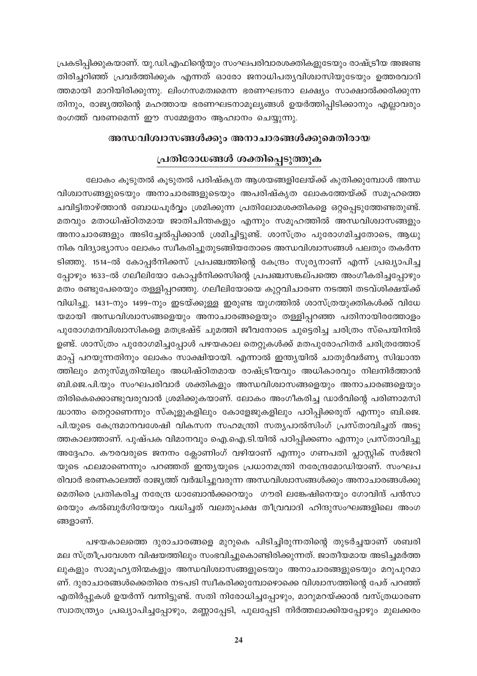പ്രകടിപ്പിക്കുകയാണ്. യു.ഡി.എഫിന്റെയും സംഘപരിവാരശക്തികളുടേയും രാഷ്ട്രീയ അജണ്ട തിരിച്ചറിഞ്ഞ് പ്രവർത്തിക്കുക എന്നത് ഓരോ ജനാധിപത്യവിശ്വാസിയുടേയും ഉത്തരവാദി ത്തമായി മാറിയിരിക്കുന്നു. ലിംഗസമത്വമെന്ന ഭരണഘടനാ ലക്ഷ്യം സാക്ഷാൽക്കരിക്കുന്ന തിനും, രാജ്യത്തിന്റെ മഹത്തായ ഭരണഘടനാമൂല്യങ്ങൾ ഉയർത്തിപ്പിടിക്കാനും എല്ലാവരും രംഗത്ത് വരണമെന്ന് ഈ സമ്മേളനം ആഹ്വാനം ചെയ്യുന്നു.

#### അന്ധവിശ്വാസങ്ങൾക്കും അനാചാരങ്ങൾക്കുമെതിരായ

### പ്രതിരോധങ്ങൾ ശക്തിപ്പെടുത്തുക

ലോകം കൂടുതൽ കൂടുതൽ പരിഷ്കൃത ആശയങ്ങളിലേയ്ക്ക് കുതിക്കുമ്പോൾ അന്ധ വിശ്വാസങ്ങളുടെയും അനാചാരങ്ങളുടെയും അപരിഷ്കൃത ലോകത്തേയ്ക്ക് സമൂഹത്തെ ചവിട്ടിതാഴ്ത്താൻ ബോധപൂർവ്വം ശ്രമിക്കുന്ന പ്രതിലോമശക്തികളെ ഒറ്റപ്പെടുത്തേണ്ടതുണ്ട്. മതവും മതാധിഷ്ഠിതമായ ജാതിചിന്തകളും എന്നും സമൂഹത്തിൽ അന്ധവിശ്വാസങ്ങളും അനാചാരങ്ങളും അടിച്ചേൽപ്പിക്കാൻ ശ്രമിച്ചിട്ടുണ്ട്. ശാസ്ത്രം പുരോഗമിച്ചതോടെ, ആധു നിക വിദ്യാഭ്യാസം ലോകം സ്വീകരിച്ചുതുടങ്ങിയതോടെ അന്ധവിശ്വാസങ്ങൾ പലതും തകർന്ന ടിഞ്ഞു. 1514-ൽ കോപ്പർനിക്കസ് പ്രപഞ്ചത്തിന്റെ കേന്ദ്രം സൂര്യനാണ് എന്ന് പ്രഖ്യാപിച്ച പ്പോഴും 1633–ൽ ഗലീലിയോ കോപ്പർനിക്കസിന്റെ പ്രപഞ്ചസങ്കല്പത്തെ അംഗീകരിച്ചപ്പോഴും മതം രണ്ടുപേരെയും തള്ളിപ്പറഞ്ഞു. ഗലീലിയോയെ കുറ്റവിചാരണ നടത്തി തടവ്ശിക്ഷയ്ക്ക് വിധിച്ചു. 1431–നും 1499–നും ഇടയ്ക്കുള്ള ഇരുണ്ട യുഗത്തിൽ ശാസ്ത്രയുക്തികൾക്ക് വിധേ യമായി അന്ധവിശ്വാസങ്ങളെയും അനാചാരങ്ങളെയും തള്ളിപ്പറഞ്ഞ പതിനായിരത്തോളം പുരോഗമനവിശ്വാസികളെ മതഭ്രഷ്ട് ചുമത്തി ജീവനോടെ ചുട്ടെരിച്ച ചരിത്രം സ്പെയിനിൽ ഉണ്ട്. ശാസ്ത്രം പുരോഗമിച്ചപ്പോൾ പഴയകാല തെറ്റുകൾക്ക് മതപുരോഹിതർ ചരിത്രത്തോട് മാപ്പ് പറയുന്നതിനും ലോകം സാക്ഷിയായി. എന്നാൽ ഇന്ത്യയിൽ ചാതുർവർണ്യ സിദ്ധാന്ത ത്തിലും മനുസ്മൃതിയിലും അധിഷ്ഠിതമായ രാഷ്ട്രീയവും അധികാരവും നിലനിർത്താൻ ബി.ജെ.പി.യും സംഘപരിവാർ ശക്തികളും അന്ധവിശ്വാസങ്ങളെയും അനാചാരങ്ങളെയും തിരികെക്കൊണ്ടുവരുവാൻ ശ്രമിക്കുകയാണ്. ലോകം അംഗീകരിച്ച ഡാർവിന്റെ പരിണാമസി ദ്ധാന്തം തെറ്റാണെന്നും സ്കൂളുകളിലും കോളേജുകളിലും പഠിപ്പിക്കരുത് എന്നും ബി.ജെ. പി.യുടെ കേന്ദ്രമാനവശേഷി വികസന സഹമന്ത്രി സത്യപാൽസിംഗ് പ്രസ്താവിച്ചത് അടു ത്തകാലത്താണ്. പുഷ്പക വിമാനവും ഐ.ഐ.ടി.യിൽ പഠിപ്പിക്കണം എന്നും പ്രസ്താവിച്ചു അദ്ദേഹം. കൗരവരുടെ ജനനം ക്ലോണിംഗ് വഴിയാണ് എന്നും ഗണപതി പ്ലാസ്റ്റിക് സർജറി യുടെ ഫലമാണെന്നും പറഞ്ഞത് ഇന്ത്യയുടെ പ്രധാനമന്ത്രി നരേന്ദ്രമോഡിയാണ്. സംഘപ രിവാർ ഭരണകാലത്ത് രാജ്യത്ത് വർദ്ധിച്ചുവരുന്ന അന്ധവിശ്വാസങ്ങൾക്കും അനാചാരങ്ങൾക്കു മെതിരെ പ്രതികരിച്ച നരേന്ദ്ര ധാബോൻക്കറെയും ഗൗരി ലങ്കേഷിനെയും ഗോവിന്ദ് പൻസാ രെയും കൽബുർഗിയേയും വധിച്ചത് വലതുപക്ഷ തീവ്രവാദി ഹിന്ദുസംഘങ്ങളിലെ അംഗ ങ്ങളാണ്.

പഴയകാലത്തെ ദുരാചാരങ്ങളെ മുറുകെ പിടിച്ചിരുന്നതിന്റെ തുടർച്ചയാണ് ശബരി മല സ്ത്രീപ്രവേശന വിഷയത്തിലും സംഭവിച്ചുകൊണ്ടിരിക്കുന്നത്. ജാതീയമായ അടിച്ചമർത്ത ലുകളും സാമൂഹ്യതിന്മകളും അന്ധവിശ്വാസങ്ങളുടെയും അനാചാരങ്ങളുടെയും മറുപുറമാ ണ്. ദുരാചാരങ്ങൾക്കെതിരെ നടപടി സ്വീകരിക്കുമ്പോഴൊക്കെ വിശ്വാസത്തിന്റെ പേര് പറഞ്ഞ് എതിർപ്പുകൾ ഉയർന്ന് വന്നിട്ടുണ്ട്. സതി നിരോധിച്ചപ്പോഴും, മാറുമറയ്ക്കാൻ വസ്ത്രധാരണ സ്വാതന്ത്ര്യം പ്രഖ്യാപിച്ചപ്പോഴും, മണ്ണാപ്പേടി, പുലപ്പേടി നിർത്തലാക്കിയപ്പോഴും മുലക്കരം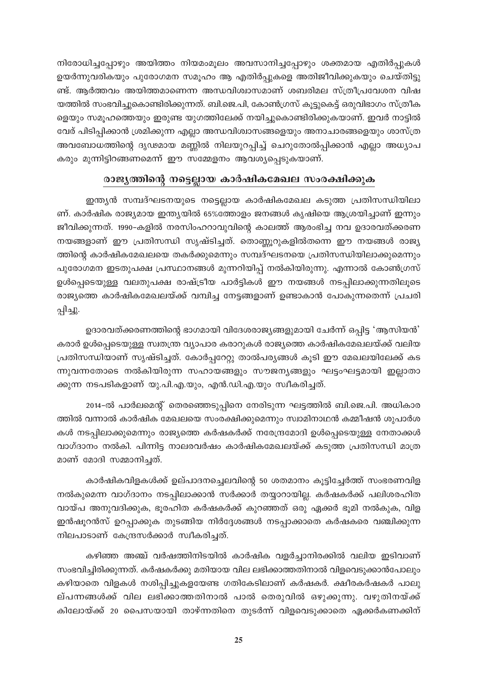നിരോധിച്ചപ്പോഴും അയിത്തം നിയമംമൂലം അവസാനിച്ചപ്പോഴും ശക്തമായ എതിർപ്പുകൾ ഉയർന്നുവരികയും പുരോഗമന സമൂഹം ആ എതിർപ്പുകളെ അതിജീവിക്കുകയും ചെയ്തിട്ടു ണ്ട്. ആർത്തവം അയിത്തമാണെന്ന അന്ധവിശ്വാസമാണ് ശബരിമല സ്ത്രീപ്രവേശന വിഷ യത്തിൽ സംഭവിച്ചുകൊണ്ടിരിക്കുന്നത്. ബി.ജെ.പി, കോൺഗ്രസ് കൂട്ടുകെട്ട് ഒരുവിഭാഗം സ്ത്രീക ളെയും സമൂഹത്തെയും ഇരുണ്ട യുഗത്തിലേക്ക് നയിച്ചുകൊണ്ടിരിക്കുകയാണ്. ഇവർ നാട്ടിൽ വേര് പിടിപ്പിക്കാൻ ശ്രമിക്കുന്ന എല്ലാ അന്ധവിശ്വാസങ്ങളെയും അനാചാരങ്ങളെയും ശാസ്ത്ര അവബോധത്തിന്റെ ദൃഢമായ മണ്ണിൽ നിലയുറപ്പിച്ച് ചെറുതോൽപ്പിക്കാൻ എല്ലാ അധ്യാപ കരും മുന്നിട്ടിറങ്ങണമെന്ന് ഈ സമ്മേളനം ആവശ്യപ്പെടുകയാണ്.

### രാജ്യത്തിന്റെ നട്ടെല്ലായ കാർഷികമേഖല സംരക്ഷിക്കുക

ഇന്ത്യൻ സമ്പദ്ഘടനയുടെ നട്ടെല്ലായ കാർഷികമേഖല കടുത്ത പ്രതിസന്ധിയിലാ ണ്. കാർഷിക രാജ്യമായ ഇന്ത്യയിൽ 65%ത്തോളം ജനങ്ങൾ കൃഷിയെ ആശ്രയിച്ചാണ് ഇന്നും ജീവിക്കുന്നത്. 1990–കളിൽ നരസിംഹറാവുവിന്റെ കാലത്ത് ആരംഭിച്ച നവ ഉദാരവത്ക്കരണ നയങ്ങളാണ് ഈ പ്രതിസന്ധി സൃഷ്ടിച്ചത്. തൊണ്ണൂറുകളിൽതന്നെ ഈ നയങ്ങൾ രാജ്യ ത്തിന്റെ കാർഷികമേഖലയെ തകർക്കുമെന്നും സമ്പദ്ഘടനയെ പ്രതിസന്ധിയിലാക്കുമെന്നും പുരോഗമന ഇടതുപക്ഷ പ്രസ്ഥാനങ്ങൾ മുന്നറിയിപ്പ് നൽകിയിരുന്നു. എന്നാൽ കോൺഗ്രസ് ഉൾപ്പെടെയുള്ള വലതുപക്ഷ രാഷ്ട്രീയ പാർട്ടികൾ ഈ നയങ്ങൾ നടപ്പിലാക്കുന്നതിലൂടെ രാജ്യത്തെ കാർഷികമേഖലയ്ക്ക് വമ്പിച്ച നേട്ടങ്ങളാണ് ഉണ്ടാകാൻ പോകുന്നതെന്ന് പ്രചരി പ്പിച്ചു.

ഉദാരവത്ക്കരണത്തിന്റെ ഭാഗമായി വിദേശരാജ്യങ്ങളുമായി ചേർന്ന് ഒപ്പിട്ട 'ആസിയൻ' കരാർ ഉൾപ്പെടെയുള്ള സ്വതന്ത്ര വ്യാപാര കരാറുകൾ രാജ്യത്തെ കാർഷികമേഖലയ്ക്ക് വലിയ പ്രതിസന്ധിയാണ് സൃഷ്ടിച്ചത്. കോർപ്പറേറ്റു താൽപര്യങ്ങൾ കൂടി ഈ മേഖലയിലേക്ക് കട ന്നുവന്നതോടെ നൽകിയിരുന്ന സഹായങ്ങളും സൗജന്യങ്ങളും ഘട്ടംഘട്ടമായി ഇല്ലാതാ ക്കുന്ന നടപടികളാണ് യു.പി.എ.യും, എൻ.ഡി.എ.യും സ്വീകരിച്ചത്.

2014-ൽ പാർലമെന്റ് തെരഞ്ഞെടുപ്പിനെ നേരിടുന്ന ഘട്ടത്തിൽ ബി.ജെ.പി. അധികാര ത്തിൽ വന്നാൽ കാർഷിക മേഖലയെ സംരക്ഷിക്കുമെന്നും സ്വാമിനാഥൻ കമ്മീഷൻ ശുപാർശ കൾ നടപ്പിലാക്കുമെന്നും രാജ്യത്തെ കർഷകർക്ക് നരേന്ദ്രമോദി ഉൾപ്പെടെയുള്ള നേതാക്കൾ വാഗ്ദാനം നൽകി. പിന്നിട്ട നാലരവർഷം കാർഷികമേഖലയ്ക്ക് കടുത്ത പ്രതിസന്ധി മാത്ര മാണ് മോദി സമ്മാനിച്ചത്.

കാർഷികവിളകൾക്ക് ഉല്പാദനച്ചെലവിന്റെ 50 ശതമാനം കൂട്ടിച്ചേർത്ത് സംഭരണവിള നൽകുമെന്ന വാഗ്ദാനം നടപ്പിലാക്കാൻ സർക്കാർ തയ്യാറായില്ല. കർഷകർക്ക് പലിശരഹിത വായ്പ അനുവദിക്കുക, ഭൂരഹിത കർഷകർക്ക് കുറഞ്ഞത് ഒരു ഏക്കർ ഭൂമി നൽകുക, വിള ഇൻഷൂറൻസ് ഉറപ്പാക്കുക തുടങ്ങിയ നിർദ്ദേശങ്ങൾ നടപ്പാക്കാതെ കർഷകരെ വഞ്ചിക്കുന്ന നിലപാടാണ് കേന്ദ്രസർക്കാർ സ്വീകരിച്ചത്.

കഴിഞ്ഞ അഞ്ച് വർഷത്തിനിടയിൽ കാർഷിക വളർച്ചാനിരക്കിൽ വലിയ ഇടിവാണ് സംഭവിച്ചിരിക്കുന്നത്. കർഷകർക്കു മതിയായ വില ലഭിക്കാത്തതിനാൽ വിളവെടുക്കാൻപോലും കഴിയാതെ വിളകൾ നശിപ്പിച്ചുകളയേണ്ട ഗതികേടിലാണ് കർഷകർ. ക്ഷീരകർഷകർ പാലു ല്പന്നങ്ങൾക്ക് വില ലഭിക്കാത്തതിനാൽ പാൽ തെരുവിൽ ഒഴുക്കുന്നു. വഴുതിനയ്ക്ക് കിലോയ്ക്ക് 20 പൈസയായി താഴ്ന്നതിനെ തുടർന്ന് വിളവെടുക്കാതെ ഏക്കർകണക്കിന്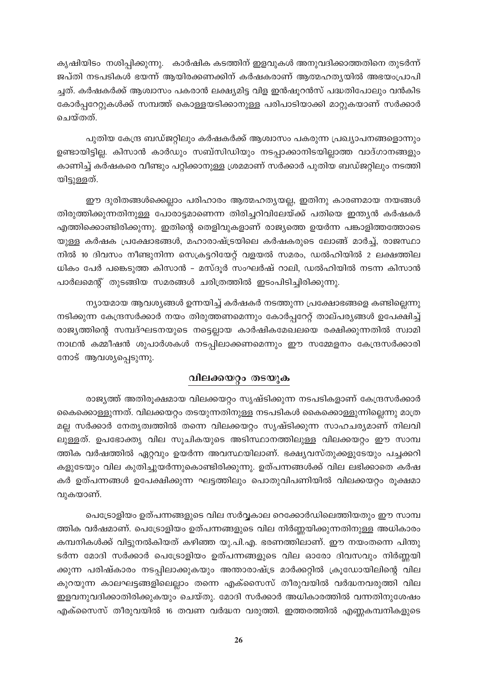കൃഷിയിടം നശിപ്പിക്കുന്നു. കാർഷിക കടത്തിന് ഇളവുകൾ അനുവദിക്കാത്തതിനെ തുടർന്ന് ജപ്തി നടപടികൾ ഭയന്ന് ആയിരക്കണക്കിന് കർഷകരാണ് ആത്മഹത്യയിൽ അഭയംപ്രാപി ച്ചത്. കർഷകർക്ക് ആശ്വാസം പകരാൻ ലക്ഷ്യമിട്ട വിള ഇൻഷൂറൻസ് പദ്ധതിപോലും വൻകിട കോർപ്പറേറ്റുകൾക്ക് സമ്പത്ത് കൊള്ളയടിക്കാനുള്ള പരിപാടിയാക്കി മാറ്റുകയാണ് സർക്കാർ ചെയ്തത്.

പുതിയ കേന്ദ്ര ബഡ്ജറ്റിലും കർഷകർക്ക് ആശ്വാസം പകരുന്ന പ്രഖ്യാപനങ്ങളൊന്നും ഉണ്ടായിട്ടില്ല. കിസാൻ കാർഡും സബ്സിഡിയും നടപ്പാക്കാനിടയില്ലാത്ത വാദ്ഗാനങ്ങളും കാണിച്ച് കർഷകരെ വീണ്ടും പറ്റിക്കാനുള്ള ശ്രമമാണ് സർക്കാർ പുതിയ ബഡ്ജറ്റിലും നടത്തി യിട്ടുള്ളത്.

ഈ ദുരിതങ്ങൾക്കെല്ലാം പരിഹാരം ആത്മഹതൃയല്ല, ഇതിനു കാരണമായ നയങ്ങൾ തിരുത്തിക്കുന്നതിനുള്ള പോരാട്ടമാണെന്ന തിരിച്ചറിവിലേയ്ക്ക് പതിയെ ഇന്ത്യൻ കർഷകർ എത്തിക്കൊണ്ടിരിക്കുന്നു. ഇതിന്റെ തെളിവുകളാണ് രാജ്യത്തെ ഉയർന്ന പങ്കാളിത്തത്തോടെ യുള്ള കർഷക പ്രക്ഷോഭങ്ങൾ, മഹാരാഷ്ട്രയിലെ കർഷകരുടെ ലോങ്ങ് മാർച്ച്, രാജസ്ഥാ നിൽ 10 ദിവസം നീണ്ടുനിന്ന സെക്രട്ടറിയേറ്റ് വളയൽ സമരം, ഡൽഹിയിൽ 2 ലക്ഷത്തില ധികം പേർ പങ്കെടുത്ത കിസാൻ - മസ്ദൂർ സംഘർഷ് റാലി, ഡൽഹിയിൽ നടന്ന കിസാൻ പാർലമെന്റ് തുടങ്ങിയ സമരങ്ങൾ ചരിത്രത്തിൽ ഇടംപിടിച്ചിരിക്കുന്നു.

 $\mathfrak m$ ്യായമായ ആവശ്യങ്ങൾ ഉന്നയിച്ച് കർഷകർ നടത്തുന്ന പ്രക്ഷോഭങ്ങളെ കണ്ടില്ലെന്നു നടിക്കുന്ന കേന്ദ്രസർക്കാർ നയം തിരുത്തണമെന്നും കോർപ്പറേറ്റ് താല്പര്യങ്ങൾ ഉപേക്ഷിച്ച് രാജ്യത്തിന്റെ സമ്പദ്ഘടനയുടെ നട്ടെല്ലായ കാർഷികമേഖലയെ രക്ഷിക്കുന്നതിൽ സ്വാമി നാഥൻ കമ്മീഷൻ ശുപാർശകൾ നടപ്പിലാക്കണമെന്നും ഈ സമ്മേളനം കേന്ദ്രസർക്കാരി നോട് ആവശ്യപ്പെടുന്നു.

### വിലക്കയറ്റം തടയുക

രാജൃത്ത് അതിരൂക്ഷമായ വിലക്കയറ്റം സൃഷ്ടിക്കുന്ന നടപടികളാണ് കേന്ദ്രസർക്കാർ കൈക്കൊള്ളുന്നത്. വിലക്കയറ്റം തടയുന്നതിനുള്ള നടപടികൾ കൈക്കൊള്ളുന്നില്ലെന്നു മാത്ര മല്ല സർക്കാർ നേതൃത്വത്തിൽ തന്നെ വിലക്കയറ്റം സൃഷ്ടിക്കുന്ന സാഹചര്യമാണ് നിലവി ലുള്ളത്. ഉപഭോക്തൃ വില സൂചികയുടെ അടിസ്ഥാനത്തിലുള്ള വിലക്കയറ്റം ഈ സാമ്പ ത്തിക വർഷത്തിൽ ഏറ്റവും ഉയർന്ന അവസ്ഥയിലാണ്. ഭക്ഷ്യവസ്തുക്കളുടേയും പച്ചക്കറി കളുടേയും വില കുതിച്ചുയർന്നുകൊണ്ടിരിക്കുന്നു. ഉത്പന്നങ്ങൾക്ക് വില ലഭിക്കാതെ കർഷ കർ ഉത്പന്നങ്ങൾ ഉപേക്ഷിക്കുന്ന ഘട്ടത്തിലും പൊതുവിപണിയിൽ വിലക്കയറ്റം രൂക്ഷമാ വുകയാണ്.

പെട്രോളിയം ഉത്പന്നങ്ങളുടെ വില സർവ്വകാല റെക്കോർഡിലെത്തിയതും ഈ സാമ്പ ത്തിക വർഷമാണ്. പെട്രോളിയം ഉത്പന്നങ്ങളുടെ വില നിർണ്ണയിക്കുന്നതിനുള്ള അധികാരം കമ്പനികൾക്ക് വിട്ടുനൽകിയത് കഴിഞ്ഞ യു.പി.എ. ഭരണത്തിലാണ്. ഈ നയംതന്നെ പിന്തു ടർന്ന മോദി സർക്കാർ പെട്രോളിയം ഉത്പന്നങ്ങളുടെ വില ഓരോ ദിവസവും നിർണ്ണയി ക്കുന്ന പരിഷ്കാരം നടപ്പിലാക്കുകയും അന്താരാഷ്ട്ര മാർക്കറ്റിൽ ക്രൂഡോയിലിന്റെ വില കുറയുന്ന കാലഘട്ടങ്ങളിലെല്ലാം തന്നെ എക്സൈസ് തീരുവയിൽ വർദ്ധനവരുത്തി വില ഇളവനുവദിക്കാതിരിക്കുകയും ചെയ്തു. മോദി സർക്കാർ അധികാരത്തിൽ വന്നതിനുശേഷം എക്സൈസ് തീരുവയിൽ 16 തവണ വർദ്ധന വരുത്തി. ഇത്തരത്തിൽ എണ്ണകമ്പനികളുടെ